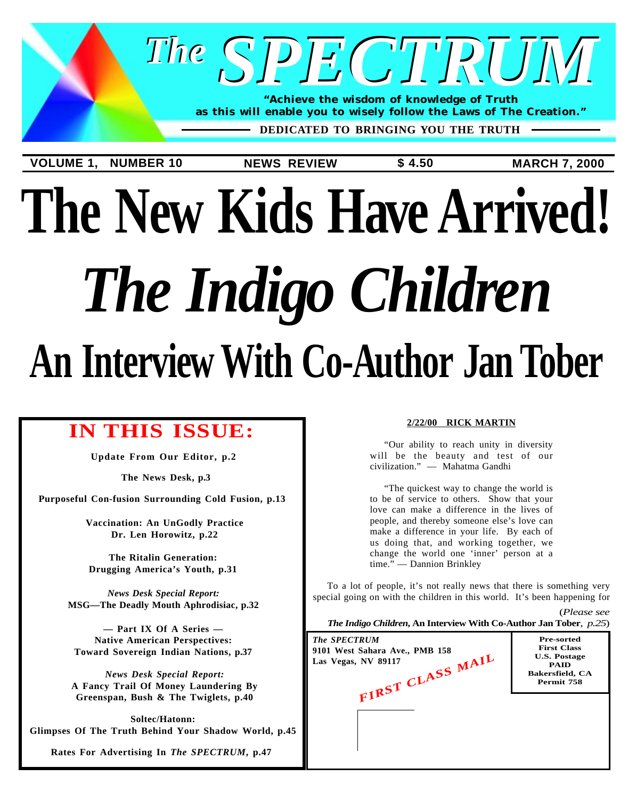

# **The New Kids Have Arrived!** *The Indigo Children* **An Interview With Co-Author Jan Tober**

### **IN THIS ISSUE:**

**[Update From Our Editor, p.2](#page-1-0)**

**[The News Desk, p.3](#page-2-0)**

**[Purposeful Con-fusion Surrounding Cold Fusion, p.13](#page-12-0)**

**[Vaccination: An UnGodly Practice](#page-21-0) Dr. Len Horowitz, p.22**

**The Ritalin Generation: [Drugging America's Youth, p.31](#page-30-0)**

*News Desk Special Report:* **[MSG—The Deadly Mouth Aphrodisiac, p.32](#page-31-0)**

**— Part IX Of A Series — Native American Perspectives: [Toward Sovereign Indian Nations, p.37](#page-36-0)**

*News Desk Special Report:* **[A Fancy Trail Of Money Laundering By](#page-39-0) Greenspan, Bush & The Twiglets, p.40**

**Soltec/Hatonn: [Glimpses Of The Truth Behind Your Shadow World, p.45](#page-44-0)**

**[Rates For Advertising In](#page-46-0)** *The SPECTRUM***, p.47**

#### **2/22/00 RICK MARTIN**

"Our ability to reach unity in diversity will be the beauty and test of our civilization." — Mahatma Gandhi

"The quickest way to change the world is to be of service to others. Show that your love can make a difference in the lives of people, and thereby someone else's love can make a difference in your life. By each of us doing that, and working together, we change the world one 'inner' person at a time." — Dannion Brinkley

To a lot of people, it's not really news that there is something very special going on with the children in this world. It's been happening for

(*[Please see](#page-24-0) The Indigo Children***, An Interview With Co-Author Jan Tober**, *p.25*)

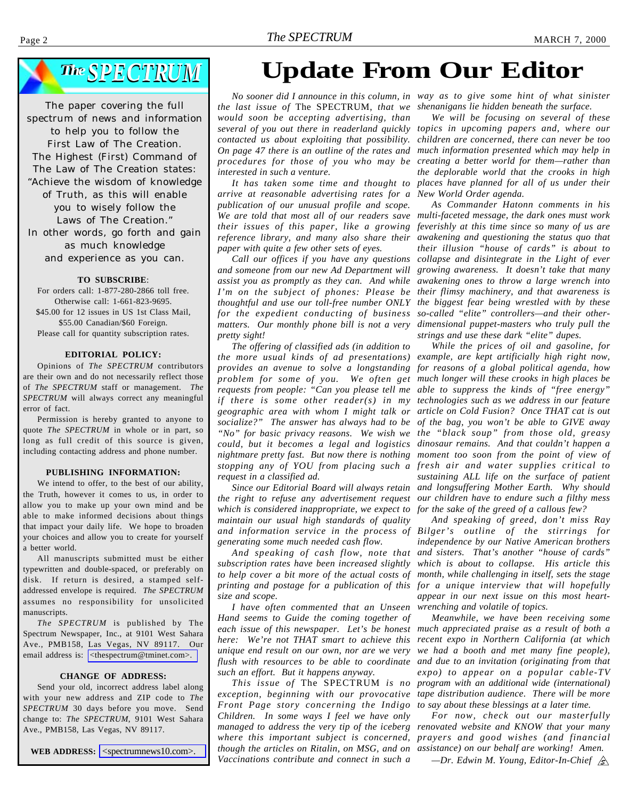## <span id="page-1-0"></span>*The SPECTRUM SPECTRUM*

The paper covering the full spectrum of news and information to help you to follow the First Law of The Creation. The Highest (First) Command of The Law of The Creation states: "Achieve the wisdom of knowledge of Truth, as this will enable you to wisely follow the Laws of The Creation." In other words, go forth and gain as much knowledge and experience as you can.

#### **TO SUBSCRIBE**:

For orders call: 1-877-280-2866 toll free. Otherwise call: 1-661-823-9695. \$45.00 for 12 issues in US 1st Class Mail, \$55.00 Canadian/\$60 Foreign. Please call for quantity subscription rates.

#### **EDITORIAL POLICY:**

Opinions of *The SPECTRUM* contributors are their own and do not necessarily reflect those of *The SPECTRUM* staff or management. *The SPECTRUM* will always correct any meaningful error of fact.

Permission is hereby granted to anyone to quote *The SPECTRUM* in whole or in part, so long as full credit of this source is given, including contacting address and phone number.

#### **PUBLISHING INFORMATION:**

We intend to offer, to the best of our ability, the Truth, however it comes to us, in order to allow you to make up your own mind and be able to make informed decisions about things that impact your daily life. We hope to broaden your choices and allow you to create for yourself a better world.

All manuscripts submitted must be either typewritten and double-spaced, or preferably on disk. If return is desired, a stamped selfaddressed envelope is required. *The SPECTRUM* assumes no responsibility for unsolicited manuscripts.

*The SPECTRUM* is published by The Spectrum Newspaper, Inc., at 9101 West Sahara Ave., PMB158, Las Vegas, NV 89117. Our email address is: [<thespectrum@tminet.com>.](mailto;thespectrum@tminet.com)

#### **CHANGE OF ADDRESS:**

Send your old, incorrect address label along with your new address and ZIP code to *The SPECTRUM* 30 days before you move. Send change to: *The SPECTRUM*, 9101 West Sahara Ave., PMB158, Las Vegas, NV 89117.

**WEB ADDRESS:** [<spectrumnews10.com>.](http://www.spectrumnews10.com)

### **Update From Our Editor**

*the last issue of* The SPECTRUM, *that we shenanigans lie hidden beneath the surface. would soon be accepting advertising, than several of you out there in readerland quickly topics in upcoming papers and, where our contacted us about exploiting that possibility. children are concerned, there can never be too On page 47 there is an outline of the rates and much information presented which may help in procedures for those of you who may be interested in such a venture.*

*arrive at reasonable advertising rates for a New World Order agenda. publication of our unusual profile and scope. We are told that most all of our readers save multi-faceted message, the dark ones must work their issues of this paper, like a growing feverishly at this time since so many of us are reference library, and many also share their awakening and questioning the status quo that paper with quite a few other sets of eyes.*

*and someone from our new Ad Department will growing awareness. It doesn't take that many assist you as promptly as they can. And while awakening ones to throw a large wrench into I'm on the subject of phones: Please be their flimsy machinery, and that awareness is thoughtful and use our toll-free number ONLY the biggest fear being wrestled with by these for the expedient conducting of business so-called "elite" controllers—and their othermatters. Our monthly phone bill is not a very dimensional puppet-masters who truly pull the pretty sight!*

*The offering of classified ads (in addition to the more usual kinds of ad presentations) example, are kept artificially high right now, provides an avenue to solve a longstanding for reasons of a global political agenda, how problem for some of you. We often get much longer will these crooks in high places be requests from people: "Can you please tell me able to suppress the kinds of "free energy" if there is some other reader(s) in my technologies such as we address in our feature geographic area with whom I might talk or article on Cold Fusion? Once THAT cat is out socialize?" The answer has always had to be of the bag, you won't be able to GIVE away "No" for basic privacy reasons. We wish we the "black soup" from those old, greasy could, but it becomes a legal and logistics dinosaur remains. And that couldn't happen a nightmare pretty fast. But now there is nothing moment too soon from the point of view of stopping any of YOU from placing such a fresh air and water supplies critical to request in a classified ad.*

*Since our Editorial Board will always retain* the right to refuse any advertisement request our children have to endure such a filthy mess *which is considered inappropriate, we expect to for the sake of the greed of a callous few? maintain our usual high standards of quality and information service in the process of Bilger's outline of the stirrings for generating some much needed cash flow.*

*subscription rates have been increased slightly which is about to collapse. His article this to help cover a bit more of the actual costs of month, while challenging in itself, sets the stage printing and postage for a publication of this for a unique interview that will hopefully size and scope.*

*I have often commented that an Unseen Hand seems to Guide the coming together of each issue of this newspaper. Let's be honest much appreciated praise as a result of both a here: We're not THAT smart to achieve this recent expo in Northern California (at which unique end result on our own, nor are we very flush with resources to be able to coordinate such an effort. But it happens anyway.*

*This issue of* The SPECTRUM *is no exception, beginning with our provocative tape distribution audience. There will be more Front Page story concerning the Indigo Children. In some ways I feel we have only though the articles on Ritalin, on MSG, and on assistance) on our behalf are working! Amen. Vaccinations contribute and connect in such a*

*No sooner did I announce in this column, in way as to give some hint of what sinister*

*It has taken some time and thought to places have planned for all of us under their We will be focusing on several of these creating a better world for them—rather than the deplorable world that the crooks in high*

*Call our offices if you have any questions collapse and disintegrate in the Light of ever As Commander Hatonn comments in his their illusion "house of cards" is about to strings and use these dark "elite" dupes.*

> *While the prices of oil and gasoline, for sustaining ALL life on the surface of patient and longsuffering Mother Earth. Why should*

And speaking of cash flow, note that and sisters. That's another "house of cards" *And speaking of greed, don't miss Ray independence by our Native American brothers appear in our next issue on this most heartwrenching and volatile of topics.*

> *Meanwhile, we have been receiving some we had a booth and met many fine people), and due to an invitation (originating from that expo) to appear on a popular cable-TV program with an additional wide (international) to say about these blessings at a later time.*

*managed to address the very tip of the iceberg renovated website and KNOW that your many where this important subject is concerned, prayers and good wishes (and financial For now, check out our masterfully*

*—Dr. Edwin M. Young, Editor-In-Chief*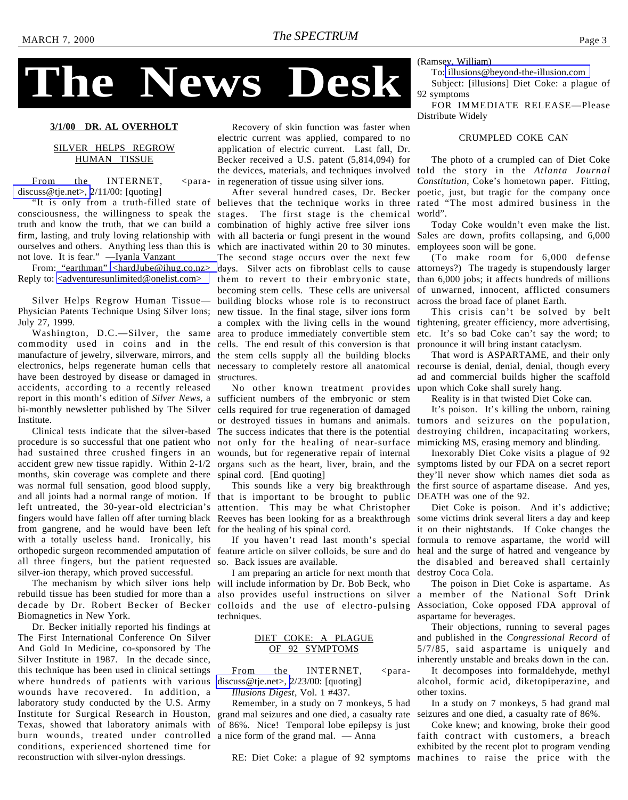

# <span id="page-2-0"></span>**The News Desk**

#### **3/1/00 DR. AL OVERHOLT**

#### SILVER HELPS REGROW HUMAN TISSUE

From the INTERNET, <para[discuss@tje.net>, 2](mailto:para-discuss@tje.net)/11/00: [quoting]

consciousness, the willingness to speak the stages. The first stage is the chemical truth and know the truth, that we can build a combination of highly active free silver ions ourselves and others. Anything less than this is which are inactivated within 20 to 30 minutes. not love. It is fear." —Iyanla Vanzant

From: "earthman" [<hardJube@ihug.co.nz>](mailto:hardJube@ihug.co.nz) Reply to: [<adventuresunlimited@onelist.com>](mailto:adventuresunlimited@onelist.com)

Silver Helps Regrow Human Tissue— Physician Patents Technique Using Silver Ions; new tissue. In the final stage, silver ions form July 27, 1999.

commodity used in coins and in the manufacture of jewelry, silverware, mirrors, and the stem cells supply all the building blocks have been destroyed by disease or damaged in accidents, according to a recently released report in this month's edition of *Silver News*, a sufficient numbers of the embryonic or stem bi-monthly newsletter published by The Silver cells required for true regeneration of damaged Institute.

Clinical tests indicate that the silver-based procedure is so successful that one patient who had sustained three crushed fingers in an accident grew new tissue rapidly. Within 2-1/2 months, skin coverage was complete and there was normal full sensation, good blood supply, and all joints had a normal range of motion. If left untreated, the 30-year-old electrician's from gangrene, and he would have been left with a totally useless hand. Ironically, his orthopedic surgeon recommended amputation of all three fingers, but the patient requested silver-ion therapy, which proved successful.

rebuild tissue has been studied for more than a also provides useful instructions on silver decade by Dr. Robert Becker of Becker colloids and the use of electro-pulsing Biomagnetics in New York.

Dr. Becker initially reported his findings at The First International Conference On Silver And Gold In Medicine, co-sponsored by The Silver Institute in 1987. In the decade since, this technique has been used in clinical settings where hundreds of patients with various wounds have recovered. In addition, a laboratory study conducted by the U.S. Army Institute for Surgical Research in Houston, grand mal seizures and one died, a casualty rate Texas, showed that laboratory animals with of 86%. Nice! Temporal lobe epilepsy is just burn wounds, treated under controlled conditions, experienced shortened time for reconstruction with silver-nylon dressings.

Recovery of skin function was faster when electric current was applied, compared to no application of electric current. Last fall, Dr. Becker received a U.S. patent (5,814,094) for the devices, materials, and techniques involved in regeneration of tissue using silver ions.

"It is only from a truth-filled state of believes that the technique works in three rated "The most admired business in the firm, lasting, and truly loving relationship with with all bacteria or fungi present in the wound Sales are down, profits collapsing, and 6,000 Washington, D.C.—Silver, the same area to produce immediately convertible stem electronics, helps regenerate human cells that necessary to completely restore all anatomical recourse is denial, denial, denial, though every After several hundred cases, Dr. Becker The second stage occurs over the next few days. Silver acts on fibroblast cells to cause attorneys?) The tragedy is stupendously larger them to revert to their embryonic state, becoming stem cells. These cells are universal building blocks whose role is to reconstruct a complex with the living cells in the wound tightening, greater efficiency, more advertising, cells. The end result of this conversion is that structures.

> No other known treatment provides upon which Coke shall surely hang. or destroyed tissues in humans and animals. The success indicates that there is the potential not only for the healing of near-surface wounds, but for regenerative repair of internal organs such as the heart, liver, brain, and the symptoms listed by our FDA on a secret report spinal cord. [End quoting]

fingers would have fallen off after turning black Reeves has been looking for as a breakthrough some victims drink several liters a day and keep that is important to be brought to public attention. This may be what Christopher for the healing of his spinal cord.

> feature article on silver colloids, be sure and do so. Back issues are available.

The mechanism by which silver ions help will include information by Dr. Bob Beck, who I am preparing an article for next month that techniques.

#### DIET COKE: A PLAGUE OF 92 SYMPTOMS

From the INTERNET, <para[discuss@tje.net>,](mailto:para-discuss@tje.net) 2/23/00: [quoting]

*Illusions Digest*, Vol. 1 #437.

Remember, in a study on 7 monkeys, 5 had a nice form of the grand mal. — Anna

(Ramsey, William)

To: [illusions@beyond-the-illusion.com](mailto:illusions@beyond-the-illusion.com)

Subject: [illusions] Diet Coke: a plague of 92 symptoms

FOR IMMEDIATE RELEASE—Please Distribute Widely

#### CRUMPLED COKE CAN

The photo of a crumpled can of Diet Coke told the story in the *Atlanta Journal Constitution*, Coke's hometown paper. Fitting, poetic, just, but tragic for the company once world".

Today Coke wouldn't even make the list. employees soon will be gone.

(To make room for 6,000 defense than 6,000 jobs; it affects hundreds of millions of unwarned, innocent, afflicted consumers across the broad face of planet Earth.

This crisis can't be solved by belt etc. It's so bad Coke can't say the word; to pronounce it will bring instant cataclysm.

That word is ASPARTAME, and their only ad and commercial builds higher the scaffold

Reality is in that twisted Diet Coke can.

It's poison. It's killing the unborn, raining tumors and seizures on the population, destroying children, incapacitating workers, mimicking MS, erasing memory and blinding.

This sounds like a very big breakthrough the first source of aspartame disease. And yes, Inexorably Diet Coke visits a plague of 92 they'll never show which names diet soda as DEATH was one of the 92.

If you haven't read last month's special formula to remove aspartame, the world will Diet Coke is poison. And it's addictive; it on their nightstands. If Coke changes the heal and the surge of hatred and vengeance by the disabled and bereaved shall certainly destroy Coca Cola.

> The poison in Diet Coke is aspartame. As a member of the National Soft Drink Association, Coke opposed FDA approval of aspartame for beverages.

> Their objections, running to several pages and published in the *Congressional Record* of 5/7/85, said aspartame is uniquely and inherently unstable and breaks down in the can.

> It decomposes into formaldehyde, methyl alcohol, formic acid, diketopiperazine, and other toxins.

> In a study on 7 monkeys, 5 had grand mal seizures and one died, a casualty rate of 86%.

RE: Diet Coke: a plague of 92 symptoms machines to raise the price with theCoke knew; and knowing, broke their good faith contract with customers, a breach exhibited by the recent plot to program vending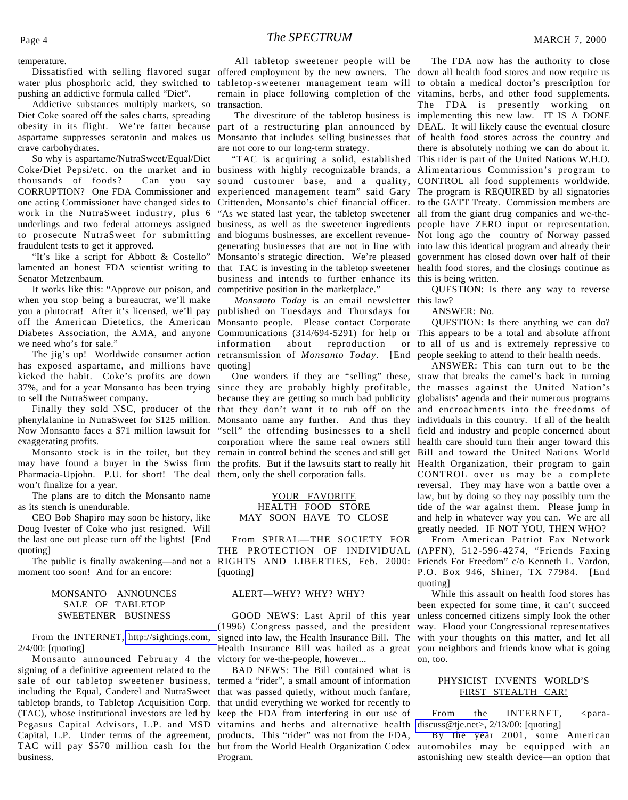temperature.

pushing an addictive formula called "Diet".

Addictive substances multiply markets, so Diet Coke soared off the sales charts, spreading obesity in its flight. We're fatter because aspartame suppresses seratonin and makes us crave carbohydrates.

So why is aspartame/NutraSweet/Equal/Diet Coke/Diet Pepsi/etc. on the market and in business with highly recognizable brands, a Alimentarious Commission's program to thousands of foods? Can you say CORRUPTION? One FDA Commissioner and one acting Commissioner have changed sides to Crittenden, Monsanto's chief financial officer. to the GATT Treaty. Commission members are work in the NutraSweet industry, plus 6 "As we stated last year, the tabletop sweetener all from the giant drug companies and we-theunderlings and two federal attorneys assigned business, as well as the sweetener ingredients people have ZERO input or representation. to prosecute NutraSweet for submitting fraudulent tests to get it approved.

"It's like a script for Abbott & Costello" Senator Metzenbaum.

It works like this: "Approve our poison, and when you stop being a bureaucrat, we'll make you a plutocrat! After it's licensed, we'll pay published on Tuesdays and Thursdays for off the American Dietetics, the American Monsanto people. Please contact Corporate Diabetes Association, the AMA, and anyone we need who's for sale."

has exposed aspartame, and millions have kicked the habit. Coke's profits are down to sell the NutraSweet company.

phenylalanine in NutraSweet for \$125 million. exaggerating profits.

Monsanto stock is in the toilet, but they may have found a buyer in the Swiss firm the profits. But if the lawsuits start to really hit Health Organization, their program to gain Pharmacia-Upjohn. P.U. for short! The deal them, only the shell corporation falls. won't finalize for a year.

The plans are to ditch the Monsanto name as its stench is unendurable.

CEO Bob Shapiro may soon be history, like Doug Ivester of Coke who just resigned. Will the last one out please turn off the lights! [End quoting]

moment too soon! And for an encore:

#### MONSANTO ANNOUNCES SALE OF TABLETOP SWEETENER BUSINESS

From the INTERNET, [http://sightings.com,](http://www.sightings.com) 2/4/00: [quoting]

Monsanto announced February 4 the signing of a definitive agreement related to the sale of our tabletop sweetener business, including the Equal, Canderel and NutraSweet that was passed quietly, without much fanfare, tabletop brands, to Tabletop Acquisition Corp. (TAC), whose institutional investors are led by keep the FDA from interfering in our use of Pegasus Capital Advisors, L.P. and MSD vitamins and herbs and alternative health Capital, L.P. Under terms of the agreement, products. This "rider" was not from the FDA, TAC will pay \$570 million cash for the but from the World Health Organization Codex business.

Dissatisfied with selling flavored sugar offered employment by the new owners. The down all health food stores and now require us water plus phosphoric acid, they switched to tabletop-sweetener management team will to obtain a medical doctor's prescription for All tabletop sweetener people will be remain in place following completion of the vitamins, herbs, and other food supplements. transaction.

are not core to our long-term strategy.

lamented an honest FDA scientist writing to that TAC is investing in the tabletop sweetener health food stores, and the closings continue as sound customer base, and a quality, CONTROL all food supplements worldwide. experienced management team" said Gary The program is REQUIRED by all signatories and biogums businesses, are excellent revenue-Not long ago the country of Norway passed generating businesses that are not in line with into law this identical program and already their Monsanto's strategic direction. We're pleased government has closed down over half of their business and intends to further enhance its this is being written. competitive position in the marketplace."

The jig's up! Worldwide consumer action retransmission of Monsanto Today. [End people seeking to attend to their health needs. *Monsanto Today* is an email newsletter this law? Communications (314/694-5291) for help or This appears to be a total and absolute affront information about reproduction quoting]

37%, and for a year Monsanto has been trying since they are probably highly profitable, the masses against the United Nation's Finally they sold NSC, producer of the that they don't want it to rub off on the and encroachments into the freedoms of Now Monsanto faces a \$71 million lawsuit for "sell" the offending businesses to a shell field and industry and people concerned about because they are getting so much bad publicity globalists' agenda and their numerous programs Monsanto name any further. And thus they individuals in this country. If all of the health corporation where the same real owners still health care should turn their anger toward this remain in control behind the scenes and still get Bill and toward the United Nations World

#### YOUR FAVORITE HEALTH FOOD STORE MAY SOON HAVE TO CLOSE

The public is finally awakening—and not a RIGHTS AND LIBERTIES, Feb. 2000: Friends For Freedom" c/o Kenneth L. Vardon, From SPIRAL—THE SOCIETY FOR THE PROTECTION OF INDIVIDUAL (APFN), 512-596-4274, "Friends Faxing [quoting]

#### ALERT—WHY? WHY? WHY?

GOOD NEWS: Last April of this year (1996) Congress passed, and the president signed into law, the Health Insurance Bill. The victory for we-the-people, however...

BAD NEWS: The Bill contained what is termed a "rider", a small amount of information that undid everything we worked for recently to Program.

 The divestiture of the tabletop business is implementing this new law. IT IS A DONE part of a restructuring plan announced by DEAL. It will likely cause the eventual closure Monsanto that includes selling businesses that of health food stores across the country and "TAC is acquiring a solid, established This rider is part of the United Nations W.H.O. The FDA now has the authority to close The FDA is presently working on there is absolutely nothing we can do about it.

QUESTION: Is there any way to reverse

ANSWER: No.

QUESTION: Is there anything we can do? to all of us and is extremely repressive to

One wonders if they are "selling" these, straw that breaks the camel's back in turning ANSWER: This can turn out to be the CONTROL over us may be a complete reversal. They may have won a battle over a law, but by doing so they nay possibly turn the tide of the war against them. Please jump in and help in whatever way you can. We are all greatly needed. IF NOT YOU, THEN WHO?

From American Patriot Fax Network P.O. Box 946, Shiner, TX 77984. [End quoting]

Health Insurance Bill was hailed as a great your neighbors and friends know what is going While this assault on health food stores has been expected for some time, it can't succeed unless concerned citizens simply look the other way. Flood your Congressional representatives with your thoughts on this matter, and let all on, too.

#### PHYSICIST INVENTS WORLD'S FIRST STEALTH CAR!

From the INTERNET, <para[discuss@tje.net>,](mailto:para-discuss@tje.net) 2/13/00: [quoting]

By the year 2001, some American automobiles may be equipped with an astonishing new stealth device—an option that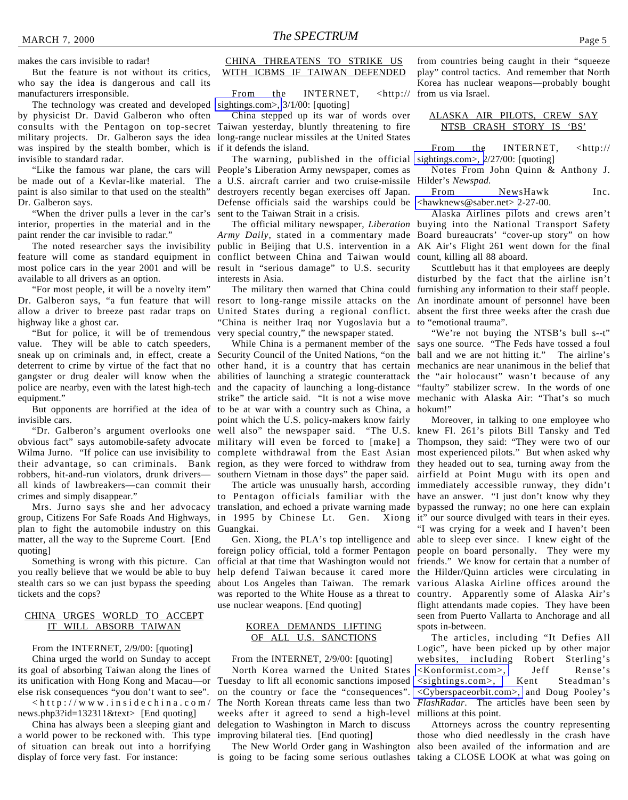makes the cars invisible to radar!

But the feature is not without its critics, who say the idea is dangerous and call its manufacturers irresponsible.

The technology was created and developed [sightings.com>,](http://www.sightings.com) 3/1/00: [quoting] by physicist Dr. David Galberon who often consults with the Pentagon on top-secret Taiwan yesterday, bluntly threatening to fire military projects. Dr. Galberon says the idea long-range nuclear missiles at the United States was inspired by the stealth bomber, which is invisible to standard radar.

be made out of a Kevlar-like material. The a U.S. aircraft carrier and two cruise-missile paint is also similar to that used on the stealth" Dr. Galberon says.

"When the driver pulls a lever in the car's interior, properties in the material and in the paint render the car invisible to radar."

most police cars in the year 2001 and will be result in "serious damage" to U.S. security available to all drivers as an option.

"For most people, it will be a novelty item" highway like a ghost car.

"But for police, it will be of tremendous value. They will be able to catch speeders, sneak up on criminals and, in effect, create a Security Council of the United Nations, "on the ball and we are not hitting it." The airline's deterrent to crime by virtue of the fact that no gangster or drug dealer will know when the abilities of launching a strategic counterattack the "air holocaust" wasn't because of any police are nearby, even with the latest high-tech and the capacity of launching a long-distance equipment."

invisible cars.

robbers, hit-and-run violators, drunk drivers all kinds of lawbreakers—can commit their crimes and simply disappear."

group, Citizens For Safe Roads And Highways, in 1995 by Chinese Lt. Gen. Xiong it" our source divulged with tears in their eyes. plan to fight the automobile industry on this Guangkai. matter, all the way to the Supreme Court. [End quoting]

Something is wrong with this picture. Can you really believe that we would be able to buy stealth cars so we can just bypass the speeding tickets and the cops?

#### CHINA URGES WORLD TO ACCEPT IT WILL ABSORB TAIWAN

From the INTERNET, 2/9/00: [quoting] China urged the world on Sunday to accept its goal of absorbing Taiwan along the lines of its unification with Hong Kong and Macau—or Tuesday to lift all economic sanctions imposed else risk consequences "you don't want to see".  $\langle$ http://www.insidechina.com/ news.php3?id=132311&text> [End quoting]

China has always been a sleeping giant and a world power to be reckoned with. This type of situation can break out into a horrifying display of force very fast. For instance:

#### CHINA THREATENS TO STRIKE US WITH ICBMS IF TAIWAN DEFENDED

From the INTERNET, <http://

China stepped up its war of words over if it defends the island.

"Like the famous war plane, the cars will People's Liberation Army newspaper, comes as The warning, published in the official destroyers recently began exercises off Japan. Defense officials said the warships could be sent to the Taiwan Strait in a crisis.

The noted researcher says the invisibility public in Beijing that U.S. intervention in a AK Air's Flight 261 went down for the final feature will come as standard equipment in conflict between China and Taiwan would count, killing all 88 aboard. *Army Daily*, stated in a commentary made Board bureaucrats' "cover-up story" on how interests in Asia.

Dr. Galberon says, "a fun feature that will resort to long-range missile attacks on the An inordinate amount of personnel have been allow a driver to breeze past radar traps on United States during a regional conflict. absent the first three weeks after the crash due "China is neither Iraq nor Yugoslavia but a to "emotional trauma". very special country," the newspaper stated.

But opponents are horrified at the idea of to be at war with a country such as China, a hokum!" "Dr. Galberon's argument overlooks one well also" the newspaper said. "The U.S. knew Fl. 261's pilots Bill Tansky and Ted obvious fact" says automobile-safety advocate military will even be forced to [make] a Thompson, they said: "They were two of our Wilma Jurno. "If police can use invisibility to complete withdrawal from the East Asian most experienced pilots." But when asked why their advantage, so can criminals. Bank region, as they were forced to withdraw from they headed out to sea, turning away from the other hand, it is a country that has certain mechanics are near unanimous in the belief that strike" the article said. "It is not a wise move mechanic with Alaska Air: "That's so much point which the U.S. policy-makers know fairly southern Vietnam in those days" the paper said.

Mrs. Jurno says she and her advocacy translation, and echoed a private warning made bypassed the runway; no one here can explain to Pentagon officials familiar with the have an answer. "I just don't know why they

> foreign policy official, told a former Pentagon people on board personally. They were my official at that time that Washington would not friends." We know for certain that a number of help defend Taiwan because it cared more the Hilder/Quinn articles were circulating in about Los Angeles than Taiwan. The remark was reported to the White House as a threat to country. Apparently some of Alaska Air's use nuclear weapons. [End quoting]

#### KOREA DEMANDS LIFTING OF ALL U.S. SANCTIONS

#### From the INTERNET, 2/9/00: [quoting]

North Korea warned the United States on the country or face the "consequences". The North Korean threats came less than two weeks after it agreed to send a high-level delegation to Washington in March to discuss improving bilateral ties. [End quoting]

The New World Order gang in Washington

from countries being caught in their "squeeze play" control tactics. And remember that North Korea has nuclear weapons—probably bought from us via Israel.

#### ALASKA AIR PILOTS, CREW SAY NTSB CRASH STORY IS 'BS'

From the INTERNET, <http:// [sightings.com>, 2](http://www.sightings.com)/27/00: [quoting]

Notes From John Quinn & Anthony J. Hilder's *Newspad.*

From NewsHawk Inc.  $\langle$ hawknews@saber.net $> 2-27-00$ .

The official military newspaper, *Liberation* buying into the National Transport Safety Alaska Airlines pilots and crews aren't

The military then warned that China could furnishing any information to their staff people. Scuttlebutt has it that employees are deeply disturbed by the fact that the airline isn't

While China is a permanent member of the says one source. "The Feds have tossed a foul "We're not buying the NTSB's bull s--t" "faulty" stabilizer screw. In the words of one

The article was unusually harsh, according immediately accessible runway, they didn't Gen. Xiong, the PLA's top intelligence and able to sleep ever since. I knew eight of the Moreover, in talking to one employee who airfield at Point Mugu with its open and "I was crying for a week and I haven't been various Alaska Airline offices around the flight attendants made copies. They have been seen from Puerto Vallarta to Anchorage and all spots in-between.

The articles, including "It Defies All Logic", have been picked up by other major websites, including Robert Sterling's [<Konformist.com>,](http://Konformist.com) Jeff Rense's [<sightings.com>,](http://www.sightings.com) Kent Steadman's [<Cyberspaceorbit.com>,](http://www.cyberspaceorbit.com) and Doug Pooley's *FlashRadar*. The articles have been seen by millions at this point.

is going to be facing some serious outlashes taking a CLOSE LOOK at what was going onAttorneys across the country representing those who died needlessly in the crash have also been availed of the information and are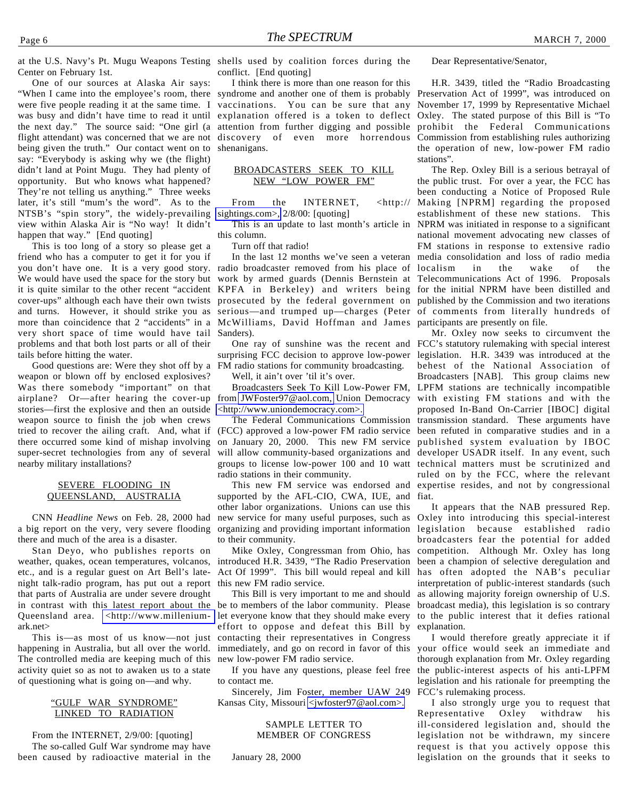One of our sources at Alaska Air says: "When I came into the employee's room, there were five people reading it at the same time. I was busy and didn't have time to read it until explanation offered is a token to deflect Oxley. The stated purpose of this Bill is "To the next day." The source said: "One girl (a attention from further digging and possible prohibit the Federal Communications flight attendant) was concerned that we are not discovery of even more horrendous Commission from establishing rules authorizing being given the truth." Our contact went on to shenanigans. say: "Everybody is asking why we (the flight) didn't land at Point Mugu. They had plenty of opportunity. But who knows what happened? They're not telling us anything." Three weeks later, it's still "mum's the word". As to the NTSB's "spin story", the widely-prevailing view within Alaska Air is "No way! It didn't happen that way." [End quoting]

This is too long of a story so please get a friend who has a computer to get it for you if very short space of time would have tail Sanders). problems and that both lost parts or all of their tails before hitting the water.

weapon or blown off by enclosed explosives? Was there somebody "important" on that airplane? Or—after hearing the cover-up from [JWFoster97@aol.com,](mailto:JWFoster97@aol.com) Union Democracy with existing FM stations and with the stories—first the explosive and then an outside weapon source to finish the job when crews tried to recover the ailing craft. And, what if there occurred some kind of mishap involving super-secret technologies from any of several nearby military installations?

#### SEVERE FLOODING IN QUEENSLAND, AUSTRALIA

CNN *Headline News* on Feb. 28, 2000 had a big report on the very, very severe flooding there and much of the area is a disaster.

Stan Deyo, who publishes reports on weather, quakes, ocean temperatures, volcanos, introduced H.R. 3439, "The Radio Preservation etc., and is a regular guest on Art Bell's latenight talk-radio program, has put out a report that parts of Australia are under severe drought in contrast with this latest report about the Queensland area. [<http://www.millenium](http://www.millenium-ark.net)ark.net>

This is—as most of us know—not just happening in Australia, but all over the world. The controlled media are keeping much of this activity quiet so as not to awaken us to a state of questioning what is going on—and why.

#### "GULF WAR SYNDROME" LINKED TO RADIATION

From the INTERNET, 2/9/00: [quoting] The so-called Gulf War syndrome may have been caused by radioactive material in the

conflict. [End quoting]

I think there is more than one reason for this syndrome and another one of them is probably Preservation Act of 1999", was introduced on vaccinations. You can be sure that any November 17, 1999 by Representative Michael

#### BROADCASTERS SEEK TO KILL NEW "LOW POWER FM"

From the INTERNET, <http:// [sightings.com>,](http://www.sightings.com) 2/8/00: [quoting]

This is an update to last month's article in this column.

Turn off that radio!

you don't have one. It is a very good story. radio broadcaster removed from his place of localism in the wake of the We would have used the space for the story but work by armed guards (Dennis Bernstein at Telecommunications Act of 1996. Proposals it is quite similar to the other recent "accident KPFA in Berkeley) and writers being for the initial NPRM have been distilled and cover-ups" although each have their own twists prosecuted by the federal government on published by the Commission and two iterations and turns. However, it should strike you as serious—and trumped up—charges (Peter of comments from literally hundreds of more than coincidence that 2 "accidents" in a McWilliams, David Hoffman and James participants are presently on file.

Good questions are: Were they shot off by a FM radio stations for community broadcasting. surprising FCC decision to approve low-power legislation. H.R. 3439 was introduced at the

Well, it ain't over 'til it's over.

[<http://www.uniondemocracy.com>.](http://www.uniondemocracy.com)

(FCC) approved a low-power FM radio service on January 20, 2000. This new FM service will allow community-based organizations and developer USADR itself. In any event, such groups to license low-power 100 and 10 watt technical matters must be scrutinized and radio stations in their community.

supported by the AFL-CIO, CWA, IUE, and other labor organizations. Unions can use this new service for many useful purposes, such as organizing and providing important information legislation because established radio to their community.

Mike Oxley, Congressman from Ohio, has Act Of 1999". This bill would repeal and kill has often adopted the NAB's peculiar this new FM radio service.

This Bill is very important to me and should be to members of the labor community. Please let everyone know that they should make every effort to oppose and defeat this Bill by contacting their representatives in Congress immediately, and go on record in favor of this new low-power FM radio service.

If you have any questions, please feel free to contact me.

Sincerely, Jim Foster, member UAW 249 Kansas City, Missouri [<jwfoster97@aol.com>.](mailto:jwfoster97@aol.com)

#### SAMPLE LETTER TO MEMBER OF CONGRESS

January 28, 2000

Dear Representative/Senator,

H.R. 3439, titled the "Radio Broadcasting the operation of new, low-power FM radio stations".

In the last 12 months we've seen a veteran media consolidation and loss of radio media The Rep. Oxley Bill is a serious betrayal of the public trust. For over a year, the FCC has been conducting a Notice of Proposed Rule Making [NPRM] regarding the proposed establishment of these new stations. This NPRM was initiated in response to a significant national movement advocating new classes of FM stations in response to extensive radio

One ray of sunshine was the recent and FCC's statutory rulemaking with special interest Broadcasters Seek To Kill Low-Power FM, LPFM stations are technically incompatible The Federal Communications Commission transmission standard. These arguments have This new FM service was endorsed and expertise resides, and not by congressional Mr. Oxley now seeks to circumvent the behest of the National Association of Broadcasters [NAB]. This group claims new proposed In-Band On-Carrier [IBOC] digital been refuted in comparative studies and in a published system evaluation by IBOC ruled on by the FCC, where the relevant fiat.

> It appears that the NAB pressured Rep. Oxley into introducing this special-interest broadcasters fear the potential for added competition. Although Mr. Oxley has long been a champion of selective deregulation and interpretation of public-interest standards (such as allowing majority foreign ownership of U.S. broadcast media), this legislation is so contrary to the public interest that it defies rational explanation.

> I would therefore greatly appreciate it if your office would seek an immediate and thorough explanation from Mr. Oxley regarding the public-interest aspects of his anti-LPFM legislation and his rationale for preempting the FCC's rulemaking process.

> I also strongly urge you to request that Representative Oxley withdraw his ill-considered legislation and, should the legislation not be withdrawn, my sincere request is that you actively oppose this legislation on the grounds that it seeks to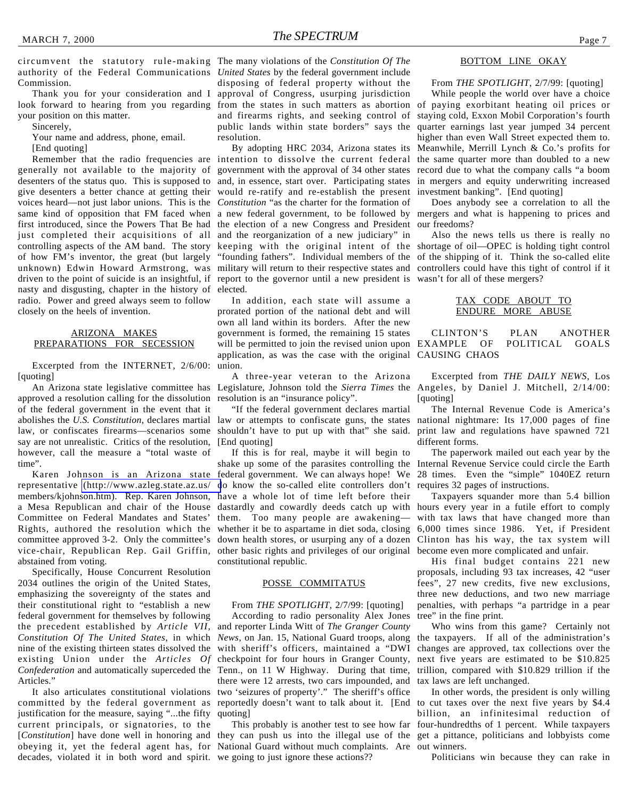Thank you for your consideration and I look forward to hearing from you regarding from the states in such matters as abortion of paying exorbitant heating oil prices or your position on this matter.

Sincerely,

Your name and address, phone, email.

[End quoting]

generally not available to the majority of desenters of the status quo. This is supposed to give desenters a better chance at getting their voices heard—not just labor unions. This is the *Constitution* "as the charter for the formation of same kind of opposition that FM faced when first introduced, since the Powers That Be had the election of a new Congress and President just completed their acquisitions of all controlling aspects of the AM band. The story keeping with the original intent of the shortage of oil—OPEC is holding tight control of how FM's inventor, the great (but largely unknown) Edwin Howard Armstrong, was military will return to their respective states and controllers could have this tight of control if it driven to the point of suicide is an insightful, if report to the governor until a new president is wasn't for all of these mergers? nasty and disgusting, chapter in the history of elected. radio. Power and greed always seem to follow closely on the heels of invention.

#### ARIZONA MAKES PREPARATIONS FOR SECESSION

Excerpted from the INTERNET, 2/6/00: [quoting]

approved a resolution calling for the dissolution resolution is an "insurance policy". of the federal government in the event that it abolishes the *U.S. Constitution*, declares martial law or attempts to confiscate guns, the states national nightmare: Its 17,000 pages of fine law, or confiscates firearms—scenarios some say are not unrealistic. Critics of the resolution, however, call the measure a "total waste of time".

Karen Johnson is an Arizona state representative [\(http://www.azleg.state.az.us/](http://www.azleg.state.az.us/members/kjohnson.htm) members/kjohnson.htm). Rep. Karen Johnson, a Mesa Republican and chair of the House Committee on Federal Mandates and States' Rights, authored the resolution which the whether it be to aspartame in diet soda, closing 6,000 times since 1986. Yet, if President committee approved 3-2. Only the committee's vice-chair, Republican Rep. Gail Griffin, other basic rights and privileges of our original become even more complicated and unfair. abstained from voting.

Specifically, House Concurrent Resolution 2034 outlines the origin of the United States, emphasizing the sovereignty of the states and their constitutional right to "establish a new federal government for themselves by following the precedent established by *Article VII, Constitution Of The United States*, in which *News*, on Jan. 15, National Guard troops, along nine of the existing thirteen states dissolved the existing Union under the *Articles Of Confederation* and automatically superceded the Tenn., on 11 W Highway. During that time, Articles."

committed by the federal government as reportedly doesn't want to talk about it. [End justification for the measure, saying "...the fifty current principals, or signatories, to the [*Constitution*] have done well in honoring and they can push us into the illegal use of the obeying it, yet the federal agent has, for National Guard without much complaints. Are out winners. decades, violated it in both word and spirit. we going to just ignore these actions??

circumvent the statutory rule-making The many violations of the *Constitution Of The* disposing of federal property without the approval of Congress, usurping jurisdiction and firearms rights, and seeking control of public lands within state borders" says the resolution.

Remember that the radio frequencies are intention to dissolve the current federal the same quarter more than doubled to a new By adopting HRC 2034, Arizona states its government with the approval of 34 other states and, in essence, start over. Participating states would re-ratify and re-establish the present a new federal government, to be followed by and the reorganization of a new judiciary" in "founding fathers". Individual members of the of the shipping of it. Think the so-called elite

> In addition, each state will assume a prorated portion of the national debt and will own all land within its borders. After the new government is formed, the remaining 15 states will be permitted to join the revised union upon EXAMPLE OF POLITICAL GOALS application, as was the case with the original CAUSING CHAOS union.

An Arizona state legislative committee has Legislature, Johnson told the *Sierra Times* the Angeles, by Daniel J. Mitchell, 2/14/00: A three-year veteran to the Arizona

> "If the federal government declares martial [End quoting]

If this is for real, maybe it will begin to shake up some of the parasites controlling the Internal Revenue Service could circle the Earth federal government. We can always hope! We do know the so-called elite controllers don't requires 32 pages of instructions. have a whole lot of time left before their dastardly and cowardly deeds catch up with hours every year in a futile effort to comply them. Too many people are awakening down health stores, or usurping any of a dozen Clinton has his way, the tax system will constitutional republic.

#### POSSE COMMITATUS

#### From *THE SPOTLIGHT*, 2/7/99: [quoting]

It also articulates constitutional violations two 'seizures of property'." The sheriff's office According to radio personality Alex Jones and reporter Linda Witt of *The Granger County* with sheriff's officers, maintained a "DWI checkpoint for four hours in Granger County, there were 12 arrests, two cars impounded, and quoting]

#### BOTTOM LINE OKAY

From *THE SPOTLIGHT*, 2/7/99: [quoting]

While people the world over have a choice staying cold, Exxon Mobil Corporation's fourth quarter earnings last year jumped 34 percent higher than even Wall Street expected them to. Meanwhile, Merrill Lynch & Co.'s profits for record due to what the company calls "a boom in mergers and equity underwriting increased investment banking". [End quoting]

Does anybody see a correlation to all the mergers and what is happening to prices and our freedoms?

Also the news tells us there is really no

#### TAX CODE ABOUT TO ENDURE MORE ABUSE

## CLINTON'S PLAN ANOTHER

Excerpted from *THE DAILY NEWS*, Los [quoting]

shouldn't have to put up with that" she said. print law and regulations have spawned 721 The Internal Revenue Code is America's different forms.

> The paperwork mailed out each year by the 28 times. Even the "simple" 1040EZ return

> Taxpayers squander more than 5.4 billion with tax laws that have changed more than

> His final budget contains 221 new proposals, including 93 tax increases, 42 "user fees", 27 new credits, five new exclusions, three new deductions, and two new marriage penalties, with perhaps "a partridge in a pear tree" in the fine print.

> Who wins from this game? Certainly not the taxpayers. If all of the administration's changes are approved, tax collections over the next five years are estimated to be \$10.825 trillion, compared with \$10.829 trillion if the tax laws are left unchanged.

This probably is another test to see how far four-hundredths of 1 percent. While taxpayers In other words, the president is only willing to cut taxes over the next five years by \$4.4 billion, an infinitesimal reduction of get a pittance, politicians and lobbyists come

Politicians win because they can rake in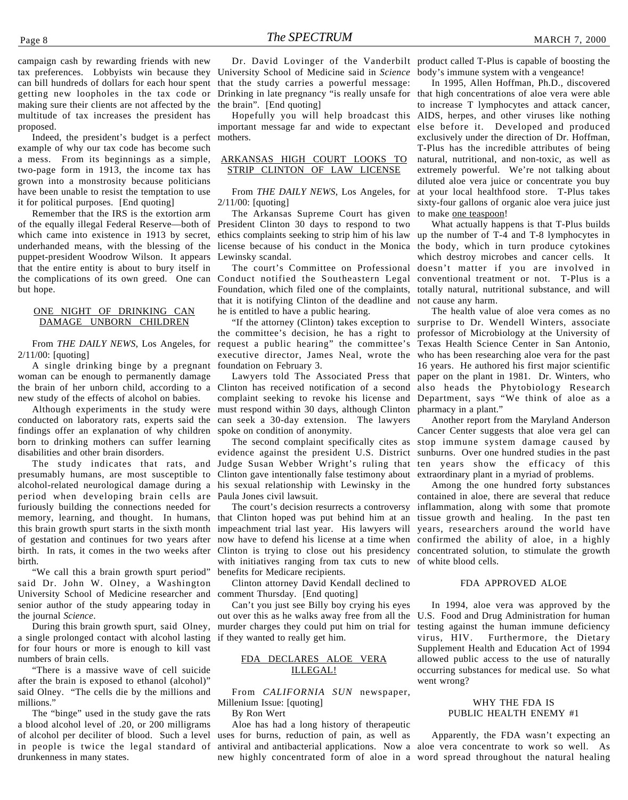Indeed, the president's budget is a perfect example of why our tax code has become such a mess. From its beginnings as a simple, two-page form in 1913, the income tax has grown into a monstrosity because politicians have been unable to resist the temptation to use it for political purposes. [End quoting]

Remember that the IRS is the extortion arm of the equally illegal Federal Reserve—both of President Clinton 30 days to respond to two which came into existence in 1913 by secret, ethics complaints seeking to strip him of his law underhanded means, with the blessing of the license because of his conduct in the Monica puppet-president Woodrow Wilson. It appears Lewinsky scandal. that the entire entity is about to bury itself in but hope.

#### ONE NIGHT OF DRINKING CAN DAMAGE UNBORN CHILDREN

From *THE DAILY NEWS*, Los Angeles, for 2/11/00: [quoting]

A single drinking binge by a pregnant woman can be enough to permanently damage new study of the effects of alcohol on babies.

conducted on laboratory rats, experts said the findings offer an explanation of why children born to drinking mothers can suffer learning disabilities and other brain disorders.

The study indicates that rats, and presumably humans, are most susceptible to alcohol-related neurological damage during a period when developing brain cells are furiously building the connections needed for memory, learning, and thought. In humans, this brain growth spurt starts in the sixth month of gestation and continues for two years after birth. In rats, it comes in the two weeks after birth.

"We call this a brain growth spurt period" said Dr. John W. Olney, a Washington University School of Medicine researcher and senior author of the study appearing today in the journal *Science*.

During this brain growth spurt, said Olney, a single prolonged contact with alcohol lasting if they wanted to really get him. for four hours or more is enough to kill vast numbers of brain cells.

"There is a massive wave of cell suicide after the brain is exposed to ethanol (alcohol)" said Olney. "The cells die by the millions and millions."

The "binge" used in the study gave the rats a blood alcohol level of .20, or 200 milligrams of alcohol per deciliter of blood. Such a level in people is twice the legal standard of drunkenness in many states.

University School of Medicine said in *Science* that the study carries a powerful message: the brain". [End quoting]

Hopefully you will help broadcast this mothers.

#### ARKANSAS HIGH COURT LOOKS TO STRIP CLINTON OF LAW LICENSE

From *THE DAILY NEWS*, Los Angeles, for 2/11/00: [quoting]

The Arkansas Supreme Court has given

the complications of its own greed. One can Conduct notified the Southeastern Legal conventional treatment or not. T-Plus is a The court's Committee on Professional Foundation, which filed one of the complaints, that it is notifying Clinton of the deadline and not cause any harm. he is entitled to have a public hearing.

> the committee's decision, he has a right to professor of Microbiology at the University of request a public hearing" the committee's Texas Health Science Center in San Antonio, executive director, James Neal, wrote the who has been researching aloe vera for the past foundation on February 3.

the brain of her unborn child, according to a Clinton has received notification of a second also heads the Phytobiology Research Although experiments in the study were must respond within 30 days, although Clinton pharmacy in a plant." complaint seeking to revoke his license and Department, says "We think of aloe as a can seek a 30-day extension. The lawyers spoke on condition of anonymity.

> evidence against the president U.S. District sunburns. Over one hundred studies in the past Judge Susan Webber Wright's ruling that ten years show the efficacy of this Clinton gave intentionally false testimony about his sexual relationship with Lewinsky in the Paula Jones civil lawsuit.

> The court's decision resurrects a controversy that Clinton hoped was put behind him at an tissue growth and healing. In the past ten impeachment trial last year. His lawyers will years, researchers around the world have now have to defend his license at a time when confirmed the ability of aloe, in a highly Clinton is trying to close out his presidency concentrated solution, to stimulate the growth with initiatives ranging from tax cuts to new of white blood cells. benefits for Medicare recipients.

Clinton attorney David Kendall declined to comment Thursday. [End quoting]

Can't you just see Billy boy crying his eyes out over this as he walks away free from all the U.S. Food and Drug Administration for human murder charges they could put him on trial for testing against the human immune deficiency

#### FDA DECLARES ALOE VERA ILLEGAL!

From *CALIFORNIA SUN* newspaper, Millenium Issue: [quoting]

By Ron Wert

Aloe has had a long history of therapeutic uses for burns, reduction of pain, as well as antiviral and antibacterial applications. Now a aloe vera concentrate to work so well. As new highly concentrated form of aloe in a word spread throughout the natural healing

Dr. David Lovinger of the Vanderbilt product called T-Plus is capable of boosting the body's immune system with a vengeance!

Drinking in late pregnancy "is really unsafe for that high concentrations of aloe vera were able important message far and wide to expectant else before it. Developed and produced In 1995, Allen Hoffman, Ph.D., discovered to increase T lymphocytes and attack cancer, AIDS, herpes, and other viruses like nothing exclusively under the direction of Dr. Hoffman, T-Plus has the incredible attributes of being natural, nutritional, and non-toxic, as well as extremely powerful. We're not talking about diluted aloe vera juice or concentrate you buy at your local healthfood store. T-Plus takes sixty-four gallons of organic aloe vera juice just to make one teaspoon!

> What actually happens is that T-Plus builds up the number of T-4 and T-8 lymphocytes in the body, which in turn produce cytokines which destroy microbes and cancer cells. It doesn't matter if you are involved in totally natural, nutritional substance, and will

"If the attorney (Clinton) takes exception to surprise to Dr. Wendell Winters, associate Lawyers told The Associated Press that paper on the plant in 1981. Dr. Winters, who The health value of aloe vera comes as no 16 years. He authored his first major scientific

The second complaint specifically cites as stop immune system damage caused by Another report from the Maryland Anderson Cancer Center suggests that aloe vera gel can extraordinary plant in a myriad of problems.

> Among the one hundred forty substances contained in aloe, there are several that reduce inflammation, along with some that promote

#### FDA APPROVED ALOE

In 1994, aloe vera was approved by the virus, HIV. Furthermore, the Dietary Supplement Health and Education Act of 1994 allowed public access to the use of naturally occurring substances for medical use. So what went wrong?

#### WHY THE FDA IS PUBLIC HEALTH ENEMY #1

Apparently, the FDA wasn't expecting an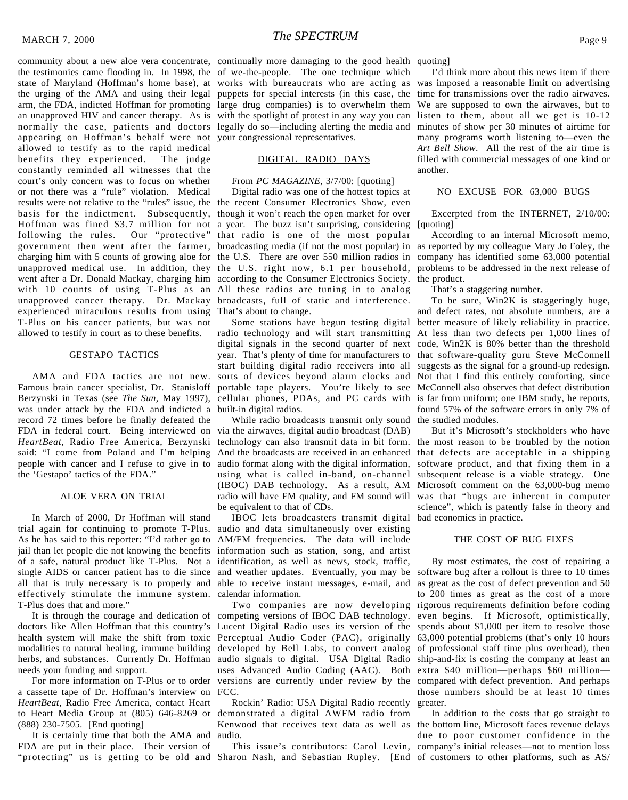community about a new aloe vera concentrate, continually more damaging to the good health quoting] the testimonies came flooding in. In 1998, the of we-the-people. The one technique which state of Maryland (Hoffman's home base), at works with bureaucrats who are acting as the urging of the AMA and using their legal puppets for special interests (in this case, the arm, the FDA, indicted Hoffman for promoting large drug companies) is to overwhelm them an unapproved HIV and cancer therapy. As is with the spotlight of protest in any way you can listen to them, about all we get is 10-12 normally the case, patients and doctors legally do so—including alerting the media and appearing on Hoffman's behalf were not your congressional representatives. allowed to testify as to the rapid medical benefits they experienced. The judge constantly reminded all witnesses that the court's only concern was to focus on whether or not there was a "rule" violation. Medical results were not relative to the "rules" issue, the the recent Consumer Electronics Show, even basis for the indictment. Subsequently, though it won't reach the open market for over Hoffman was fined \$3.7 million for not a year. The buzz isn't surprising, considering following the rules. Our "protective" that radio is one of the most popular government then went after the farmer, broadcasting media (if not the most popular) in as reported by my colleague Mary Jo Foley, the charging him with 5 counts of growing aloe for the U.S. There are over 550 million radios in company has identified some 63,000 potential unapproved medical use. In addition, they the U.S. right now, 6.1 per household, went after a Dr. Donald Mackay, charging him according to the Consumer Electronics Society. the product. with 10 counts of using T-Plus as an All these radios are tuning in to analog unapproved cancer therapy. Dr. Mackay broadcasts, full of static and interference. experienced miraculous results from using That's about to change. T-Plus on his cancer patients, but was not allowed to testify in court as to these benefits.

#### GESTAPO TACTICS

AMA and FDA tactics are not new. was under attack by the FDA and indicted a built-in digital radios. record 72 times before he finally defeated the FDA in federal court. Being interviewed on via the airwaves, digital audio broadcast (DAB) *HeartBeat*, Radio Free America, Berzynski said: "I come from Poland and I'm helping people with cancer and I refuse to give in to the 'Gestapo' tactics of the FDA."

#### ALOE VERA ON TRIAL

In March of 2000, Dr Hoffman will stand trial again for continuing to promote T-Plus. As he has said to this reporter: "I'd rather go to jail than let people die not knowing the benefits information such as station, song, and artist of a safe, natural product like T-Plus. Not a single AIDS or cancer patient has to die since all that is truly necessary is to properly and effectively stimulate the immune system. T-Plus does that and more."

doctors like Allen Hoffman that this country's Lucent Digital Radio uses its version of the health system will make the shift from toxic Perceptual Audio Coder (PAC), originally modalities to natural healing, immune building developed by Bell Labs, to convert analog of professional staff time plus overhead), then herbs, and substances. Currently Dr. Hoffman audio signals to digital. USA Digital Radio ship-and-fix is costing the company at least an needs your funding and support.

a cassette tape of Dr. Hoffman's interview on FCC. *HeartBeat*, Radio Free America, contact Heart to Heart Media Group at (805) 646-8269 or (888) 230-7505. [End quoting]

It is certainly time that both the AMA and FDA are put in their place. Their version of

#### DIGITAL RADIO DAYS

#### From *PC MAGAZINE*, 3/7/00: [quoting]

Digital radio was one of the hottest topics at

Famous brain cancer specialist, Dr. Stanisloff portable tape players. You're likely to see McConnell also observes that defect distribution Berzynski in Texas (see *The Sun,* May 1997), cellular phones, PDAs, and PC cards with is far from uniform; one IBM study, he reports, Some stations have begun testing digital radio technology and will start transmitting At less than two defects per 1,000 lines of digital signals in the second quarter of next year. That's plenty of time for manufacturers to start building digital radio receivers into all sorts of devices beyond alarm clocks and

> While radio broadcasts transmit only sound the studied modules. technology can also transmit data in bit form. And the broadcasts are received in an enhanced audio format along with the digital information, using what is called in-band, on-channel (IBOC) DAB technology. As a result, AM radio will have FM quality, and FM sound will be equivalent to that of CDs.

IBOC lets broadcasters transmit digital audio and data simultaneously over existing AM/FM frequencies. The data will include identification, as well as news, stock, traffic, and weather updates. Eventually, you may be software bug after a rollout is three to 10 times able to receive instant messages, e-mail, and calendar information.

It is through the courage and dedication of competing versions of IBOC DAB technology. For more information on T-Plus or to order versions are currently under review by the compared with defect prevention. And perhaps uses Advanced Audio Coding (AAC). Both extra \$40 million—perhaps \$60 million—

> Rockin' Radio: USA Digital Radio recently demonstrated a digital AWFM radio from Kenwood that receives text data as well as the bottom line, Microsoft faces revenue delays audio.

"protecting" us is getting to be old and Sharon Nash, and Sebastian Rupley. [End of customers to other platforms, such as AS/This issue's contributors: Carol Levin,

I'd think more about this news item if there was imposed a reasonable limit on advertising time for transmissions over the radio airwaves. We are supposed to own the airwaves, but to minutes of show per 30 minutes of airtime for many programs worth listening to—even the *Art Bell Show*. All the rest of the air time is filled with commercial messages of one kind or another.

#### NO EXCUSE FOR 63,000 BUGS

Excerpted from the INTERNET, 2/10/00: [quoting]

According to an internal Microsoft memo, problems to be addressed in the next release of

That's a staggering number.

To be sure, Win2K is staggeringly huge, and defect rates, not absolute numbers, are a better measure of likely reliability in practice. code, Win2K is 80% better than the threshold that software-quality guru Steve McConnell suggests as the signal for a ground-up redesign. Not that I find this entirely comforting, since found 57% of the software errors in only 7% of

But it's Microsoft's stockholders who have the most reason to be troubled by the notion that defects are acceptable in a shipping software product, and that fixing them in a subsequent release is a viable strategy. One Microsoft comment on the 63,000-bug memo was that "bugs are inherent in computer science", which is patently false in theory and bad economics in practice.

#### THE COST OF BUG FIXES

Two companies are now developing rigorous requirements definition before coding By most estimates, the cost of repairing a as great as the cost of defect prevention and 50 to 200 times as great as the cost of a more even begins. If Microsoft, optimistically, spends about \$1,000 per item to resolve those 63,000 potential problems (that's only 10 hours those numbers should be at least 10 times greater.

> In addition to the costs that go straight to due to poor customer confidence in the company's initial releases—not to mention loss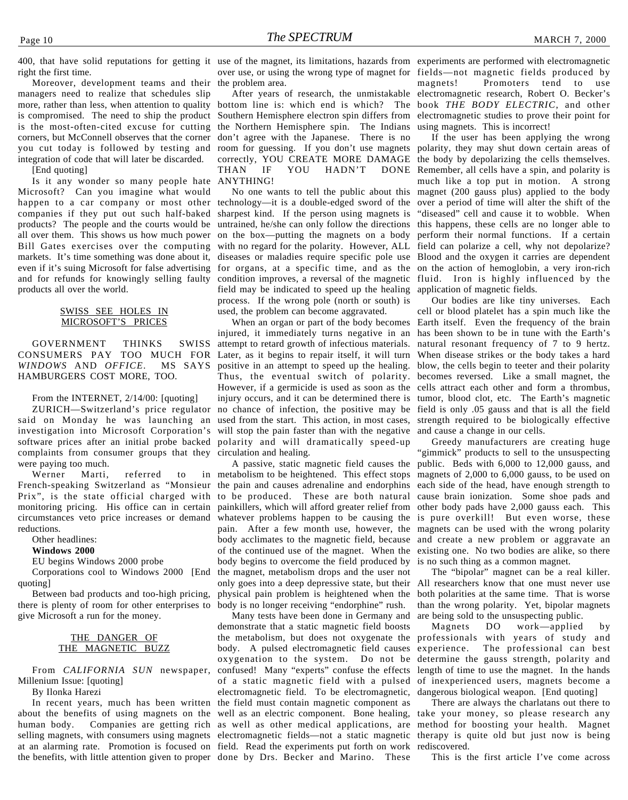right the first time.

Moreover, development teams and their managers need to realize that schedules slip more, rather than less, when attention to quality is compromised. The need to ship the product Southern Hemisphere electron spin differs from is the most-often-cited excuse for cutting corners, but McConnell observes that the corner you cut today is followed by testing and integration of code that will later be discarded.

[End quoting]

Is it any wonder so many people hate Microsoft? Can you imagine what would happen to a car company or most other technology—it is a double-edged sword of the companies if they put out such half-baked products? The people and the courts would be all over them. This shows us how much power Bill Gates exercises over the computing markets. It's time something was done about it, diseases or maladies require specific pole use Blood and the oxygen it carries are dependent even if it's suing Microsoft for false advertising for organs, at a specific time, and as the on the action of hemoglobin, a very iron-rich and for refunds for knowingly selling faulty products all over the world.

#### SWISS SEE HOLES IN MICROSOFT'S PRICES

GOVERNMENT THINKS CONSUMERS PAY TOO MUCH FOR Later, as it begins to repair itself, it will turn *WINDOWS* AND *OFFICE*. HAMBURGERS COST MORE, TOO.

From the INTERNET, 2/14/00: [quoting]

software prices after an initial probe backed polarity and will dramatically speed-up complaints from consumer groups that they circulation and healing. were paying too much.

Werner Marti, referred to French-speaking Switzerland as "Monsieur the pain and causes adrenaline and endorphins Prix", is the state official charged with to be produced. These are both natural monitoring pricing. His office can in certain circumstances veto price increases or demand reductions.

Other headlines:

**Windows 2000**

EU begins Windows 2000 probe

quoting]

Between bad products and too-high pricing, there is plenty of room for other enterprises to give Microsoft a run for the money.

#### THE DANGER OF THE MAGNETIC BUZZ

From *CALIFORNIA SUN* newspaper, Millenium Issue: [quoting]

By Ilonka Harezi

at an alarming rate. Promotion is focused on field. Read the experiments put forth on work the benefits, with little attention given to proper done by Drs. Becker and Marino. These

the problem area.

bottom line is: which end is which? The the Northern Hemisphere spin. The Indians don't agree with the Japanese. There is no room for guessing. If you don't use magnets correctly, YOU CREATE MORE DAMAGE THAN IF YOU HADN'T DONE ANYTHING!

No one wants to tell the public about this sharpest kind. If the person using magnets is untrained, he/she can only follow the directions on the box—putting the magnets on a body with no regard for the polarity. However, ALL field can polarize a cell, why not depolarize? condition improves, a reversal of the magnetic fluid. Iron is highly influenced by the field may be indicated to speed up the healing application of magnetic fields. process. If the wrong pole (north or south) is used, the problem can become aggravated.

ZURICH—Switzerland's price regulator no chance of infection, the positive may be field is only .05 gauss and that is all the field said on Monday he was launching an used from the start. This action, in most cases, strength required to be biologically effective investigation into Microsoft Corporation's will stop the pain faster than with the negative and cause a change in our cells. When an organ or part of the body becomes injured, it immediately turns negative in an SWISS attempt to retard growth of infectious materials. MS SAYS positive in an attempt to speed up the healing. Thus, the eventual switch of polarity. However, if a germicide is used as soon as the cells attract each other and form a thrombus, injury occurs, and it can be determined there is tumor, blood clot, etc. The Earth's magnetic

Corporations cool to Windows 2000 [End the magnet, metabolism drops and the user not A passive, static magnetic field causes the metabolism to be heightened. This effect stops painkillers, which will afford greater relief from whatever problems happen to be causing the pain. After a few month use, however, the body acclimates to the magnetic field, because of the continued use of the magnet. When the body begins to overcome the field produced by only goes into a deep depressive state, but their physical pain problem is heightened when the body is no longer receiving "endorphine" rush.

In recent years, much has been written the field must contain magnetic component as about the benefits of using magnets on the well as an electric component. Bone healing, take your money, so please research any human body. Companies are getting rich as well as other medical applications, are method for boosting your health. Magnet selling magnets, with consumers using magnets electromagnetic fields—not a static magnetic therapy is quite old but just now is being Many tests have been done in Germany and demonstrate that a static magnetic field boosts the metabolism, but does not oxygenate the body. A pulsed electromagnetic field causes experience. The professional can best oxygenation to the system. Do not be confused! Many "experts" confuse the effects length of time to use the magnet. In the hands of a static magnetic field with a pulsed of inexperienced users, magnets become a electromagnetic field. To be electromagnetic,

400, that have solid reputations for getting it use of the magnet, its limitations, hazards from experiments are performed with electromagnetic over use, or using the wrong type of magnet for fields—not magnetic fields produced by After years of research, the unmistakable electromagnetic research, Robert O. Becker's magnets! Promoters tend to use book *THE BODY ELECTRIC*, and other electromagnetic studies to prove their point for using magnets. This is incorrect!

> If the user has been applying the wrong polarity, they may shut down certain areas of the body by depolarizing the cells themselves. Remember, all cells have a spin, and polarity is much like a top put in motion. A strong magnet (200 gauss plus) applied to the body over a period of time will alter the shift of the "diseased" cell and cause it to wobble. When this happens, these cells are no longer able to perform their normal functions. If a certain

> Our bodies are like tiny universes. Each cell or blood platelet has a spin much like the Earth itself. Even the frequency of the brain has been shown to be in tune with the Earth's natural resonant frequency of 7 to 9 hertz. When disease strikes or the body takes a hard blow, the cells begin to teeter and their polarity becomes reversed. Like a small magnet, the

> Greedy manufacturers are creating huge 'gimmick" products to sell to the unsuspecting public. Beds with 6,000 to 12,000 gauss, and magnets of 2,000 to 6,000 gauss, to be used on each side of the head, have enough strength to cause brain ionization. Some shoe pads and other body pads have 2,000 gauss each. This is pure overkill! But even worse, these magnets can be used with the wrong polarity and create a new problem or aggravate an existing one. No two bodies are alike, so there is no such thing as a common magnet.

> The "bipolar" magnet can be a real killer. All researchers know that one must never use both polarities at the same time. That is worse than the wrong polarity. Yet, bipolar magnets are being sold to the unsuspecting public.

> Magnets DO work—applied by professionals with years of study and determine the gauss strength, polarity and dangerous biological weapon. [End quoting]

> There are always the charlatans out there to rediscovered.

This is the first article I've come across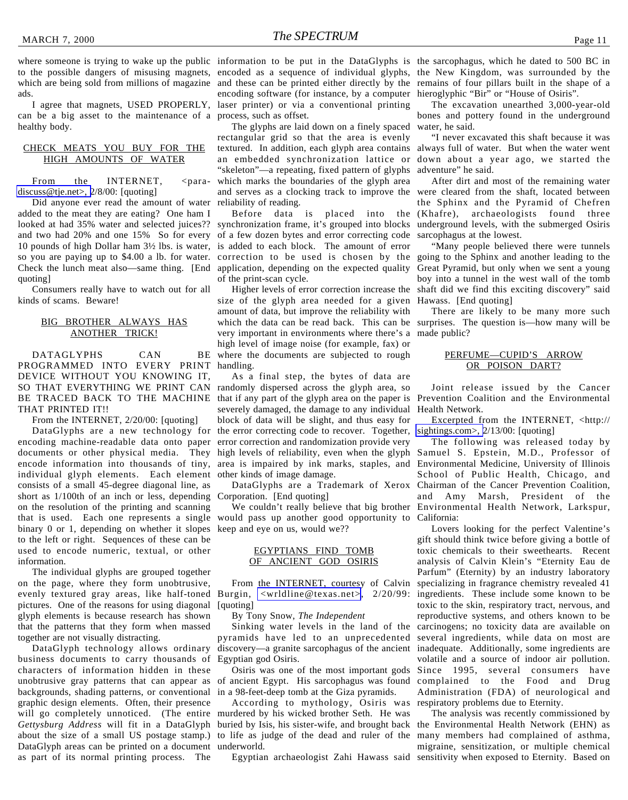where someone is trying to wake up the public information to be put in the DataGlyphs is the sarcophagus, which he dated to 500 BC in to the possible dangers of misusing magnets, encoded as a sequence of individual glyphs, the New Kingdom, was surrounded by the which are being sold from millions of magazine and these can be printed either directly by the remains of four pillars built in the shape of a ads.

can be a big asset to the maintenance of a process, such as offset. healthy body.

#### CHECK MEATS YOU BUY FOR THE HIGH AMOUNTS OF WATER

From the INTERNET, <para[discuss@tje.net>, 2](mailto:para-discuss@tje.net)/8/00: [quoting]

Did anyone ever read the amount of water added to the meat they are eating? One ham I looked at had 35% water and selected juices?? and two had 20% and one 15% So for every of a few dozen bytes and error correcting code 10 pounds of high Dollar ham 3½ lbs. is water, is added to each block. The amount of error so you are paying up to \$4.00 a lb. for water. correction to be used is chosen by the Check the lunch meat also—same thing. [End application, depending on the expected quality quoting]

Consumers really have to watch out for all kinds of scams. Beware!

#### BIG BROTHER ALWAYS HAS ANOTHER TRICK!

DATAGLYPHS CAN BE PROGRAMMED INTO EVERY PRINT DEVICE WITHOUT YOU KNOWING IT, SO THAT EVERYTHING WE PRINT CAN randomly dispersed across the glyph area, so THAT PRINTED IT!!

From the INTERNET, 2/20/00: [quoting]

encoding machine-readable data onto paper documents or other physical media. They high levels of reliability, even when the glyph individual glyph elements. Each element other kinds of image damage. consists of a small 45-degree diagonal line, as short as 1/100th of an inch or less, depending on the resolution of the printing and scanning that is used. Each one represents a single binary 0 or 1, depending on whether it slopes keep and eye on us, would we?? to the left or right. Sequences of these can be used to encode numeric, textual, or other information.

The individual glyphs are grouped together on the page, where they form unobtrusive, evenly textured gray areas, like half-toned Burgin, [<wrldline@texas.net>](mailto:wrldline@texas.net), 2/20/99: pictures. One of the reasons for using diagonal glyph elements is because research has shown that the patterns that they form when massed together are not visually distracting.

DataGlyph technology allows ordinary business documents to carry thousands of characters of information hidden in these unobtrusive gray patterns that can appear as backgrounds, shading patterns, or conventional graphic design elements. Often, their presence will go completely unnoticed. (The entire murdered by his wicked brother Seth. He was *Gettysburg Address* will fit in a DataGlyph buried by Isis, his sister-wife, and brought back about the size of a small US postage stamp.) to life as judge of the dead and ruler of the DataGlyph areas can be printed on a document underworld. as part of its normal printing process. The

I agree that magnets, USED PROPERLY, laser printer) or via a conventional printing encoding software (for instance, by a computer

> The glyphs are laid down on a finely spaced rectangular grid so that the area is evenly textured. In addition, each glyph area contains an embedded synchronization lattice or "skeleton"—a repeating, fixed pattern of glyphs which marks the boundaries of the glyph area and serves as a clocking track to improve the reliability of reading.

> Before data is placed into the synchronization frame, it's grouped into blocks of the print-scan cycle.

Higher levels of error correction increase the size of the glyph area needed for a given amount of data, but improve the reliability with which the data can be read back. This can be surprises. The question is—how many will be very important in environments where there's a made public? high level of image noise (for example, fax) or where the documents are subjected to rough handling.

BE TRACED BACK TO THE MACHINE that if any part of the glyph area on the paper is Prevention Coalition and the Environmental DataGlyphs are a new technology for the error correcting code to recover. Together, encode information into thousands of tiny, area is impaired by ink marks, staples, and Environmental Medicine, University of Illinois As a final step, the bytes of data are severely damaged, the damage to any individual block of data will be slight, and thus easy for error correction and randomization provide very

Corporation. [End quoting]

would pass up another good opportunity to California:

#### EGYPTIANS FIND TOMB OF ANCIENT GOD OSIRIS

From the INTERNET, courtesy of Calvin [quoting]

By Tony Snow, *The Independent*

Sinking water levels in the land of the pyramids have led to an unprecedented discovery—a granite sarcophagus of the ancient inadequate. Additionally, some ingredients are Egyptian god Osiris.

Osiris was one of the most important gods of ancient Egypt. His sarcophagus was found in a 98-feet-deep tomb at the Giza pyramids.

According to mythology, Osiris was

Egyptian archaeologist Zahi Hawass said sensitivity when exposed to Eternity. Based on

hieroglyphic "Bir" or "House of Osiris".

The excavation unearthed 3,000-year-old bones and pottery found in the underground water, he said.

"I never excavated this shaft because it was always full of water. But when the water went down about a year ago, we started the adventure" he said.

After dirt and most of the remaining water were cleared from the shaft, located between the Sphinx and the Pyramid of Chefren (Khafre), archaeologists found three underground levels, with the submerged Osiris sarcophagus at the lowest.

"Many people believed there were tunnels going to the Sphinx and another leading to the Great Pyramid, but only when we sent a young boy into a tunnel in the west wall of the tomb shaft did we find this exciting discovery" said Hawass. [End quoting]

There are likely to be many more such

#### PERFUME—CUPID'S ARROW OR POISON DART?

Joint release issued by the Cancer Health Network.

Excerpted from the INTERNET, <http:// [sightings.com>,](http://www.sightings.com) 2/13/00: [quoting]

DataGlyphs are a Trademark of Xerox Chairman of the Cancer Prevention Coalition, We couldn't really believe that big brother Environmental Health Network, Larkspur, The following was released today by Samuel S. Epstein, M.D., Professor of School of Public Health, Chicago, and and Amy Marsh, President of the

> Lovers looking for the perfect Valentine's gift should think twice before giving a bottle of toxic chemicals to their sweethearts. Recent analysis of Calvin Klein's "Eternity Eau de Parfum" (Eternity) by an industry laboratory specializing in fragrance chemistry revealed 41 ingredients. These include some known to be toxic to the skin, respiratory tract, nervous, and reproductive systems, and others known to be carcinogens; no toxicity data are available on several ingredients, while data on most are volatile and a source of indoor air pollution. Since 1995, several consumers have complained to the Food and Drug Administration (FDA) of neurological and respiratory problems due to Eternity.

> The analysis was recently commissioned by the Environmental Health Network (EHN) as many members had complained of asthma, migraine, sensitization, or multiple chemical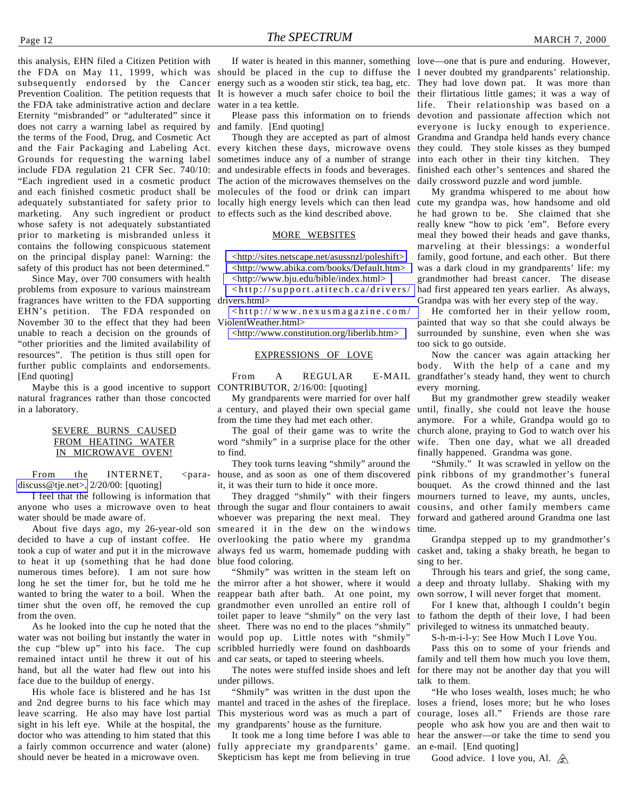this analysis, EHN filed a Citizen Petition with the FDA on May 11, 1999, which was should be placed in the cup to diffuse the I never doubted my grandparents' relationship. subsequently endorsed by the Cancer energy such as a wooden stir stick, tea bag, etc. They had love down pat. It was more than Prevention Coalition. The petition requests that the FDA take administrative action and declare Eternity "misbranded" or "adulterated" since it does not carry a warning label as required by the terms of the Food, Drug, and Cosmetic Act and the Fair Packaging and Labeling Act. Grounds for requesting the warning label include FDA regulation 21 CFR Sec. 740/10: "Each ingredient used in a cosmetic product and each finished cosmetic product shall be adequately substantiated for safety prior to marketing. Any such ingredient or product whose safety is not adequately substantiated prior to marketing is misbranded unless it contains the following conspicuous statement on the principal display panel: Warning: the safety of this product has not been determined."

Since May, over 700 consumers with health problems from exposure to various mainstream fragrances have written to the FDA supporting drivers.html> EHN's petition. The FDA responded on November 30 to the effect that they had been unable to reach a decision on the grounds of "other priorities and the limited availability of resources". The petition is thus still open for further public complaints and endorsements. [End quoting]

Maybe this is a good incentive to support CONTRIBUTOR, 2/16/00: [quoting] natural fragrances rather than those concocted in a laboratory.

#### SEVERE BURNS CAUSED FROM HEATING WATER IN MICROWAVE OVEN!

From the INTERNET, [discuss@tje.net>,](mailto:para-discuss@tje.net) 2/20/00: [quoting]

I feel that the following is information that anyone who uses a microwave oven to heat through the sugar and flour containers to await water should be made aware of.

About five days ago, my 26-year-old son decided to have a cup of instant coffee. He took a cup of water and put it in the microwave to heat it up (something that he had done numerous times before). I am not sure how long he set the timer for, but he told me he wanted to bring the water to a boil. When the timer shut the oven off, he removed the cup from the oven.

As he looked into the cup he noted that the water was not boiling but instantly the water in the cup "blew up" into his face. The cup remained intact until he threw it out of his hand, but all the water had flew out into his face due to the buildup of energy.

His whole face is blistered and he has 1st and 2nd degree burns to his face which may leave scarring. He also may have lost partial sight in his left eye. While at the hospital, the doctor who was attending to him stated that this a fairly common occurrence and water (alone) should never be heated in a microwave oven.

It is however a much safer choice to boil the their flirtatious little games; it was a way of water in a tea kettle.

and family. [End quoting]

Though they are accepted as part of almost every kitchen these days, microwave ovens sometimes induce any of a number of strange and undesirable effects in foods and beverages. The action of the microwaves themselves on the molecules of the food or drink can impart locally high energy levels which can then lead cute my grandpa was, how handsome and old to effects such as the kind described above.

#### MORE WEBSITES

[<http://sites.netscape.net/asussnzl/poleshift>](http://www.sites.netscape.net/asussnzl/poleshift) [<http://www.abika.com/books/Default.htm>](http://www.abika.com/booksDefault.htm) [<http://www.bju.edu/bible/index.html>](http://www.bju.edu/bible/index.html)

[<http://support.atitech.ca/drivers/](http://www.support.atitech.ca/drivers/drivers.html)

[<http://www.nexusmagazine.com/](http://www.nexusmagazine.com/ViolentWeather.html) ViolentWeather.html>

[<http://www.constitution.org/liberlib.htm>](http://www.constitution.org/liberlib.htm)

#### EXPRESSIONS OF LOVE

From A REGULAR E-MAIL

My grandparents were married for over half from the time they had met each other.

The goal of their game was to write the word "shmily" in a surprise place for the other to find.

They took turns leaving "shmily" around the house, and as soon as one of them discovered it, it was their turn to hide it once more.

> They dragged "shmily" with their fingers whoever was preparing the next meal. They smeared it in the dew on the windows time. overlooking the patio where my grandma always fed us warm, homemade pudding with casket and, taking a shaky breath, he began to blue food coloring.

"Shmily" was written in the steam left on the mirror after a hot shower, where it would reappear bath after bath. At one point, my grandmother even unrolled an entire roll of toilet paper to leave "shmily" on the very last sheet. There was no end to the places "shmily" would pop up. Little notes with "shmily" scribbled hurriedly were found on dashboards and car seats, or taped to steering wheels.

The notes were stuffed inside shoes and left under pillows.

"Shmily" was written in the dust upon the mantel and traced in the ashes of the fireplace. This mysterious word was as much a part of my grandparents' house as the furniture.

It took me a long time before I was able to fully appreciate my grandparents' game. Skepticism has kept me from believing in true

If water is heated in this manner, something love—one that is pure and enduring. However, Please pass this information on to friends devotion and passionate affection which not life. Their relationship was based on a everyone is lucky enough to experience. Grandma and Grandpa held hands every chance they could. They stole kisses as they bumped into each other in their tiny kitchen. They finished each other's sentences and shared the daily crossword puzzle and word jumble.

> My grandma whispered to me about how he had grown to be. She claimed that she really knew "how to pick 'em". Before every meal they bowed their heads and gave thanks, marveling at their blessings: a wonderful family, good fortune, and each other. But there was a dark cloud in my grandparents' life: my grandmother had breast cancer. The disease had first appeared ten years earlier. As always, Grandpa was with her every step of the way.

> He comforted her in their yellow room, painted that way so that she could always be surrounded by sunshine, even when she was too sick to go outside.

> Now the cancer was again attacking her body. With the help of a cane and my grandfather's steady hand, they went to church every morning.

a century, and played their own special game until, finally, she could not leave the house But my grandmother grew steadily weaker anymore. For a while, Grandpa would go to church alone, praying to God to watch over his wife. Then one day, what we all dreaded finally happened. Grandma was gone.

> "Shmily." It was scrawled in yellow on the pink ribbons of my grandmother's funeral bouquet. As the crowd thinned and the last mourners turned to leave, my aunts, uncles, cousins, and other family members came forward and gathered around Grandma one last

> Grandpa stepped up to my grandmother's sing to her.

> Through his tears and grief, the song came, a deep and throaty lullaby. Shaking with my own sorrow, I will never forget that moment.

> For I knew that, although I couldn't begin to fathom the depth of their love, I had been privileged to witness its unmatched beauty.

S-h-m-i-l-y: See How Much I Love You.

Pass this on to some of your friends and family and tell them how much you love them, for there may not be another day that you will talk to them.

"He who loses wealth, loses much; he who loses a friend, loses more; but he who loses courage, loses all." Friends are those rare people who ask how you are and then wait to hear the answer—or take the time to send you an e-mail. [End quoting]

Good advice. I love you, Al.  $\hat{\mathcal{S}}$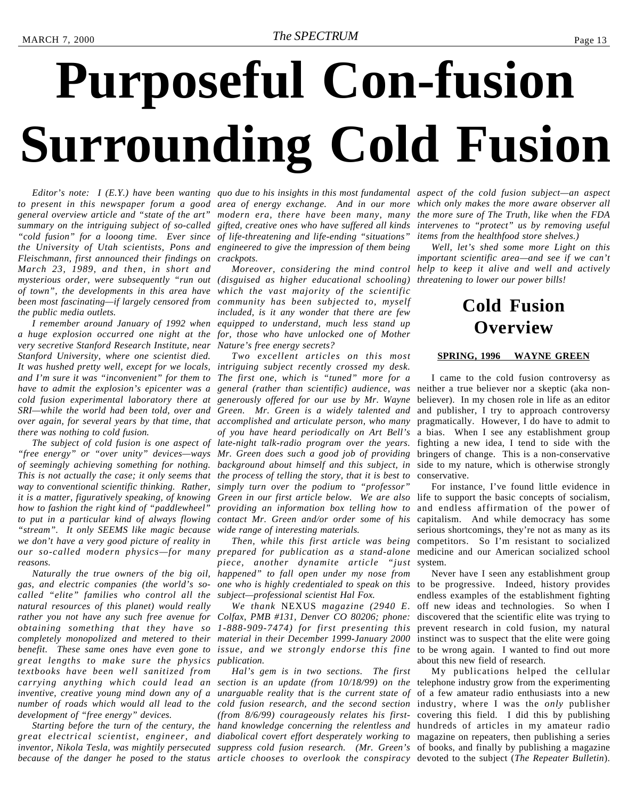# <span id="page-12-0"></span>**Purposeful Con-fusion Surrounding Cold Fusion**

to present in this newspaper forum a good area of energy exchange. And in our more which only makes the more aware observer all *general overview article and "state of the art" modern era, there have been many, many the more sure of The Truth, like when the FDA summary on the intriguing subject of so-called gifted, creative ones who have suffered all kinds intervenes to "protect" us by removing useful "cold fusion" for a looong time. Ever since of life-threatening and life-ending "situations" the University of Utah scientists, Pons and engineered to give the impression of them being Fleischmann, first announced their findings on crackpots. March 23, 1989, and then, in short and mysterious order, were subsequently "run out (disguised as higher educational schooling) threatening to lower our power bills! of town", the developments in this area have which the vast majority of the scientific been most fascinating—if largely censored from community has been subjected to, myself the public media outlets.*

*a huge explosion occurred one night at the for, those who have unlocked one of Mother very secretive Stanford Research Institute, near Nature's free energy secrets? Stanford University, where one scientist died. It was hushed pretty well, except for we locals, intriguing subject recently crossed my desk. and I'm sure it was "inconvenient" for them to have to admit the explosion's epicenter was a cold fusion experimental laboratory there at SRI—while the world had been told, over and over again, for several years by that time, that accomplished and articulate person, who many there was nothing to cold fusion.*

*"free energy" or "over unity" devices—ways of seemingly achieving something for nothing. This is not actually the case; it only seems that the process of telling the story, that it is best to way to conventional scientific thinking. Rather, simply turn over the podium to "professor" it is a matter, figuratively speaking, of knowing how to fashion the right kind of "paddlewheel"* to put in a particular kind of always flowing contact Mr. Green and/or order some of his capitalism. And while democracy has some *"stream". It only SEEMS like magic because we don't have a very good picture of reality in our so-called modern physics—for many prepared for publication as a stand-alone reasons.*

*gas, and electric companies (the world's socalled "elite" families who control all the natural resources of this planet) would really* rather you not have any such free avenue for Colfax, PMB #131, Denver CO 80206; phone: *obtaining something that they have so 1-888-909-7474) for first presenting this completely monopolized and metered to their material in their December 1999-January 2000 benefit. These same ones have even gone to issue, and we strongly endorse this fine great lengths to make sure the physics publication. textbooks have been well sanitized from development of "free energy" devices.*

*great electrical scientist, engineer, and diabolical covert effort desperately working to* magazine on repeaters, then publishing a series *inventor, Nikola Tesla, was mightily persecuted suppress cold fusion research. (Mr. Green's* of books, and finally by publishing a magazine *because of the danger he posed to the status article chooses to overlook the conspiracy* devoted to the subject (*The Repeater Bulletin*).

*I remember around January of 1992 when equipped to understand, much less stand up included, is it any wonder that there are few*

*The subject of cold fusion is one aspect of late-night talk-radio program over the years. Two excellent articles on this most The first one, which is "tuned" more for a general (rather than scientific) audience, was generously offered for our use by Mr. Wayne Green. Mr. Green is a widely talented and of you have heard periodically on Art Bell's Mr. Green does such a good job of providing background about himself and this subject, in Green in our first article below. We are also* life to support the basic concepts of socialism, *providing an information box telling how to wide range of interesting materials.*

*Naturally the true owners of the big oil, happened" to fall open under my nose from Then, while this first article was being piece, another dynamite article "just subject—professional scientist Hal Fox.*

*We thank* NEXUS *magazine (2940 E.*

*carrying anything which could lead an section is an update (from 10/18/99) on the* telephone industry grow from the experimenting inventive, creative young mind down any of a unarguable reality that is the current state of of a few amateur radio enthusiasts into a new *number of roads which would all lead to the cold fusion research, and the second section* industry, where I was the *only* publisher *Starting before the turn of the century, the hand knowledge concerning the relentless and* hundreds of articles in my amateur radio *Hal's gem is in two sections. The first (from 8/6/99) courageously relates his first-*covering this field. I did this by publishing

*Editor's note: I (E.Y.) have been wanting quo due to his insights in this most fundamental aspect of the cold fusion subject—an aspect items from the healthfood store shelves.)*

> *Moreover, considering the mind control help to keep it alive and well and actively Well, let's shed some more Light on this important scientific area—and see if we can't*

### **Cold Fusion Overview**

#### **SPRING, 1996 WAYNE GREEN**

I came to the cold fusion controversy as neither a true believer nor a skeptic (aka nonbeliever). In my chosen role in life as an editor and publisher, I try to approach controversy pragmatically. However, I do have to admit to a bias. When I see any establishment group fighting a new idea, I tend to side with the bringers of change. This is a non-conservative side to my nature, which is otherwise strongly conservative.

For instance, I've found little evidence in and endless affirmation of the power of serious shortcomings, they're not as many as its competitors. So I'm resistant to socialized medicine and our American socialized school system.

*one who is highly credentialed to speak on this* to be progressive. Indeed, history provides Never have I seen any establishment group endless examples of the establishment fighting off new ideas and technologies. So when I discovered that the scientific elite was trying to prevent research in cold fusion, my natural instinct was to suspect that the elite were going to be wrong again. I wanted to find out more about this new field of research.

My publications helped the cellular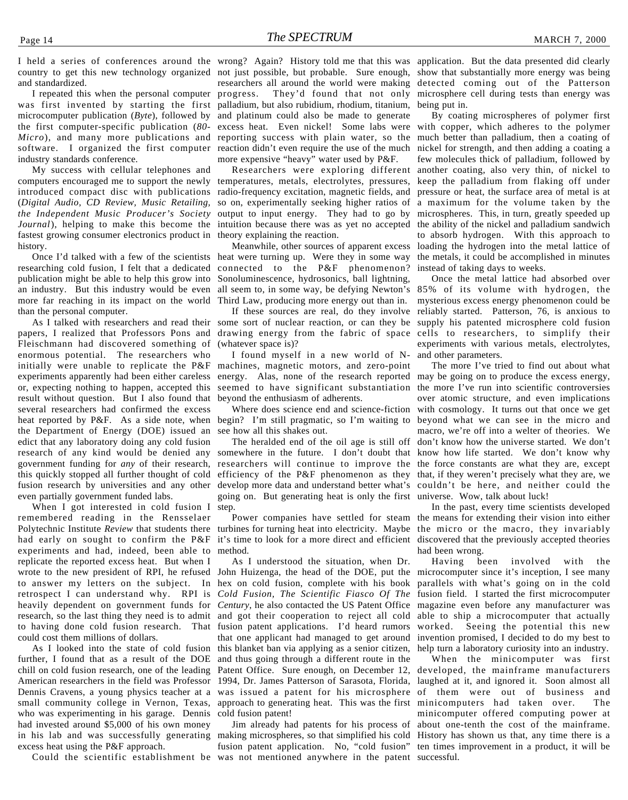and standardized.

was first invented by starting the first palladium, but also rubidium, rhodium, titanium, microcomputer publication (*Byte*), followed by and platinum could also be made to generate the first computer-specific publication (*80- Micro*), and many more publications and reporting success with plain water, so the software. I organized the first computer reaction didn't even require the use of the much industry standards conference.

My success with cellular telephones and computers encouraged me to support the newly introduced compact disc with publications (*Digital Audio, CD Review, Music Retailing, the Independent Music Producer's Society Journal*), helping to make this become the intuition because there was as yet no accepted fastest growing consumer electronics product in history.

researching cold fusion, I felt that a dedicated publication might be able to help this grow into an industry. But this industry would be even more far reaching in its impact on the world than the personal computer.

papers, I realized that Professors Pons and drawing energy from the fabric of space cells to researchers, to simplify their Fleischmann had discovered something of enormous potential. The researchers who initially were unable to replicate the P&F machines, magnetic motors, and zero-point experiments apparently had been either careless energy. Alas, none of the research reported may be going on to produce the excess energy, or, expecting nothing to happen, accepted this result without question. But I also found that several researchers had confirmed the excess heat reported by P&F. As a side note, when begin? I'm still pragmatic, so I'm waiting to beyond what we can see in the micro and the Department of Energy (DOE) issued an edict that any laboratory doing any cold fusion research of any kind would be denied any somewhere in the future. I don't doubt that government funding for *any* of their research, this quickly stopped all further thought of cold even partially government funded labs.

When I got interested in cold fusion I remembered reading in the Rensselaer Polytechnic Institute Review that students there turbines for turning heat into electricity. Maybe the micro or the macro, they invariably had early on sought to confirm the P&F it's time to look for a more direct and efficient discovered that the previously accepted theories experiments and had, indeed, been able to method. replicate the reported excess heat. But when I wrote to the new president of RPI, he refused to answer my letters on the subject. In hex on cold fusion, complete with his book retrospect I can understand why. RPI is heavily dependent on government funds for *Century*, he also contacted the US Patent Office research, so the last thing they need is to admit to having done cold fusion research. That could cost them millions of dollars.

As I looked into the state of cold fusion further, I found that as a result of the DOE chill on cold fusion research, one of the leading American researchers in the field was Professor 1994, Dr. James Patterson of Sarasota, Florida, small community college in Vernon, Texas, who was experimenting in his garage. Dennis had invested around \$5,000 of his own money in his lab and was successfully generating excess heat using the P&F approach.

I held a series of conferences around the wrong? Again? History told me that this was application. But the data presented did clearly country to get this new technology organized not just possible, but probable. Sure enough, show that substantially more energy was being I repeated this when the personal computer progress. They'd found that not only researchers all around the world were making detected coming out of the Patterson excess heat. Even nickel! Some labs were more expensive "heavy" water used by P&F.

> Researchers were exploring different temperatures, metals, electrolytes, pressures, radio-frequency excitation, magnetic fields, and so on, experimentally seeking higher ratios of a maximum for the volume taken by the output to input energy. They had to go by theory explaining the reaction.

Once I'd talked with a few of the scientists heat were turning up. Were they in some way connected to the P&F phenomenon? Sonoluminescence, hydrosonics, ball lightning, all seem to, in some way, be defying Newton's 85% of its volume with hydrogen, the Third Law, producing more energy out than in.

(whatever space is)?

I found myself in a new world of Nseemed to have significant substantiation the more I've run into scientific controversies beyond the enthusiasm of adherents.

see how all this shakes out.

fusion research by universities and any other develop more data and understand better what's couldn't be here, and neither could the The heralded end of the oil age is still off researchers will continue to improve the the force constants are what they are, except efficiency of the P&F phenomenon as they that, if they weren't precisely what they are, we going on. But generating heat is only the first universe. Wow, talk about luck! step.

Dennis Cravens, a young physics teacher at a was issued a patent for his microsphere of them were out of business and As I understood the situation, when Dr. John Huizenga, the head of the DOE, put the *Cold Fusion, The Scientific Fiasco Of The* and got their cooperation to reject all cold fusion patent applications. I'd heard rumors that one applicant had managed to get around this blanket ban via applying as a senior citizen, and thus going through a different route in the Patent Office. Sure enough, on December 12, approach to generating heat. This was the first cold fusion patent!

Could the scientific establishment be was not mentioned anywhere in the patent successful.making microspheres, so that simplified his cold History has shown us that, any time there is a fusion patent application. No, "cold fusion" ten times improvement in a product, it will be

microsphere cell during tests than energy was being put in.

Meanwhile, other sources of apparent excess loading the hydrogen into the metal lattice of By coating microspheres of polymer first with copper, which adheres to the polymer much better than palladium, then a coating of nickel for strength, and then adding a coating a few molecules thick of palladium, followed by another coating, also very thin, of nickel to keep the palladium from flaking off under pressure or heat, the surface area of metal is at microspheres. This, in turn, greatly speeded up the ability of the nickel and palladium sandwich to absorb hydrogen. With this approach to the metals, it could be accomplished in minutes instead of taking days to weeks.

As I talked with researchers and read their some sort of nuclear reaction, or can they be supply his patented microsphere cold fusion If these sources are real, do they involve reliably started. Patterson, 76, is anxious to Once the metal lattice had absorbed over mysterious excess energy phenomenon could be experiments with various metals, electrolytes, and other parameters.

> Where does science end and science-fiction with cosmology. It turns out that once we get The more I've tried to find out about what over atomic structure, and even implications macro, we're off into a welter of theories. We don't know how the universe started. We don't know how life started. We don't know why

> Power companies have settled for steam the means for extending their vision into either In the past, every time scientists developed had been wrong.

Having been involved with the microcomputer since it's inception, I see many parallels with what's going on in the cold fusion field. I started the first microcomputer magazine even before any manufacturer was able to ship a microcomputer that actually worked. Seeing the potential this new invention promised, I decided to do my best to help turn a laboratory curiosity into an industry.

Jim already had patents for his process of about one-tenth the cost of the mainframe. When the minicomputer was first developed, the mainframe manufacturers laughed at it, and ignored it. Soon almost all minicomputers had taken over. The minicomputer offered computing power at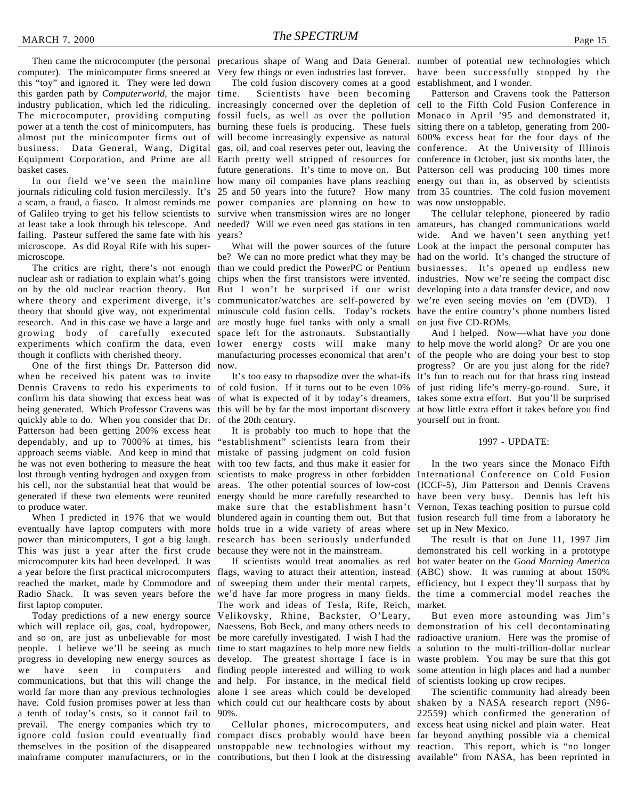computer). The minicomputer firms sneered at Very few things or even industries last forever. have been successfully stopped by the this "toy" and ignored it. They were led down this garden path by *Computerworld,* the major industry publication, which led the ridiculing. increasingly concerned over the depletion of cell to the Fifth Cold Fusion Conference in The microcomputer, providing computing fossil fuels, as well as over the pollution Monaco in April '95 and demonstrated it, power at a tenth the cost of minicomputers, has burning these fuels is producing. These fuels sitting there on a tabletop, generating from 200 almost put the minicomputer firms out of will become increasingly expensive as natural 600% excess heat for the four days of the business. Data General, Wang, Digital gas, oil, and coal reserves peter out, leaving the conference. At the University of Illinois Equipment Corporation, and Prime are all Earth pretty well stripped of resources for conference in October, just six months later, the basket cases.

In our field we've seen the mainline journals ridiculing cold fusion mercilessly. It's a scam, a fraud, a fiasco. It almost reminds me power companies are planning on how to of Galileo trying to get his fellow scientists to at least take a look through his telescope. And needed? Will we even need gas stations in ten amateurs, has changed communications world failing. Pasteur suffered the same fate with his microscope. As did Royal Rife with his supermicroscope.

nuclear ash or radiation to explain what's going on by the old nuclear reaction theory. But But I won't be surprised if our wrist developing into a data transfer device, and now where theory and experiment diverge, it's theory that should give way, not experimental research. And in this case we have a large and growing body of carefully executed experiments which confirm the data, even lower energy costs will make many to help move the world along? Or are you one though it conflicts with cherished theory.

One of the first things Dr. Patterson did when he received his patent was to invite Dennis Cravens to redo his experiments to of cold fusion. If it turns out to be even 10% confirm his data showing that excess heat was of what is expected of it by today's dreamers, takes some extra effort. But you'll be surprised being generated. Which Professor Cravens was this will be by far the most important discovery at how little extra effort it takes before you find quickly able to do. When you consider that Dr. Patterson had been getting 200% excess heat dependably, and up to 7000% at times, his approach seems viable. And keep in mind that he was not even bothering to measure the heat lost through venting hydrogen and oxygen from his cell, nor the substantial heat that would be generated if these two elements were reunited to produce water.

When I predicted in 1976 that we would eventually have laptop computers with more holds true in a wide variety of areas where power than minicomputers, I got a big laugh. research has been seriously underfunded This was just a year after the first crude because they were not in the mainstream. microcomputer kits had been developed. It was a year before the first practical microcomputers flags, waving to attract their attention, instead (ABC) show. It was running at about 150% reached the market, made by Commodore and Radio Shack. It was seven years before the we'd have far more progress in many fields. the time a commercial model reaches the first laptop computer.

Today predictions of a new energy source which will replace oil, gas, coal, hydropower, and so on, are just as unbelievable for most be more carefully investigated. I wish I had the radioactive uranium. Here was the promise of people. I believe we'll be seeing as much time to start magazines to help more new fields a solution to the multi-trillion-dollar nuclear progress in developing new energy sources as we have seen in computers and finding people interested and willing to work communications, but that this will change the and help. For instance, in the medical field world far more than any previous technologies alone I see areas which could be developed have. Cold fusion promises power at less than which could cut our healthcare costs by about shaken by a NASA research report (N96 a tenth of today's costs, so it cannot fail to 90%. prevail. The energy companies which try to ignore cold fusion could eventually find compact discs probably would have been far beyond anything possible via a chemical themselves in the position of the disappeared unstoppable new technologies without my reaction. This report, which is "no longer

The cold fusion discovery comes at a good establishment, and I wonder. Scientists have been becoming survive when transmission wires are no longer years?

The critics are right, there's not enough than we could predict the PowerPC or Pentium businesses. It's opened up endless new be? We can no more predict what they may be had on the world. It's changed the structure of chips when the first transistors were invented. industries. Now we're seeing the compact disc communicator/watches are self-powered by we're even seeing movies on 'em (DVD). I minuscule cold fusion cells. Today's rockets have the entire country's phone numbers listed are mostly huge fuel tanks with only a small on just five CD-ROMs. space left for the astronauts. Substantially manufacturing processes economical that aren't of the people who are doing your best to stop now.

of the 20th century.

It is probably too much to hope that the "establishment" scientists learn from their mistake of passing judgment on cold fusion with too few facts, and thus make it easier for scientists to make progress in other forbidden International Conference on Cold Fusion areas. The other potential sources of low-cost energy should be more carefully researched to make sure that the establishment hasn't blundered again in counting them out. But that

If scientists would treat anomalies as red of sweeping them under their mental carpets, The work and ideas of Tesla, Rife, Reich, market. Velikovsky, Rhine, Backster, O'Leary, Naessens, Bob Beck, and many others needs to demonstration of his cell decontaminating develop. The greatest shortage I face is in waste problem. You may be sure that this got

Then came the microcomputer (the personal precarious shape of Wang and Data General. number of potential new technologies which

future generations. It's time to move on. But Patterson cell was producing 100 times more how many oil companies have plans reaching energy out than in, as observed by scientists 25 and 50 years into the future? How many from 35 countries. The cold fusion movement Patterson and Cravens took the Patterson was now unstoppable.

What will the power sources of the future Look at the impact the personal computer has The cellular telephone, pioneered by radio wide. And we haven't seen anything yet!

It's too easy to rhapsodize over the what-ifs It's fun to reach out for that brass ring instead And I helped. Now—what have *you* done progress? Or are you just along for the ride? of just riding life's merry-go-round. Sure, it yourself out in front.

#### 1997 - UPDATE:

In the two years since the Monaco Fifth (ICCF-5), Jim Patterson and Dennis Cravens have been very busy. Dennis has left his Vernon, Texas teaching position to pursue cold fusion research full time from a laboratory he set up in New Mexico.

The result is that on June 11, 1997 Jim demonstrated his cell working in a prototype hot water heater on the *Good Morning America* efficiency, but I expect they'll surpass that by

But even more astounding was Jim's some attention in high places and had a number of scientists looking up crow recipes.

mainframe computer manufacturers, or in the contributions, but then I look at the distressing available" from NASA, has been reprinted inCellular phones, microcomputers, and excess heat using nickel and plain water. Heat The scientific community had already been 22559) which confirmed the generation of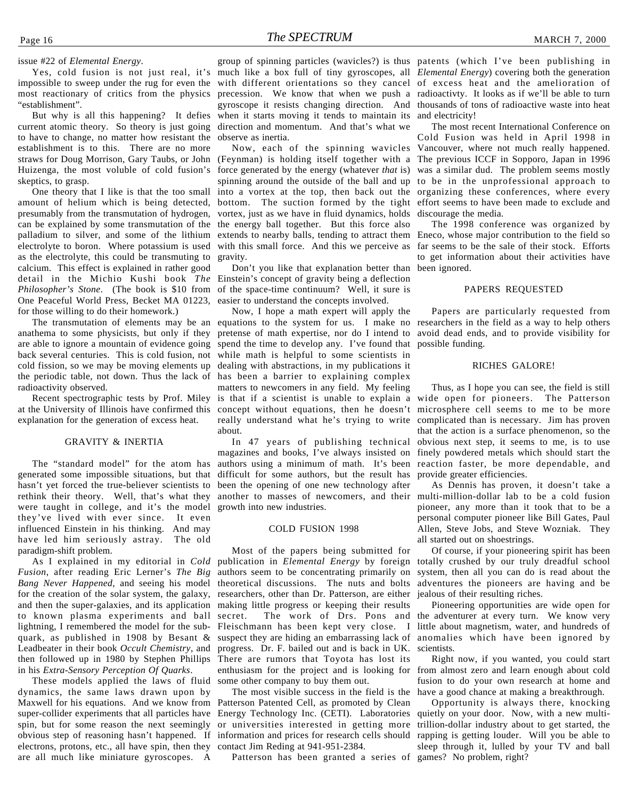issue #22 of *Elemental Energy*.

impossible to sweep under the rug for even the with different orientations so they cancel of excess heat and the amelioration of most reactionary of critics from the physics "establishment".

But why is all this happening? It defies current atomic theory. So theory is just going to have to change, no matter how resistant the establishment is to this. There are no more straws for Doug Morrison, Gary Taubs, or John (Feynman) is holding itself together with a The previous ICCF in Sopporo, Japan in 1996 Huizenga, the most voluble of cold fusion's skeptics, to grasp.

One theory that I like is that the too small amount of helium which is being detected, presumably from the transmutation of hydrogen, can be explained by some transmutation of the the energy ball together. But this force also palladium to silver, and some of the lithium extends to nearby balls, tending to attract them Eneco, whose major contribution to the field so electrolyte to boron. Where potassium is used with this small force. And this we perceive as far seems to be the sale of their stock. Efforts as the electrolyte, this could be transmuting to calcium. This effect is explained in rather good detail in the Michio Kushi book *The* Einstein's concept of gravity being a deflection *Philosopher's Stone*. (The book is \$10 from of the space-time continuum? Well, it sure is One Peaceful World Press, Becket MA 01223, easier to understand the concepts involved. for those willing to do their homework.)

anathema to some physicists, but only if they are able to ignore a mountain of evidence going spend the time to develop any. I've found that possible funding. back several centuries. This is cold fusion, not while math is helpful to some scientists in cold fission, so we may be moving elements up dealing with abstractions, in my publications it the periodic table, not down. Thus the lack of has been a barrier to explaining complex radioactivity observed.

explanation for the generation of excess heat.

#### GRAVITY & INERTIA

The "standard model" for the atom has generated some impossible situations, but that hasn't yet forced the true-believer scientists to rethink their theory. Well, that's what they were taught in college, and it's the model they've lived with ever since. It even influenced Einstein in his thinking. And may have led him seriously astray. The old paradigm-shift problem.

*Fusion*, after reading Eric Lerner's *The Big Bang Never Happened*, and seeing his model for the creation of the solar system, the galaxy, and then the super-galaxies, and its application to known plasma experiments and ball lightning, I remembered the model for the subquark, as published in 1908 by Besant & Leadbeater in their book *Occult Chemistry*, and then followed up in 1980 by Stephen Phillips in his *Extra-Sensory Perception Of Quarks*.

These models applied the laws of fluid dynamics, the same laws drawn upon by Maxwell for his equations. And we know from Patterson Patented Cell, as promoted by Clean super-collider experiments that all particles have Energy Technology Inc. (CETI). Laboratories spin, but for some reason the next seemingly obvious step of reasoning hasn't happened. If information and prices for research cells should electrons, protons, etc., all have spin, then they are all much like miniature gyroscopes. A

Yes, cold fusion is not just real, it's much like a box full of tiny gyroscopes, all *Elemental Energy*) covering both the generation group of spinning particles (wavicles?) is thus patents (which I've been publishing in precession. We know that when we push a radioactivty. It looks as if we'll be able to turn gyroscope it resists changing direction. And thousands of tons of radioactive waste into heat when it starts moving it tends to maintain its and electricity! direction and momentum. And that's what we observe as inertia.

> vortex, just as we have in fluid dynamics, holds gravity.

Don't you like that explanation better than been ignored.

The transmutation of elements may be an equations to the system for us. I make no researchers in the field as a way to help others Recent spectrographic tests by Prof. Miley is that if a scientist is unable to explain a wide open for pioneers. The Patterson at the University of Illinois have confirmed this concept without equations, then he doesn't microsphere cell seems to me to be more Now, I hope a math expert will apply the pretense of math expertise, nor do I intend to avoid dead ends, and to provide visibility for matters to newcomers in any field. My feeling really understand what he's trying to write complicated than is necessary. Jim has proven about.

> magazines and books, I've always insisted on authors using a minimum of math. It's been reaction faster, be more dependable, and difficult for some authors, but the result has been the opening of one new technology after another to masses of newcomers, and their multi-million-dollar lab to be a cold fusion growth into new industries.

#### COLD FUSION 1998

Most of the papers being submitted for authors seem to be concentrating primarily on theoretical discussions. The nuts and bolts researchers, other than Dr. Patterson, are either making little progress or keeping their results secret. The work of Drs. Pons and Fleischmann has been kept very close. I progress. Dr. F. bailed out and is back in UK. There are rumors that Toyota has lost its enthusiasm for the project and is looking for some other company to buy them out.

The most visible success in the field is the or universities interested in getting more contact Jim Reding at 941-951-2384.

Patterson has been granted a series of games? No problem, right?

Now, each of the spinning wavicles Vancouver, where not much really happened. force generated by the energy (whatever *that* is) was a similar dud. The problem seems mostly spinning around the outside of the ball and up to be in the unprofessional approach to into a vortex at the top, then back out the organizing these conferences, where every bottom. The suction formed by the tight effort seems to have been made to exclude and The most recent International Conference on Cold Fusion was held in April 1998 in discourage the media.

> The 1998 conference was organized by to get information about their activities have

#### PAPERS REQUESTED

Papers are particularly requested from

#### RICHES GALORE!

In 47 years of publishing technical obvious next step, it seems to me, is to use Thus, as I hope you can see, the field is still that the action is a surface phenomenon, so the finely powdered metals which should start the provide greater efficiencies.

> As Dennis has proven, it doesn't take a pioneer, any more than it took that to be a personal computer pioneer like Bill Gates, Paul Allen, Steve Jobs, and Steve Wozniak. They all started out on shoestrings.

As I explained in my editorial in *Cold* publication in *Elemental Energy* by foreign totally crushed by our truly dreadful school Of course, if your pioneering spirit has been system, then all you can do is read about the adventures the pioneers are having and be jealous of their resulting riches.

> suspect they are hiding an embarrassing lack of anomalies which have been ignored by Pioneering opportunities are wide open for the adventurer at every turn. We know very little about magnetism, water, and hundreds of scientists.

> > Right now, if you wanted, you could start from almost zero and learn enough about cold fusion to do your own research at home and have a good chance at making a breakthrough.

> > Opportunity is always there, knocking quietly on your door. Now, with a new multitrillion-dollar industry about to get started, the rapping is getting louder. Will you be able to sleep through it, lulled by your TV and ball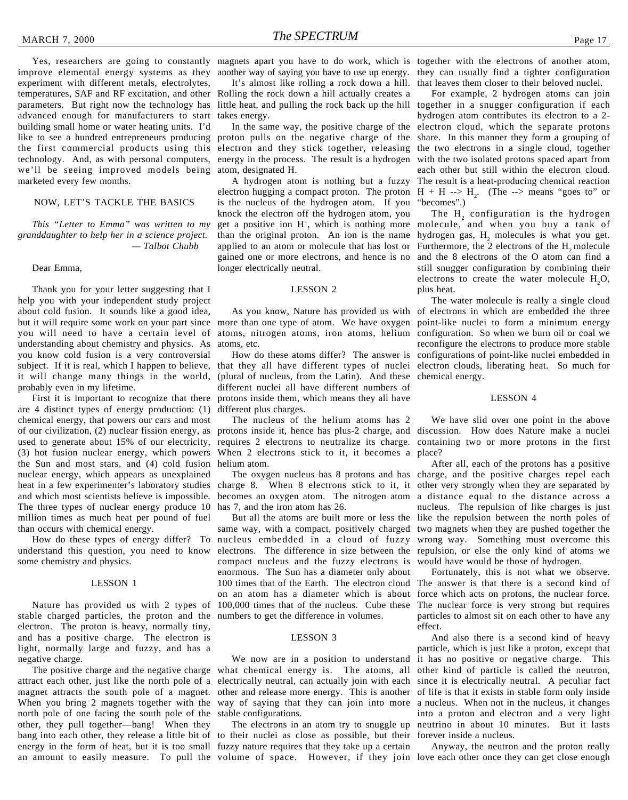improve elemental energy systems as they anotherway of saying you have to use upenergy. they can usually find a tighter configuration experiment with different metals, electrolytes, temperatures, SAF and RF excitation, and other Rolling the rock down a hill actually creates a parameters. But right now the technology has advanced enough for manufacturers to start building small home or water heating units. I'd like to see a hundred entrepreneurs producing the first commercial products using this technology. And, as with personal computers, we'll be seeing improved models being marketed every few months.

#### NOW, LET'S TACKLE THE BASICS

*This "Letter to Emma" was written to my granddaughter to help her in a science project. — Talbot Chubb*

#### Dear Emma,

Thank you for your letter suggesting that I help you with your independent study project about cold fusion. It sounds like a good idea, but it will require some work on your part since more than one type of atom. We have oxygen point-like nuclei to form a minimum energy you will need to have a certain level of understanding about chemistry and physics. As you know cold fusion is a very controversial subject. If it is real, which I happen to believe, that they all have different types of nuclei electron clouds, liberating heat. So much for it will change many things in the world, probably even in my lifetime.

are 4 distinct types of energy production: (1) chemical energy, that powers our cars and most (3) hot fusion nuclear energy, which powers the Sun and most stars, and (4) cold fusion helium atom. nuclear energy, which appears as unexplained heat in a few experimenter's laboratory studies and which most scientists believe is impossible. The three types of nuclear energy produce 10 million times as much heat per pound of fuel than occurs with chemical energy.

understand this question, you need to know some chemistry and physics.

#### LESSON 1

Nature has provided us with 2 types of stable charged particles, the proton and the numbers to get the difference in volumes. electron. The proton is heavy, normally tiny, and has a positive charge. The electron is light, normally large and fuzzy, and has a negative charge.

attract each other, just like the north pole of a electrically neutral, can actually join with each since it is electrically neutral. A peculiar fact magnet attracts the south pole of a magnet. other and release more energy. This is another of life is that it exists in stable form only inside When you bring 2 magnets together with the way of saying that they can join into more a nucleus. When not in the nucleus, it changes north pole of one facing the south pole of the stable configurations. other, they pull together—bang! When they bang into each other, they release a little bit of to their nuclei as close as possible, but their energy in the form of heat, but it is too small fuzzy nature requires that they take up a certain an amount to easily measure. To pull the volume of space. However, if they join love each other once they can get close enough

It's almost like rolling a rock down a hill. that leaves them closer to their beloved nuclei. takes energy.

proton pulls on the negative charge of the electron and they stick together, releasing the two electrons in a single cloud, together energy in the process. The result is a hydrogen atom, designated H.

A hydrogen atom is nothing but a fuzzy electron hugging a compact proton. The proton  $H + H \rightarrow H_2$ . (The --> means "goes to" or is the nucleus of the hydrogen atom. If you knock the electron off the hydrogen atom, you get a positive ion H+, which is nothing more molecule, and when you buy a tank of than the original proton. An ion is the name hydrogen gas,  $H_2$  molecules is what you get. applied to an atom or molecule that has lost or Furthermore, the 2 electrons of the  $H_2$  molecule gained one or more electrons, and hence is no and the 8 electrons of the O atom can find a longer electrically neutral.

#### LESSON 2

atoms, etc.

First it is important to recognize that there protons inside them, which means they all have (plural of nucleus, from the Latin). And these chemical energy. different nuclei all have different numbers of different plus charges.

of our civilization, (2) nuclear fission energy, as protons inside it, hence has plus-2 charge, and discussion. How does Nature make a nuclei used to generate about 15% of our electricity, requires 2 electrons to neutralize its charge. containing two or more protons in the first The nucleus of the helium atoms has 2 When 2 electrons stick to it, it becomes a place?

> charge 8. When 8 electrons stick to it, it other very strongly when they are separated by becomes an oxygen atom. The nitrogen atom has 7, and the iron atom has 26.

How do these types of energy differ? To nucleus embedded in a cloud of fuzzy same way, with a compact, positively charged electrons. The difference in size between the repulsion, or else the only kind of atoms we compact nucleus and the fuzzy electrons is enormous. The Sun has a diameter only about 100 times that of the Earth. The electron cloud on an atom has a diameter which is about force which acts on protons, the nuclear force. 100,000 times that of the nucleus. Cube these

#### LESSON 3

The positive charge and the negative charge what chemical energy is. The atoms, all other kind of particle is called the neutron,

Yes, researchers are going to constantly magnets apart you have to do work, which is together with the electrons of another atom,

little heat, and pulling the rock back up the hill together in a snugger configuration if each In the same way, the positive charge of the electron cloud, which the separate protons For example, 2 hydrogen atoms can join hydrogen atom contributes its electron to a 2 share. In this manner they form a grouping of with the two isolated protons spaced apart from each other but still within the electron cloud. The result is a heat-producing chemical reaction "becomes".)

> The  $H<sub>2</sub>$  configuration is the hydrogen still snugger configuration by combining their electrons to create the water molecule  $H_2O$ , plus heat.

As you know, Nature has provided us with of electrons in which are embedded the three atoms, nitrogen atoms, iron atoms, helium configuration. So when we burn oil or coal we How do these atoms differ? The answer is configurations of point-like nuclei embedded in The water molecule is really a single cloud reconfigure the electrons to produce more stable

#### LESSON 4

We have slid over one point in the above

The oxygen nucleus has 8 protons and has charge, and the positive charges repel each But all the atoms are built more or less the like the repulsion between the north poles of After all, each of the protons has a positive a distance equal to the distance across a nucleus. The repulsion of like charges is just two magnets when they are pushed together the wrong way. Something must overcome this would have would be those of hydrogen.

> Fortunately, this is not what we observe. The answer is that there is a second kind of The nuclear force is very strong but requires particles to almost sit on each other to have any effect.

We now are in a position to understand it has no positive or negative charge. This The electrons in an atom try to snuggle up neutrino in about 10 minutes. But it lasts And also there is a second kind of heavy particle, which is just like a proton, except that into a proton and electron and a very light forever inside a nucleus.

Anyway, the neutron and the proton really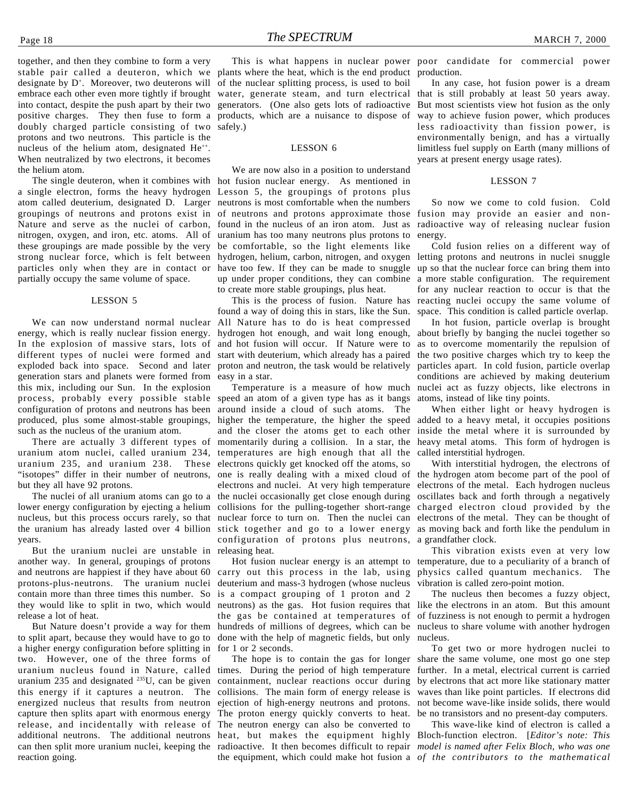together, and then they combine to form a very stable pair called a deuteron, which we plants where the heat, which is the end product production. designate by D<sup>+</sup>. Moreover, two deuterons will of the nuclear splitting process, is used to boil embrace each other even more tightly if brought water, generate steam, and turn electrical into contact, despite the push apart by their two generators. (One also gets lots of radioactive positive charges. They then fuse to form a products, which are a nuisance to dispose of doubly charged particle consisting of two safely.) protons and two neutrons. This particle is the nucleus of the helium atom, designated He<sup>++</sup>. When neutralized by two electrons, it becomes the helium atom.

a single electron, forms the heavy hydrogen Lesson 5, the groupings of protons plus atom called deuterium, designated D. Larger neutrons is most comfortable when the numbers groupings of neutrons and protons exist in of neutrons and protons approximate those Nature and serve as the nuclei of carbon, found in the nucleus of an iron atom. Just as nitrogen, oxygen, and iron, etc. atoms. All of uranium has too many neutrons plus protons to these groupings are made possible by the very be comfortable, so the light elements like strong nuclear force, which is felt between hydrogen, helium, carbon, nitrogen, and oxygen letting protons and neutrons in nuclei snuggle particles only when they are in contact or have too few. If they can be made to snuggle up so that the nuclear force can bring them into partially occupy the same volume of space.

#### LESSON 5

We can now understand normal nuclear energy, which is really nuclear fission energy. In the explosion of massive stars, lots of different types of nuclei were formed and start with deuterium, which already has a paired exploded back into space. Second and later proton and neutron, the task would be relatively particles apart. In cold fusion, particle overlap generation stars and planets were formed from easy in a star. this mix, including our Sun. In the explosion process, probably every possible stable speed an atom of a given type has as it bangs configuration of protons and neutrons has been produced, plus some almost-stable groupings, such as the nucleus of the uranium atom.

uranium atom nuclei, called uranium 234, temperatures are high enough that all the uranium 235, and uranium 238. These electrons quickly get knocked off the atoms, so but they all have 92 protons.

The nuclei of all uranium atoms can go to a lower energy configuration by ejecting a helium nucleus, but this process occurs rarely, so that years.

But the uranium nuclei are unstable in releasing heat. another way. In general, groupings of protons and neutrons are happiest if they have about 60 protons-plus-neutrons. The uranium nuclei contain more than three times this number. So is a compact grouping of 1 proton and 2 they would like to split in two, which would release a lot of heat.

But Nature doesn't provide a way for them to split apart, because they would have to go to a higher energy configuration before splitting in two. However, one of the three forms of uranium nucleus found in Nature, called times. During the period of high temperature further. In a metal, electrical current is carried uranium 235 and designated <sup>235</sup>U, can be given containment, nuclear reactions occur during by electrons that act more like stationary matter this energy if it captures a neutron. The collisions. The main form of energy release is waves than like point particles. If electrons did energized nucleus that results from neutron ejection of high-energy neutrons and protons. not become wave-like inside solids, there would capture then splits apart with enormous energy The proton energy quickly converts to heat. be no transistors and no present-day computers. release, and incidentally with release of The neutron energy can also be converted to additional neutrons. The additional neutrons heat, but makes the equipment highly Bloch-function electron. [*Editor's note: This* can then split more uranium nuclei, keeping the radioactive. It then becomes difficult to repair model is named after Felix Bloch, who was one reaction going.

#### LESSON 6

The single deuteron, when it combines with hot fusion nuclear energy. As mentioned in We are now also in a position to understand up under proper conditions, they can combine a more stable configuration. The requirement to create more stable groupings, plus heat.

> This is the process of fusion. Nature has found a way of doing this in stars, like the Sun. All Nature has to do is heat compressed hydrogen hot enough, and wait long enough, about briefly by banging the nuclei together so and hot fusion will occur. If Nature were to

There are actually 3 different types of momentarily during a collision. In a star, the heavy metal atoms. This form of hydrogen is "isotopes" differ in their number of neutrons, one is really dealing with a mixed cloud of the hydrogen atom become part of the pool of the uranium has already lasted over 4 billion stick together and go to a lower energy as moving back and forth like the pendulum in around inside a cloud of such atoms. The higher the temperature, the higher the speed added to a heavy metal, it occupies positions and the closer the atoms get to each other inside the metal where it is surrounded by electrons and nuclei. At very high temperature the nuclei occasionally get close enough during collisions for the pulling-together short-range nuclear force to turn on. Then the nuclei can electrons of the metal. They can be thought of configuration of protons plus neutrons, a grandfather clock.

> carry out this process in the lab, using physics called quantum mechanics. The deuterium and mass-3 hydrogen (whose nucleus neutrons) as the gas. Hot fusion requires that the gas be contained at temperatures of hundreds of millions of degrees, which can be nucleus to share volume with another hydrogen done with the help of magnetic fields, but only for 1 or 2 seconds.

This is what happens in nuclear power poor candidate for commercial power

In any case, hot fusion power is a dream that is still probably at least 50 years away. But most scientists view hot fusion as the only way to achieve fusion power, which produces less radioactivity than fission power, is environmentally benign, and has a virtually limitless fuel supply on Earth (many millions of years at present energy usage rates).

#### LESSON 7

So now we come to cold fusion. Cold fusion may provide an easier and nonradioactive way of releasing nuclear fusion energy.

Cold fusion relies on a different way of for any nuclear reaction to occur is that the reacting nuclei occupy the same volume of space. This condition is called particle overlap.

Temperature is a measure of how much nuclei act as fuzzy objects, like electrons in In hot fusion, particle overlap is brought as to overcome momentarily the repulsion of the two positive charges which try to keep the conditions are achieved by making deuterium atoms, instead of like tiny points.

When either light or heavy hydrogen is called interstitial hydrogen.

With interstitial hydrogen, the electrons of electrons of the metal. Each hydrogen nucleus oscillates back and forth through a negatively charged electron cloud provided by the

Hot fusion nuclear energy is an attempt to temperature, due to a peculiarity of a branch of This vibration exists even at very low vibration is called zero-point motion.

> The nucleus then becomes a fuzzy object, like the electrons in an atom. But this amount of fuzziness is not enough to permit a hydrogen nucleus.

The hope is to contain the gas for longer share the same volume, one most go one step To get two or more hydrogen nuclei to

the equipment, which could make hot fusion a *of the contributors to the mathematical*This wave-like kind of electron is called a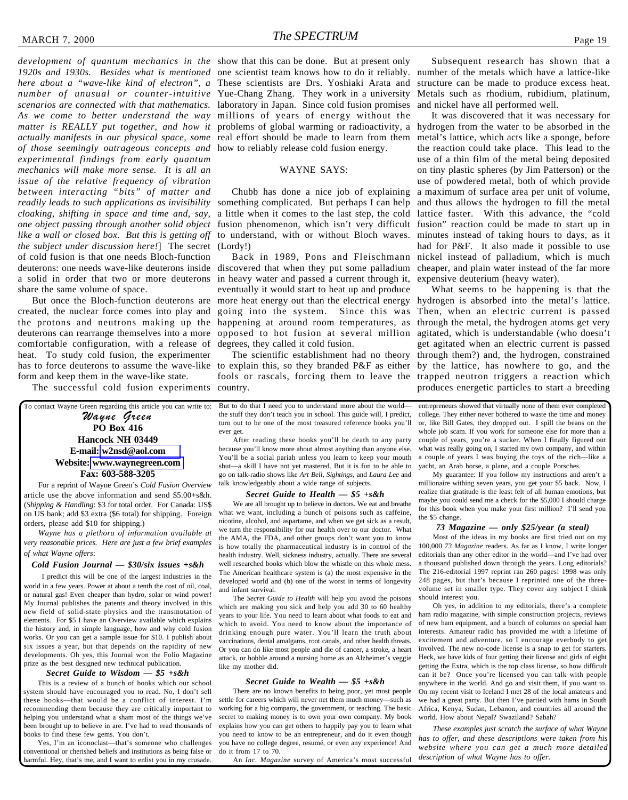*1920s and 1930s. Besides what is mentioned* one scientist team knows how to do it reliably. *here about a "wave-like kind of electron", a* These scientists are Drs. Yoshiaki Arata and *number of unusual or counter-intuitive* Yue-Chang Zhang. They work in a university *scenarios are connected with that mathematics.* laboratory in Japan. Since cold fusion promises *As we come to better understand the way* millions of years of energy without the *matter is REALLY put together, and how it* problems of global warming or radioactivity, a *actually manifests in our physical space, some* real effort should be made to learn from them *of those seemingly outrageous concepts and* how to reliably release cold fusion energy. *experimental findings from early quantum mechanics will make more sense. It is all an issue of the relative frequency of vibration between interacting "bits" of matter and readily leads to such applications as invisibility* something complicated. But perhaps I can help *cloaking, shifting in space and time and, say,* a little when it comes to the last step, the cold lattice faster. With this advance, the "cold one object passing through another solid object fusion phenomenon, which isn't very difficult fusion" reaction could be made to start up in *like a wall or closed box. But this is getting off* to understand, with or without Bloch waves. *the subject under discussion here!*] The secret (Lordy!) of cold fusion is that one needs Bloch-function deuterons: one needs wave-like deuterons inside discovered that when they put some palladium cheaper, and plain water instead of the far more a solid in order that two or more deuterons in heavy water and passed a current through it, share the same volume of space.

But once the Bloch-function deuterons are created, the nuclear force comes into play and the protons and neutrons making up the deuterons can rearrange themselves into a more comfortable configuration, with a release of heat. To study cold fusion, the experimenter has to force deuterons to assume the wave-like to explain this, so they branded P&F as either by the lattice, has nowhere to go, and the form and keep them in the wave-like state.

The successful cold fusion experiments country.

To contact Wayne Green regarding this article you can write to: Wayne Green **PO Box 416 Hancock NH 03449 E-mail: [w2nsd@aol.com](mailto:w2nsd@aol.com) Website: [www.waynegreen.com](http://www.waynegreen.com) Fax: 603-588-3205**

For a reprint of Wayne Green's *Cold Fusion Overview* article use the above information and send \$5.00+s&h. (*Shipping & Handling*: \$3 for total order. For Canada: US\$ on US bank; add \$3 extra (\$6 total) for shipping. Foreign orders, please add \$10 for shipping.)

*Wayne has a plethora of information available at very reasonable prices. Here are just a few brief examples of what Wayne offers*:

#### *Cold Fusion Journal — \$30/six issues +s&h*

I predict this will be one of the largest industries in the world in a few years. Power at about a tenth the cost of oil, coal, or natural gas! Even cheaper than hydro, solar or wind power! My Journal publishes the patents and theory involved in this new field of solid-state physics and the transmutation of elements. For \$5 I have an Overview available which explains the history and, in simple language, how and why cold fusion works. Or you can get a sample issue for \$10. I publish about six issues a year, but that depends on the rapidity of new developments. Oh yes, this Journal won the Folio Magazine prize as the best designed new technical publication.

#### *Secret Guide to Wisdom — \$5 +s&h*

This is a review of a bunch of books which our school system should have encouraged you to read. No, I don't sell these books—that would be a conflict of interest. I'm recommending them because they are critically important to helping you understand what a sham most of the things we've been brought up to believe in are. I've had to read thousands of books to find these few gems. You don't.

Yes, I'm an iconoclast—that's someone who challenges conventional or cherished beliefs and institutions as being false or harmful. Hey, that's me, and I want to enlist you in my crusade.

#### WAYNE SAYS:

Chubb has done a nice job of explaining

Back in 1989, Pons and Fleischmann eventually it would start to heat up and produce more heat energy out than the electrical energy hydrogen is absorbed into the metal's lattice. going into the system. Since this was Then, when an electric current is passed happening at around room temperatures, as opposed to hot fusion at several million degrees, they called it cold fusion.

fools or rascals, forcing them to leave the trapped neutron triggers a reaction which

But to do that I need you to understand more about the world the stuff they don't teach you in school. This guide will, I predict, turn out to be one of the most treasured reference books you'll ever get.

After reading these books you'll be death to any party because you'll know more about almost anything than anyone else. You'll be a social pariah unless you learn to keep your mouth shut—a skill I have not yet mastered. But it is fun to be able to go on talk-radio shows like *Art Bell*, *Sightings*, and *Laura Lee* and talk knowledgeably about a wide range of subjects.

#### *Secret Guide to Health — \$5 +s&h*

We are all brought up to believe in doctors. We eat and breathe what we want, including a bunch of poisons such as caffeine, nicotine, alcohol, and aspartame, and when we get sick as a result, we turn the responsibility for our health over to our doctor. What the AMA, the FDA, and other groups don't want you to know is how totally the pharmaceutical industry is in control of the health industry. Well, sickness industry, actually. There are several well researched books which blow the whistle on this whole mess. The American healthcare system is (a) the most expensive in the developed world and (b) one of the worst in terms of longevity and infant survival.

The *Secret Guide to Health* will help you avoid the poisons which are making you sick and help you add 30 to 60 healthy years to your life. You need to learn about what foods to eat and which to avoid. You need to know about the importance of drinking enough pure water. You'll learn the truth about vaccinations, dental amalgams, root canals, and other health threats. Or you can do like most people and die of cancer, a stroke, a heart attack, or hobble around a nursing home as an Alzheimer's veggie like my mother did.

#### *Secret Guide to Wealth — \$5 +s&h*

There are no known benefits to being poor, yet most people settle for careers which will never net them much money—such as working for a big company, the government, or teaching. The basic secret to making money is to own your own company. My book explains how you can get others to happily pay you to learn what you need to know to be an entrepreneur, and do it even though you have no college degree, resumé, or even any experience! And do it from 17 to 70.

An *Inc. Magazine* survey of America's most successful

Subsequent research has shown that a number of the metals which have a lattice-like structure can be made to produce excess heat. Metals such as rhodium, rubidium, platinum, and nickel have all performed well.

It was discovered that it was necessary for hydrogen from the water to be absorbed in the metal's lattice, which acts like a sponge, before the reaction could take place. This lead to the use of a thin film of the metal being deposited on tiny plastic spheres (by Jim Patterson) or the use of powdered metal, both of which provide a maximum of surface area per unit of volume, and thus allows the hydrogen to fill the metal minutes instead of taking hours to days, as it had for P&F. It also made it possible to use nickel instead of palladium, which is much expensive deuterium (heavy water).

The scientific establishment had no theory through them?) and, the hydrogen, constrained What seems to be happening is that the through the metal, the hydrogen atoms get very agitated, which is understandable (who doesn't get agitated when an electric current is passed produces energetic particles to start a breeding

> entrepreneurs showed that virtually none of them ever completed college. They either never bothered to waste the time and money or, like Bill Gates, they dropped out. I spill the beans on the whole job scam. If you work for someone else for more than a couple of years, you're a sucker. When I finally figured out what was really going on, I started my own company, and within a couple of years I was buying the toys of the rich—like a yacht, an Arab horse, a plane, and a couple Porsches.

> My guarantee: If you follow my instructions and aren't a millionaire withing seven years, you get your \$5 back. Now, I realize that gratitude is the least felt of all human emotions, but maybe you could send me a check for the \$5,000 I should charge for this book when you make your first million? I'll send you the \$5 change.

#### *73 Magazine — only \$25/year (a steal)*

Most of the ideas in my books are first tried out on my 100,000 *73 Magazine* readers. As far as I know, I write longer editorials than any other editor in the world—and I've had over a thousand published down through the years. Long editorials? The 216-editorial 1997 reprint ran 260 pages! 1998 was only 248 pages, but that's because I reprinted one of the threevolume set in smaller type. They cover any subject I think should interest you.

Oh yes, in addition to my editorials, there's a complete ham radio magazine, with simple construction projects, reviews of new ham equipment, and a bunch of columns on special ham interests. Amateur radio has provided me with a lifetime of excitement and adventure, so I encourage everbody to get involved. The new no-code license is a snap to get for starters. Heck, we have kids of four getting their license and girls of eight getting the Extra, which is the top class license, so how difficult can it be? Once you're licensed you can talk with people anywhere in the world. And go and visit them, if you want to. On my recent visit to Iceland I met 28 of the local amateurs and we had a great party. But then I've partied with hams in South Africa, Kenya, Sudan, Lebanon, and countries all around the world. How about Nepal? Swaziland? Sabah?

*These examples just scratch the surface of what Wayne has to offer, and these descriptions were taken from his website where you can get a much more detailed description of what Wayne has to offer.*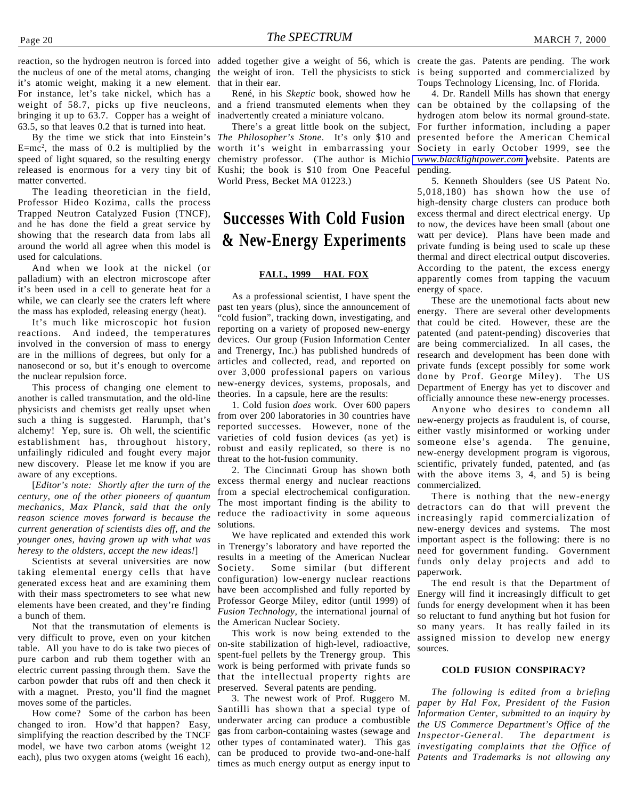reaction, so the hydrogen neutron is forced into added together give a weight of 56, which is create the gas. Patents are pending. The work the nucleus of one of the metal atoms, changing the weight of iron. Tell the physicists to stick is being supported and commercialized by it's atomic weight, making it a new element. For instance, let's take nickel, which has a weight of 58.7, picks up five neucleons, bringing it up to 63.7. Copper has a weight of 63.5, so that leaves 0.2 that is turned into heat.

By the time we stick that into Einstein's  $E=mc^2$ , the mass of 0.2 is multiplied by the speed of light squared, so the resulting energy released is enormous for a very tiny bit of matter converted.

The leading theoretician in the field, Professor Hideo Kozima, calls the process Trapped Neutron Catalyzed Fusion (TNCF), and he has done the field a great service by showing that the research data from labs all around the world all agree when this model is used for calculations.

And when we look at the nickel (or palladium) with an electron microscope after it's been used in a cell to generate heat for a while, we can clearly see the craters left where the mass has exploded, releasing energy (heat).

It's much like microscopic hot fusion reactions. And indeed, the temperatures involved in the conversion of mass to energy are in the millions of degrees, but only for a nanosecond or so, but it's enough to overcome the nuclear repulsion force.

This process of changing one element to another is called transmutation, and the old-line physicists and chemists get really upset when such a thing is suggested. Harumph, that's alchemy! Yep, sure is. Oh well, the scientific establishment has, throughout history, unfailingly ridiculed and fought every major new discovery. Please let me know if you are aware of any exceptions.

[*Editor's note: Shortly after the turn of the century, one of the other pioneers of quantum mechanics, Max Planck, said that the only reason science moves forward is because the current generation of scientists dies off, and the younger ones, having grown up with what was heresy to the oldsters, accept the new ideas!*]

Scientists at several universities are now taking elemental energy cells that have generated excess heat and are examining them with their mass spectrometers to see what new elements have been created, and they're finding a bunch of them.

Not that the transmutation of elements is very difficult to prove, even on your kitchen table. All you have to do is take two pieces of pure carbon and rub them together with an electric current passing through them. Save the carbon powder that rubs off and then check it with a magnet. Presto, you'll find the magnet moves some of the particles.

How come? Some of the carbon has been changed to iron. How'd that happen? Easy, simplifying the reaction described by the TNCF model, we have two carbon atoms (weight 12 each), plus two oxygen atoms (weight 16 each),

that in their ear.

René, in his *Skeptic* book, showed how he inadvertently created a miniature volcano.

There's a great little book on the subject, *The Philosopher's Stone*. It's only \$10 and chemistry professor. (The author is Michio Kushi; the book is \$10 from One Peaceful World Press, Becket MA 01223.)

### **Successes With Cold Fusion & New-Energy Experiments**

#### **FALL, 1999 HAL FOX**

As a professional scientist, I have spent the past ten years (plus), since the announcement of "cold fusion", tracking down, investigating, and reporting on a variety of proposed new-energy devices. Our group (Fusion Information Center and Trenergy, Inc.) has published hundreds of articles and collected, read, and reported on over 3,000 professional papers on various new-energy devices, systems, proposals, and theories. In a capsule, here are the results:

1. Cold fusion *does* work. Over 600 papers from over 200 laboratories in 30 countries have reported successes. However, none of the varieties of cold fusion devices (as yet) is robust and easily replicated, so there is no threat to the hot-fusion community.

2. The Cincinnati Group has shown both excess thermal energy and nuclear reactions from a special electrochemical configuration. The most important finding is the ability to reduce the radioactivity in some aqueous solutions.

We have replicated and extended this work in Trenergy's laboratory and have reported the results in a meeting of the American Nuclear Society. Some similar (but different configuration) low-energy nuclear reactions have been accomplished and fully reported by Professor George Miley, editor (until 1999) of *Fusion Technology,* the international journal of the American Nuclear Society.

This work is now being extended to the on-site stabilization of high-level, radioactive, spent-fuel pellets by the Trenergy group. This work is being performed with private funds so that the intellectual property rights are preserved. Several patents are pending.

3. The newest work of Prof. Ruggero M. Santilli has shown that a special type of underwater arcing can produce a combustible gas from carbon-containing wastes (sewage and other types of contaminated water). This gas can be produced to provide two-and-one-half times as much energy output as energy input to

Toups Technology Licensing, Inc. of Florida.

and a friend transmuted elements when they can be obtained by the collapsing of the worth it's weight in embarrassing your Society in early October 1999, see the 4. Dr. Randell Mills has shown that energy hydrogen atom below its normal ground-state. For further information, including a paper presented before the American Chemical *[www.blacklightpower.com](http://www.blacklightpower.com)* website. Patents are pending.

> 5. Kenneth Shoulders (see US Patent No. 5,018,180) has shown how the use of high-density charge clusters can produce both excess thermal and direct electrical energy. Up to now, the devices have been small (about one watt per device). Plans have been made and private funding is being used to scale up these thermal and direct electrical output discoveries. According to the patent, the excess energy apparently comes from tapping the vacuum energy of space.

> These are the unemotional facts about new energy. There are several other developments that could be cited. However, these are the patented (and patent-pending) discoveries that are being commercialized. In all cases, the research and development has been done with private funds (except possibly for some work done by Prof. George Miley). The US Department of Energy has yet to discover and officially announce these new-energy processes.

> Anyone who desires to condemn all new-energy projects as fraudulent is, of course, either vastly misinformed or working under someone else's agenda. The genuine, new-energy development program is vigorous, scientific, privately funded, patented, and (as with the above items 3, 4, and 5) is being commercialized.

> There is nothing that the new-energy detractors can do that will prevent the increasingly rapid commercialization of new-energy devices and systems. The most important aspect is the following: there is no need for government funding. Government funds only delay projects and add to paperwork.

> The end result is that the Department of Energy will find it increasingly difficult to get funds for energy development when it has been so reluctant to fund anything but hot fusion for so many years. It has really failed in its assigned mission to develop new energy sources.

#### **COLD FUSION CONSPIRACY?**

*The following is edited from a briefing paper by Hal Fox, President of the Fusion Information Center, submitted to an inquiry by the US Commerce Department's Office of the Inspector-General. The department is investigating complaints that the Office of Patents and Trademarks is not allowing any*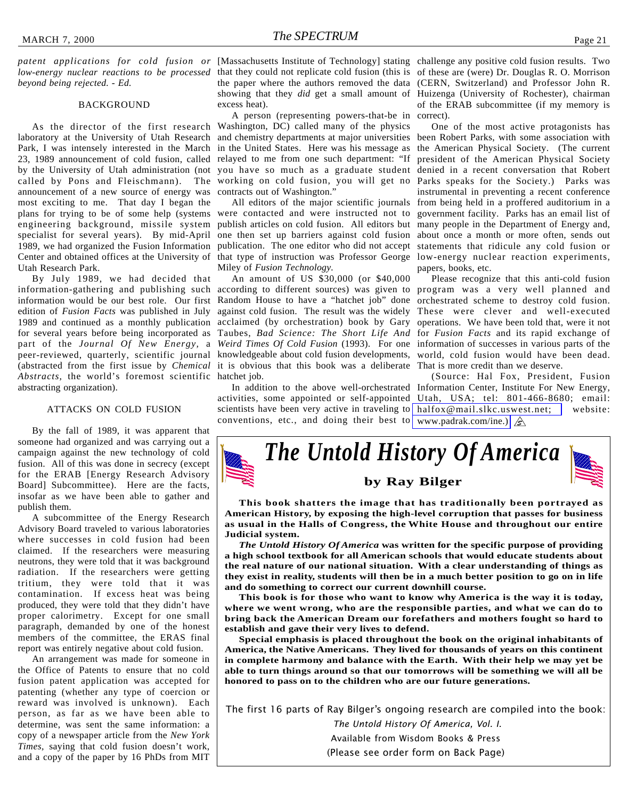*beyond being rejected. - Ed.*

#### BACKGROUND

laboratory at the University of Utah Research and chemistry departments at major universities Park, I was intensely interested in the March in the United States. Here was his message as the American Physical Society. (The current 23, 1989 announcement of cold fusion, called relayed to me from one such department: "If by the University of Utah administration (not you have so much as a graduate student denied in a recent conversation that Robert called by Pons and Fleischmann). The announcement of a new source of energy was most exciting to me. That day I began the plans for trying to be of some help (systems engineering background, missile system specialist for several years). By mid-April 1989, we had organized the Fusion Information publication. The one editor who did not accept statements that ridicule any cold fusion or Center and obtained offices at the University of Utah Research Park.

By July 1989, we had decided that information-gathering and publishing such according to different sources) was given to program was a very well planned and information would be our best role. Our first Random House to have a "hatchet job" done orchestrated scheme to destroy cold fusion. edition of *Fusion Facts* was published in July against cold fusion. The result was the widely These were clever and well-executed 1989 and continued as a monthly publication acclaimed (by orchestration) book by Gary operations. We have been told that, were it not for several years before being incorporated as Taubes, *Bad Science: The Short Life And* for *Fusion Facts* and its rapid exchange of part of the *Journal Of New Energy,* a *Weird Times Of Cold Fusion* (1993). For one information of successes in various parts of the peer-reviewed, quarterly, scientific journal knowledgeable about cold fusion developments, world, cold fusion would have been dead. (abstracted from the first issue by *Chemical* it is obvious that this book was a deliberate That is more credit than we deserve. *Abstracts,* the world's foremost scientific hatchet job. abstracting organization).

#### ATTACKS ON COLD FUSION

By the fall of 1989, it was apparent that someone had organized and was carrying out a campaign against the new technology of cold fusion. All of this was done in secrecy (except for the ERAB [Energy Research Advisory Board] Subcommittee). Here are the facts, insofar as we have been able to gather and publish them.

A subcommittee of the Energy Research Advisory Board traveled to various laboratories where successes in cold fusion had been claimed. If the researchers were measuring neutrons, they were told that it was background radiation. If the researchers were getting tritium, they were told that it was contamination. If excess heat was being produced, they were told that they didn't have proper calorimetry. Except for one small paragraph, demanded by one of the honest members of the committee, the ERAS final report was entirely negative about cold fusion.

An arrangement was made for someone in the Office of Patents to ensure that no cold fusion patent application was accepted for patenting (whether any type of coercion or reward was involved is unknown). Each person, as far as we have been able to determine, was sent the same information: a copy of a newspaper article from the *New York Times,* saying that cold fusion doesn't work, and a copy of the paper by 16 PhDs from MIT

patent applications for cold fusion or [Massachusetts Institute of Technology] stating challenge any positive cold fusion results. Two low-energy nuclear reactions to be processed that they could not replicate cold fusion (this is of these are (were) Dr. Douglas R. O. Morrison the paper where the authors removed the data (CERN, Switzerland) and Professor John R. showing that they *did* get a small amount of Huizenga (University of Rochester), chairman excess heat).

As the director of the first research Washington, DC) called many of the physics A person (representing powers-that-be in working on cold fusion, you will get no contracts out of Washington."

> All editors of the major scientific journals were contacted and were instructed not to publish articles on cold fusion. All editors but many people in the Department of Energy and, one then set up barriers against cold fusion about once a month or more often, sends out that type of instruction was Professor George low-energy nuclear reaction experiments, Miley of *Fusion Technology.*

An amount of US \$30,000 (or \$40,000

conventions, etc., and doing their best to [www.padrak.com/ine.\)](http://www.padrak.com/ine) 

of the ERAB subcommittee (if my memory is correct).

One of the most active protagonists has been Robert Parks, with some association with president of the American Physical Society Parks speaks for the Society.) Parks was instrumental in preventing a recent conference from being held in a proffered auditorium in a government facility. Parks has an email list of papers, books, etc.

Please recognize that this anti-cold fusion

In addition to the above well-orchestrated Information Center, Institute For New Energy, activities, some appointed or self-appointed Utah, USA; tel: 801-466-8680; email: scientists have been very active in traveling to [halfox@mail.slkc.uswest.net;](mailto:halfox@mail.slkc.uswest.net) website: (Source: Hal Fox, President, Fusion



**This book shatters the image that has traditionally been portrayed as American History, by exposing the high-level corruption that passes for business as usual in the Halls of Congress, the White House and throughout our entire Judicial system.**

*The Untold History Of America* **was written for the specific purpose of providing a high school textbook for all American schools that would educate students about the real nature of our national situation. With a clear understanding of things as they exist in reality, students will then be in a much better position to go on in life and do something to correct our current downhill course.**

**This book is for those who want to know why America is the way it is today, where we went wrong, who are the responsible parties, and what we can do to bring back the American Dream our forefathers and mothers fought so hard to establish and gave their very lives to defend.**

**Special emphasis is placed throughout the book on the original inhabitants of America, the Native Americans. They lived for thousands of years on this continent in complete harmony and balance with the Earth. With their help we may yet be able to turn things around so that our tomorrows will be something we will all be honored to pass on to the children who are our future generations.**

The first 16 parts of Ray Bilger's ongoing research are compiled into the book:

The Untold History Of America, Vol. I. Available from Wisdom Books & Press (Please see order form on Back Page)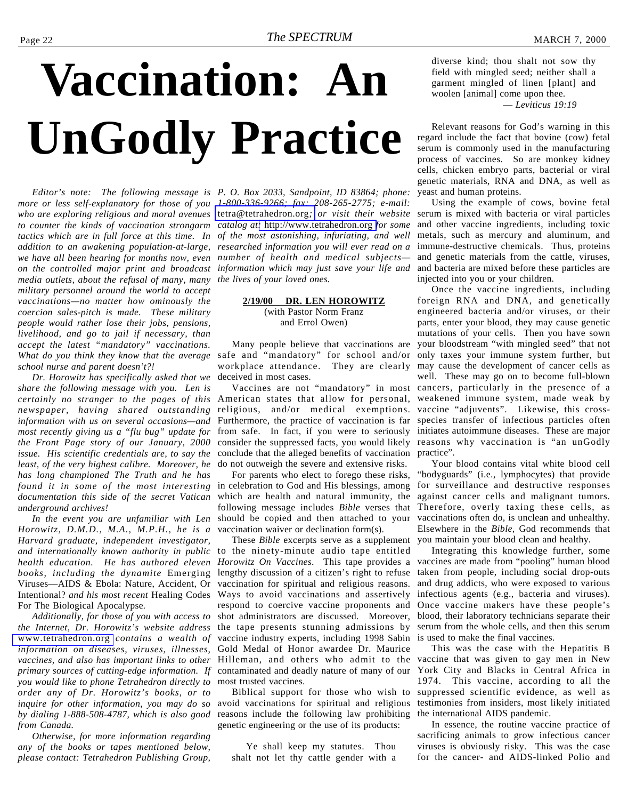# <span id="page-21-0"></span>**Vaccination: An UnGodly Practice**

*more or less self-explanatory for those of you 1-800-336-9266; fax: 208-265-2775; e-mail: who are exploring religious and moral avenues* [tetra@tetrahedron.org](mailto:tetra@tetrahedron.org)*; or visit their website to counter the kinds of vaccination strongarm catalog at:* <http://www.tetrahedron.org> *for some tactics which are in full force at this time. In of the most astonishing, infuriating, and well addition to an awakening population-at-large, researched information you will ever read on a we have all been hearing for months now, even number of health and medical subjects on the controlled major print and broadcast information which may just save your life and media outlets, about the refusal of many, many the lives of your loved ones. military personnel around the world to accept vaccinations—no matter how ominously the coercion sales-pitch is made. These military people would rather lose their jobs, pensions, livelihood, and go to jail if necessary, than accept the latest "mandatory" vaccinations. What do you think they know that the average* safe and "mandatory" for school and/or *school nurse and parent doesn't?!*

*Dr. Horowitz has specifically asked that we share the following message with you. Len is certainly no stranger to the pages of this* American states that allow for personal, *newspaper, having shared outstanding information with us on several occasions—and most recently giving us a "flu bug" update for the Front Page story of our January, 2000 issue. His scientific credentials are, to say the least, of the very highest calibre. Moreover, he has long championed The Truth and he has found it in some of the most interesting* in celebration to God and His blessings, among *documentation this side of the secret Vatican underground archives!*

*Horowitz, D.M.D., M.A., M.P.H., he is a Harvard graduate, independent investigator, and internationally known authority in public health education. He has authored eleven books, including the dynamite* Emerging Viruses—AIDS & Ebola: Nature, Accident, Or Intentional? *and his most recent* Healing Codes For The Biological Apocalypse*.*

*Additionally, for those of you with access to the Internet, Dr. Horowitz's website address* [www.tetrahedron.org](http://www.tetrahedron.org) *contains a wealth of information on diseases, viruses, illnesses, vaccines, and also has important links to other* Hilleman, and others who admit to the *primary sources of cutting-edge information. If you would like to phone Tetrahedron directly to order any of Dr. Horowitz's books, or to inquire for other information, you may do so by dialing 1-888-508-4787, which is also good from Canada.*

*Otherwise, for more information regarding any of the books or tapes mentioned below, please contact: Tetrahedron Publishing Group,*

*Editor's note: The following message is P. O. Box 2033, Sandpoint, ID 83864; phone:*

#### **2/19/00 DR. LEN HOROWITZ** (with Pastor Norm Franz and Errol Owen)

Many people believe that vaccinations are deceived in most cases.

religious, and/or medical exemptions. Furthermore, the practice of vaccination is far species transfer of infectious particles often from safe. In fact, if you were to seriously initiates autoimmune diseases. These are major consider the suppressed facts, you would likely reasons why vaccination is "an unGodly conclude that the alleged benefits of vaccination do not outweigh the severe and extensive risks.

*In the event you are unfamiliar with Len* should be copied and then attached to your For parents who elect to forego these risks, which are health and natural immunity, the following message includes *Bible* verses that vaccination waiver or declination form(s).

> These *Bible* excerpts serve as a supplement to the ninety-minute audio tape entitled *Horowitz On Vaccines*. This tape provides a lengthy discussion of a citizen's right to refuse vaccination for spiritual and religious reasons. Ways to avoid vaccinations and assertively respond to coercive vaccine proponents and shot administrators are discussed. Moreover, the tape presents stunning admissions by vaccine industry experts, including 1998 Sabin Gold Medal of Honor awardee Dr. Maurice contaminated and deadly nature of many of our most trusted vaccines.

> Biblical support for those who wish to avoid vaccinations for spiritual and religious reasons include the following law prohibiting genetic engineering or the use of its products:

Ye shall keep my statutes. Thou shalt not let thy cattle gender with a

diverse kind; thou shalt not sow thy field with mingled seed; neither shall a garment mingled of linen [plant] and woolen [animal] come upon thee.

— *Leviticus 19:19*

Relevant reasons for God's warning in this regard include the fact that bovine (cow) fetal serum is commonly used in the manufacturing process of vaccines. So are monkey kidney cells, chicken embryo parts, bacterial or viral genetic materials, RNA and DNA, as well as yeast and human proteins.

Using the example of cows, bovine fetal serum is mixed with bacteria or viral particles and other vaccine ingredients, including toxic metals, such as mercury and aluminum, and immune-destructive chemicals. Thus, proteins and genetic materials from the cattle, viruses, and bacteria are mixed before these particles are injected into you or your children.

workplace attendance. They are clearly may cause the development of cancer cells as Vaccines are not "mandatory" in most cancers, particularly in the presence of a Once the vaccine ingredients, including foreign RNA and DNA, and genetically engineered bacteria and/or viruses, or their parts, enter your blood, they may cause genetic mutations of your cells. Then you have sown your bloodstream "with mingled seed" that not only taxes your immune system further, but well. These may go on to become full-blown weakened immune system, made weak by vaccine "adjuvents". Likewise, this crosspractice".

> Your blood contains vital white blood cell "bodyguards" (i.e., lymphocytes) that provide for surveillance and destructive responses against cancer cells and malignant tumors. Therefore, overly taxing these cells, as vaccinations often do, is unclean and unhealthy. Elsewhere in the *Bible*, God recommends that you maintain your blood clean and healthy.

> Integrating this knowledge further, some vaccines are made from "pooling" human blood taken from people, including social drop-outs and drug addicts, who were exposed to various infectious agents (e.g., bacteria and viruses). Once vaccine makers have these people's blood, their laboratory technicians separate their serum from the whole cells, and then this serum is used to make the final vaccines.

> This was the case with the Hepatitis B vaccine that was given to gay men in New York City and Blacks in Central Africa in 1974. This vaccine, according to all the suppressed scientific evidence, as well as testimonies from insiders, most likely initiated the international AIDS pandemic.

> In essence, the routine vaccine practice of sacrificing animals to grow infectious cancer viruses is obviously risky. This was the case for the cancer- and AIDS-linked Polio and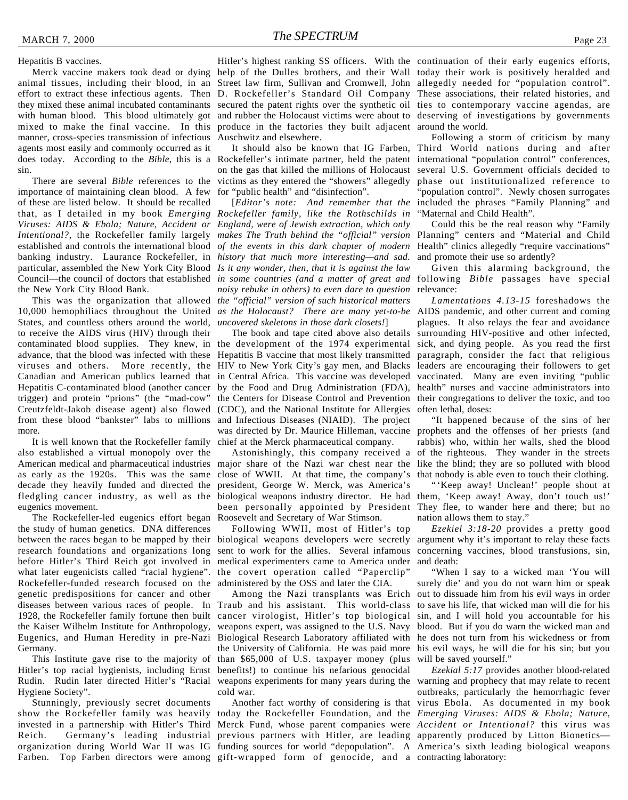#### Hepatitis B vaccines.

animal tissues, including their blood, in an Street law firm, Sullivan and Cromwell, John allegedly needed for "population control". effort to extract these infectious agents. Then they mixed these animal incubated contaminants with human blood. This blood ultimately got mixed to make the final vaccine. In this manner, cross-species transmission of infectious agents most easily and commonly occurred as it does today. According to the *Bible*, this is a Rockefeller's intimate partner, held the patent international "population control" conferences, sin.

There are several *Bible* references to the importance of maintaining clean blood. A few of these are listed below. It should be recalled that, as I detailed in my book *Emerging Rockefeller family, like the Rothschilds in Viruses: AIDS & Ebola; Nature, Accident or England, were of Jewish extraction, which only Intentional?*, the Rockefeller family largely *makes The Truth behind the "official" version* established and controls the international blood *of the events in this dark chapter of modern* Health" clinics allegedly "require vaccinations" banking industry. Laurance Rockefeller, in *history that much more interesting—and sad.* particular, assembled the New York City Blood *Is it any wonder, then, that it is against the law* Council—the council of doctors that established *in some countries (and a matter of great and* following *Bible* passages have special the New York City Blood Bank.

10,000 hemophiliacs throughout the United *as the Holocaust? There are many yet-to-be* AIDS pandemic, and other current and coming States, and countless others around the world, *uncovered skeletons in those dark closets!*] to receive the AIDS virus (HIV) through their contaminated blood supplies. They knew, in the development of the 1974 experimental sick, and dying people. As you read the first advance, that the blood was infected with these Hepatitis B vaccine that most likely transmitted paragraph, consider the fact that religious viruses and others. More recently, the HIV to New York City's gay men, and Blacks leaders are encouraging their followers to get Canadian and American publics learned that in Central Africa. This vaccine was developed vaccinated. Many are even inviting "public Hepatitis C-contaminated blood (another cancer by the Food and Drug Administration (FDA), health" nurses and vaccine administrators into trigger) and protein "prions" (the "mad-cow" Creutzfeldt-Jakob disease agent) also flowed (CDC), and the National Institute for Allergies from these blood "bankster" labs to millions more.

It is well known that the Rockefeller family also established a virtual monopoly over the as early as the 1920s. This was the same decade they heavily funded and directed the fledgling cancer industry, as well as the eugenics movement.

The Rockefeller-led eugenics effort began Roosevelt and Secretary of War Stimson. the study of human genetics. DNA differences between the races began to be mapped by their research foundations and organizations long before Hitler's Third Reich got involved in what later eugenicists called "racial hygiene". Rockefeller-funded research focused on the genetic predispositions for cancer and other diseases between various races of people. In Traub and his assistant. This world-class 1928, the Rockefeller family fortune then built the Kaiser Wilhelm Institute for Anthropology, Eugenics, and Human Heredity in pre-Nazi Germany.

This Institute gave rise to the majority of Hitler's top racial hygienists, including Ernst Rudin. Rudin later directed Hitler's "Racial Hygiene Society".

Stunningly, previously secret documents show the Rockefeller family was heavily today the Rockefeller Foundation, and the *Emerging Viruses: AIDS & Ebola; Nature,* invested in a partnership with Hitler's Third Merck Fund, whose parent companies were *Accident or Intentional?* this virus was Reich. Germany's leading industrial previous partners with Hitler, are leading apparently produced by Litton Bionetics organization during World War II was IG funding sources for world "depopulation". A America's sixth leading biological weapons Farben. Top Farben directors were among gift-wrapped form of genocide, and a contracting laboratory:

Merck vaccine makers took dead or dying help of the Dulles brothers, and their Wall today their work is positively heralded and Hitler's highest ranking SS officers. With the continuation of their early eugenics efforts, D. Rockefeller's Standard Oil Company These associations, their related histories, and secured the patent rights over the synthetic oil ties to contemporary vaccine agendas, are and rubber the Holocaust victims were about to deserving of investigations by governments produce in the factories they built adjacent around the world. Auschwitz and elsewhere.

> on the gas that killed the millions of Holocaust several U.S. Government officials decided to victims as they entered the "showers" allegedly for "public health" and "disinfection".

This was the organization that allowed *the "official" version of such historical matters* [*Editor's note: And remember that the noisy rebuke in others) to even dare to question*

> The book and tape cited above also details the Centers for Disease Control and Prevention their congregations to deliver the toxic, and too and Infectious Diseases (NIAID). The project was directed by Dr. Maurice Hilleman, vaccine prophets and the offenses of her priests (and chief at the Merck pharmaceutical company.

American medical and pharmaceutical industries major share of the Nazi war chest near the like the blind; they are so polluted with blood Astonishingly, this company received a close of WWII. At that time, the company's president, George W. Merck, was America's biological weapons industry director. He had been personally appointed by President They flee, to wander here and there; but no

> Following WWII, most of Hitler's top biological weapons developers were secretly argument why it's important to relay these facts sent to work for the allies. Several infamous concerning vaccines, blood transfusions, sin, medical experimenters came to America under and death: the covert operation called "Paperclip" administered by the OSS and later the CIA.

> Among the Nazi transplants was Erich cancer virologist, Hitler's top biological weapons expert, was assigned to the U.S. Navy Biological Research Laboratory affiliated with he does not turn from his wickedness or from the University of California. He was paid more his evil ways, he will die for his sin; but you than \$65,000 of U.S. taxpayer money (plus benefits!) to continue his nefarious genocidal cold war.

It should also be known that IG Farben, Third World nations during and after Following a storm of criticism by many phase out institutionalized reference to 'population control". Newly chosen surrogates included the phrases "Family Planning" and "Maternal and Child Health".

> Could this be the real reason why "Family Planning" centers and "Material and Child and promote their use so ardently?

> Given this alarming background, the relevance:

> *Lamentations 4.13-15* foreshadows the plagues. It also relays the fear and avoidance surrounding HIV-positive and other infected, often lethal, doses:

> "It happened because of the sins of her rabbis) who, within her walls, shed the blood of the righteous. They wander in the streets that nobody is able even to touch their clothing.

> "'Keep away! Unclean!' people shout at them, 'Keep away! Away, don't touch us!' nation allows them to stay."

> *Ezekiel 3:18-20* provides a pretty good

"When I say to a wicked man 'You will surely die' and you do not warn him or speak out to dissuade him from his evil ways in order to save his life, that wicked man will die for his sin, and I will hold you accountable for his blood. But if you do warn the wicked man and will be saved yourself."

weapons experiments for many years during the warning and prophecy that may relate to recent Another fact worthy of considering is that virus Ebola. As documented in my book *Ezekial 5:17* provides another blood-related outbreaks, particularly the hemorrhagic fever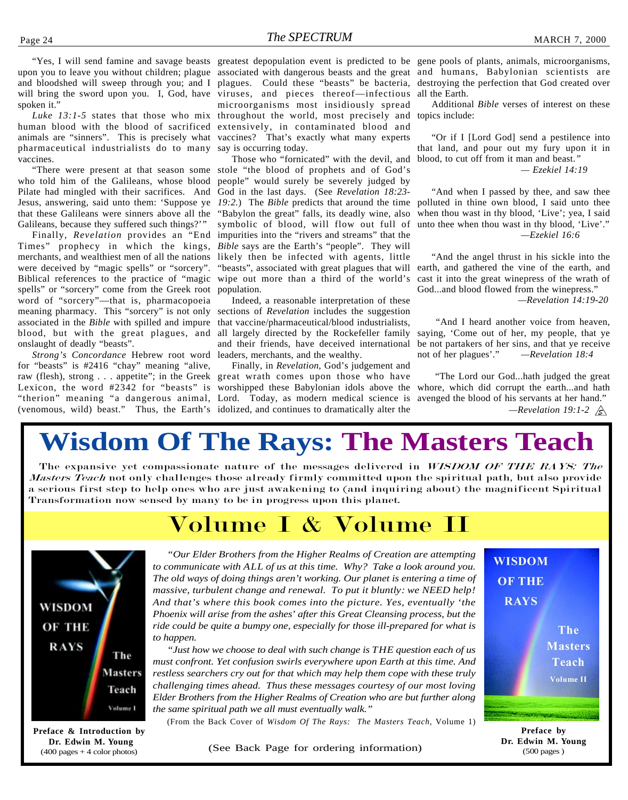upon you to leave you without children; plague associated with dangerous beasts and the great and humans, Babylonian scientists are and bloodshed will sweep through you; and I plagues. Could these "beasts" be bacteria, destroying the perfection that God created over will bring the sword upon you. I, God, have viruses, and pieces thereof—infectious spoken it."

human blood with the blood of sacrificed extensively, in contaminated blood and animals are "sinners". This is precisely what vaccines? That's exactly what many experts pharmaceutical industrialists do to many say is occurring today. vaccines.

who told him of the Galileans, whose blood Pilate had mingled with their sacrifices. And Jesus, answering, said unto them: 'Suppose ye that these Galileans were sinners above all the Galileans, because they suffered such things?'"

Finally, *Revelation* provides an "End Times" prophecy in which the kings, merchants, and wealthiest men of all the nations were deceived by "magic spells" or "sorcery". Biblical references to the practice of "magic wipe out more than a third of the world's spells" or "sorcery" come from the Greek root population. word of "sorcery"—that is, pharmacopoeia meaning pharmacy. This "sorcery" is not only sections of *Revelation* includes the suggestion associated in the *Bible* with spilled and impure blood, but with the great plagues, and onslaught of deadly "beasts".

*Strong's Concordance* Hebrew root word for "beasts" is #2416 "chay" meaning "alive, raw (flesh), strong . . . appetite"; in the Greek great wrath comes upon those who have Lexicon, the word #2342 for "beasts" is worshipped these Babylonian idols above the "therion" meaning "a dangerous animal, Lord. Today, as modern medical science is

Luke 13:1-5 states that those who mix throughout the world, most precisely and microorganisms most insidiously spread

"There were present at that season some stole "the blood of prophets and of God's Those who "fornicated" with the devil, and people" would surely be severely judged by God in the last days. (See *Revelation 18:23- 19:2.*) The *Bible* predicts that around the time "Babylon the great" falls, its deadly wine, also symbolic of blood, will flow out full of impurities into the "rivers and streams" that the *Bible* says are the Earth's "people". They will likely then be infected with agents, little "beasts", associated with great plagues that will earth, and gathered the vine of the earth, and

> Indeed, a reasonable interpretation of these that vaccine/pharmaceutical/blood industrialists, all largely directed by the Rockefeller family and their friends, have deceived international leaders, merchants, and the wealthy.

(venomous, wild) beast." Thus, the Earth's idolized, and continues to dramatically alter the Finally, in *Revelation*, God's judgement and

"Yes, I will send famine and savage beasts greatest depopulation event is predicted to be gene pools of plants, animals, microorganisms, all the Earth.

> Additional *Bible* verses of interest on these topics include:

> "Or if I [Lord God] send a pestilence into that land, and pour out my fury upon it in blood, to cut off from it man and beast.*"*

> > *— Ezekiel 14:19*

"And when I passed by thee, and saw thee polluted in thine own blood, I said unto thee when thou wast in thy blood, 'Live'; yea, I said unto thee when thou wast in thy blood, 'Live'." *—Ezekiel 16:6*

"And the angel thrust in his sickle into the cast it into the great winepress of the wrath of God...and blood flowed from the winepress."

*—Revelation 14:19-20*

 "And I heard another voice from heaven, saying, 'Come out of her, my people, that ye be not partakers of her sins, and that ye receive not of her plagues'." *—Revelation 18:4*

 "The Lord our God...hath judged the great whore, which did corrupt the earth...and hath avenged the blood of his servants at her hand."  *—Revelation 19:1-2*

## **Wisdom Of The Rays: The Masters Teach**

The expansive yet compassionate nature of the messages delivered in WISDOM OF THE RAYS: The Masters Teach not only challenges those already firmly committed upon the spiritual path, but also provide a serious first step to help ones who are just awakening to (and inquiring about) the magnificent Spiritual Transformation now sensed by many to be in progress upon this planet.

### Volume I & Volume II



**Preface & Introduction by Dr. Edwin M. Young** (400 pages + 4 color photos)

*"Our Elder Brothers from the Higher Realms of Creation are attempting to communicate with ALL of us at this time. Why? Take a look around you. The old ways of doing things aren't working. Our planet is entering a time of massive, turbulent change and renewal. To put it bluntly: we NEED help! And that's where this book comes into the picture. Yes, eventually 'the Phoenix will arise from the ashes' after this Great Cleansing process, but the ride could be quite a bumpy one, especially for those ill-prepared for what is to happen.*

*"Just how we choose to deal with such change is THE question each of us must confront. Yet confusion swirls everywhere upon Earth at this time. And restless searchers cry out for that which may help them cope with these truly challenging times ahead. Thus these messages courtesy of our most loving Elder Brothers from the Higher Realms of Creation who are but further along the same spiritual path we all must eventually walk."*

(From the Back Cover of *Wisdom Of The Rays: The Masters Teach*, Volume 1)

(See Back Page for ordering information)



**Preface by Dr. Edwin M. Young** (500 pages )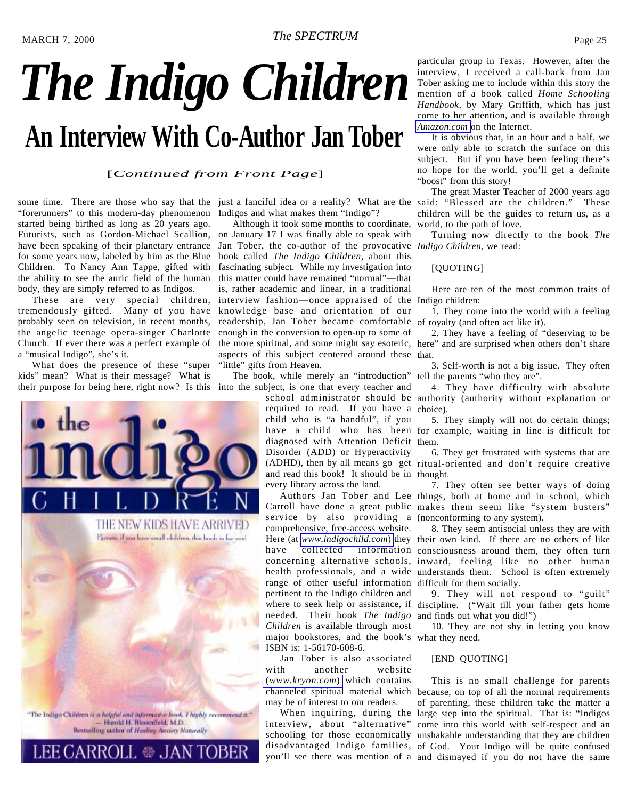# <span id="page-24-0"></span>*The Indigo Children* **An Interview With Co-Author Jan Tober**

#### [*Continued from Front Page*]

some time. There are those who say that the "forerunners" to this modern-day phenomenon started being birthed as long as 20 years ago. Futurists, such as Gordon-Michael Scallion, have been speaking of their planetary entrance for some years now, labeled by him as the Blue Children. To Nancy Ann Tappe, gifted with the ability to see the auric field of the human body, they are simply referred to as Indigos.

These are very special children, tremendously gifted. Many of you have probably seen on television, in recent months, the angelic teenage opera-singer Charlotte Church. If ever there was a perfect example of a "musical Indigo", she's it.

What does the presence of these "super kids" mean? What is their message? What is



. ❀ JAN

Indigos and what makes them "Indigo"?

Although it took some months to coordinate, on January 17 I was finally able to speak with Jan Tober, the co-author of the provocative *Indigo Children*, we read: book called *The Indigo Children*, about this fascinating subject. While my investigation into this matter could have remained "normal"—that is, rather academic and linear, in a traditional interview fashion—once appraised of the Indigo children: knowledge base and orientation of our readership, Jan Tober became comfortable of royalty (and often act like it). enough in the conversion to open-up to some of the more spiritual, and some might say esoteric, here" and are surprised when others don't share aspects of this subject centered around these that. "little" gifts from Heaven.

their purpose for being here, right now? Is this into the subject, is one that every teacher and The book, while merely an "introduction" tell the parents "who they are".

> required to read. If you have a choice). child who is "a handful", if you diagnosed with Attention Deficit them. Disorder (ADD) or Hyperactivity and read this book! It should be in thought. every library across the land.

service by also providing a (nonconforming to any system). comprehensive, free-access website. range of other useful information difficult for them socially. pertinent to the Indigo children and needed. Their book *The Indigo* and finds out what you did!") *Children* is available through most major bookstores, and the book's what they need. ISBN is: 1-56170-608-6.

Jan Tober is also associated with another website (*[www.kryon.com](http://www.kryon.com)*) which contains may be of interest to our readers.

particular group in Texas. However, after the interview, I received a call-back from Jan Tober asking me to include within this story the mention of a book called *Home Schooling Handbook,* by Mary Griffith, which has just come to her attention, and is available through *[Amazon.com](http://www.Amazon.com)* on the Internet.

It is obvious that, in an hour and a half, we were only able to scratch the surface on this subject. But if you have been feeling there's no hope for the world, you'll get a definite "boost" from this story!

just a fanciful idea or a reality? What are the said: "Blessed are the children." These The great Master Teacher of 2000 years ago children will be the guides to return us, as a world, to the path of love.

Turning now directly to the book *The*

#### [QUOTING]

Here are ten of the most common traits of

1. They come into the world with a feeling

2. They have a feeling of "deserving to be

3. Self-worth is not a big issue. They often

school administrator should be authority (authority without explanation or 4. They have difficulty with absolute

have a child who has been for example, waiting in line is difficult for 5. They simply will not do certain things;

(ADHD), then by all means go get ritual-oriented and don't require creative 6. They get frustrated with systems that are

Authors Jan Tober and Lee things, both at home and in school, which Carroll have done a great public makes them seem like "system busters" 7. They often see better ways of doing

Here (at *[www.indigochild.com](http://www.indigochild.com)*) they their own kind. If there are no others of like have collected information consciousness around them, they often turn concerning alternative schools, inward, feeling like no other human health professionals, and a wide understands them. School is often extremely 8. They seem antisocial unless they are with

where to seek help or assistance, if discipline. ("Wait till your father gets home 9. They will not respond to "guilt"

10. They are not shy in letting you know

#### [END QUOTING]

channeled spiritual material which because, on top of all the normal requirements When inquiring, during the large step into the spiritual. That is: "Indigos interview, about "alternative" come into this world with self-respect and an schooling for those economically unshakable understanding that they are children disadvantaged Indigo families, of God. Your Indigo will be quite confused you'll see there was mention of a and dismayed if you do not have the same This is no small challenge for parents of parenting, these children take the matter a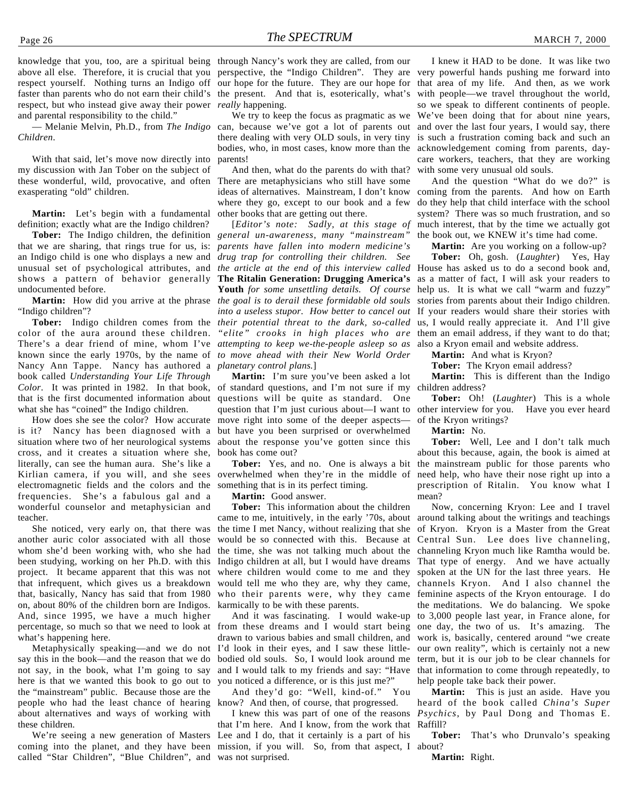knowledge that you, too, are a spiritual being through Nancy's work they are called, from our above all else. Therefore, it is crucial that you perspective, the "Indigo Children". They are respect yourself. Nothing turns an Indigo off our hope for the future. They are our hope for that area of my life. And then, as we work faster than parents who do not earn their child's the present. And that is, esoterically, what's respect, but who instead give away their power *really* happening. and parental responsibility to the child."

— Melanie Melvin, Ph.D., from *The Indigo Children*.

With that said, let's move now directly into my discussion with Jan Tober on the subject of these wonderful, wild, provocative, and often exasperating "old" children.

**Martin:** Let's begin with a fundamental definition; exactly what are the Indigo children?

**Tober:** The Indigo children, the definition that we are sharing, that rings true for us, is: an Indigo child is one who displays a new and unusual set of psychological attributes, and shows a pattern of behavior generally undocumented before.

**Martin:** How did you arrive at the phrase "Indigo children"?

color of the aura around these children. There's a dear friend of mine, whom I've *attempting to keep we-the-people asleep so as* known since the early 1970s, by the name of *to move ahead with their New World Order* Nancy Ann Tappe. Nancy has authored a *planetary control plans.*] book called *Understanding Your Life Through Color*. It was printed in 1982. In that book, that is the first documented information about what she has "coined" the Indigo children.

How does she see the color? How accurate is it? Nancy has been diagnosed with a situation where two of her neurological systems cross, and it creates a situation where she, literally, can see the human aura. She's like a Kirlian camera, if you will, and she sees electromagnetic fields and the colors and the frequencies. She's a fabulous gal and a wonderful counselor and metaphysician and teacher.

She noticed, very early on, that there was another auric color associated with all those whom she'd been working with, who she had been studying, working on her Ph.D. with this project. It became apparent that this was not that infrequent, which gives us a breakdown that, basically, Nancy has said that from 1980 on, about 80% of the children born are Indigos. And, since 1995, we have a much higher percentage, so much so that we need to look at what's happening here.

Metaphysically speaking—and we do not say this in the book—and the reason that we do not say, in the book, what I'm going to say here is that we wanted this book to go out to the "mainstream" public. Because those are the people who had the least chance of hearing about alternatives and ways of working with these children.

We're seeing a new generation of Masters called "Star Children", "Blue Children", and was not surprised.

We try to keep the focus as pragmatic as we can, because we've got a lot of parents out there dealing with very OLD souls, in very tiny bodies, who, in most cases, know more than the parents!

And then, what do the parents do with that? There are metaphysicians who still have some ideas of alternatives. Mainstream, I don't know where they go, except to our book and a few other books that are getting out there.

**Tober:** Indigo children comes from the *their potential threat to the dark, so-called* [*Editor's note: Sadly, at this stage of general un-awareness, many "mainstream" parents have fallen into modern medicine's drug trap for controlling their children. See the article at the end of this interview called* House has asked us to do a second book and, **The Ritalin Generation: Drugging America's Youth** *for some unsettling details. Of course the goal is to derail these formidable old souls into a useless stupor. How better to cancel out "elite" crooks in high places who are*

> **Martin:** I'm sure you've been asked a lot of standard questions, and I'm not sure if my questions will be quite as standard. One question that I'm just curious about—I want to other interview for you. Have you ever heard move right into some of the deeper aspects but have you been surprised or overwhelmed about the response you've gotten since this book has come out?

**Tober:** Yes, and no. One is always a bit overwhelmed when they're in the middle of something that is in its perfect timing.

**Martin:** Good answer.

**Tober:** This information about the children came to me, intuitively, in the early '70s, about the time I met Nancy, without realizing that she would be so connected with this. Because at the time, she was not talking much about the Indigo children at all, but I would have dreams where children would come to me and they would tell me who they are, why they came, who their parents were, why they came feminine aspects of the Kryon entourage. I do karmically to be with these parents.

And it was fascinating. I would wake-up from these dreams and I would start being drawn to various babies and small children, and I'd look in their eyes, and I saw these littlebodied old souls. So, I would look around me and I would talk to my friends and say: "Have you noticed a difference, or is this just me?"

And they'd go: "Well, kind-of." You know? And then, of course, that progressed.

coming into the planet, and they have been mission, if you will. So, from that aspect, I about? I knew this was part of one of the reasons that I'm here. And I know, from the work that Lee and I do, that it certainly is a part of his

I knew it HAD to be done. It was like two very powerful hands pushing me forward into with people—we travel throughout the world, so we speak to different continents of people. We've been doing that for about nine years, and over the last four years, I would say, there is such a frustration coming back and such an acknowledgement coming from parents, daycare workers, teachers, that they are working with some very unusual old souls.

And the question "What do we do?" is coming from the parents. And how on Earth do they help that child interface with the school system? There was so much frustration, and so much interest, that by the time we actually got the book out, we KNEW it's time had come.

**Martin:** Are you working on a follow-up? **Tober:** Oh, gosh. (*Laughter*) Yes, Hay

as a matter of fact, I will ask your readers to help us. It is what we call "warm and fuzzy" stories from parents about their Indigo children. If your readers would share their stories with us, I would really appreciate it. And I'll give them an email address, if they want to do that; also a Kryon email and website address.

**Martin:** And what is Kryon?

**Tober:** The Kryon email address?

**Martin:** This is different than the Indigo children address?

**Tober:** Oh! (*Laughter*) This is a whole of the Kryon writings?

**Martin:** No.

**Tober:** Well, Lee and I don't talk much about this because, again, the book is aimed at the mainstream public for those parents who need help, who have their nose right up into a prescription of Ritalin. You know what I mean?

Now, concerning Kryon: Lee and I travel around talking about the writings and teachings of Kryon. Kryon is a Master from the Great Central Sun. Lee does live channeling, channeling Kryon much like Ramtha would be. That type of energy. And we have actually spoken at the UN for the last three years. He channels Kryon. And I also channel the the meditations. We do balancing. We spoke to 3,000 people last year, in France alone, for one day, the two of us. It's amazing. The work is, basically, centered around "we create our own reality", which is certainly not a new term, but it is our job to be clear channels for that information to come through repeatedly, to help people take back their power.

**Martin:** This is just an aside. Have you heard of the book called *China's Super Psychics*, by Paul Dong and Thomas E. Raffill?

**Tober:** That's who Drunvalo's speaking

**Martin:** Right.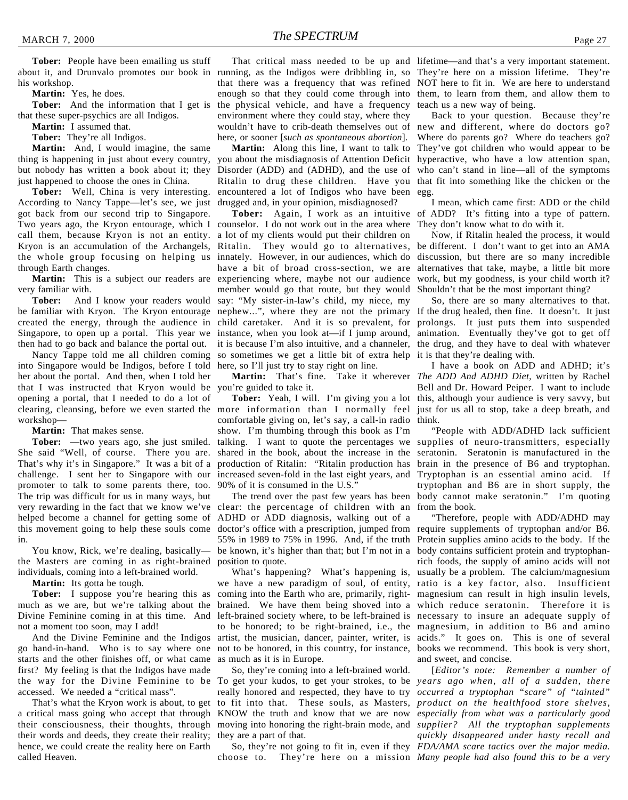**Martin:** Yes, he does.

that these super-psychics are all Indigos.

**Martin:** I assumed that.

**Tober:** They're all Indigos.

**Martin:** And, I would imagine, the same thing is happening in just about every country, but nobody has written a book about it; they just happened to choose the ones in China.

**Tober:** Well, China is very interesting. According to Nancy Tappe—let's see, we just got back from our second trip to Singapore. Two years ago, the Kryon entourage, which I counselor. I do not work out in the area where call them, because Kryon is not an entity. a lot of my clients would put their children on through Earth changes.

**Martin:** This is a subject our readers are very familiar with.

**Tober:** And I know your readers would created the energy, through the audience in Singapore, to open up a portal. This year we then had to go back and balance the portal out.

into Singapore would be Indigos, before I told her about the portal. And then, when I told her that I was instructed that Kryon would be you're guided to take it. opening a portal, that I needed to do a lot of workshop—

**Martin:** That makes sense.

**Tober:** —two years ago, she just smiled. She said "Well, of course. There you are. That's why it's in Singapore." It was a bit of a challenge. I sent her to Singapore with our increased seven-fold in the last eight years, and Tryptophan is an essential amino acid. If promoter to talk to some parents there, too. The trip was difficult for us in many ways, but very rewarding in the fact that we know we've clear: the percentage of children with an helped become a channel for getting some of ADHD or ADD diagnosis, walking out of a in.

You know, Rick, we're dealing, basically the Masters are coming in as right-brained position to quote. individuals, coming into a left-brained world.

**Martin:** Its gotta be tough.

Divine Feminine coming in at this time. And not a moment too soon, may I add!

And the Divine Feminine and the Indigos go hand-in-hand. Who is to say where one starts and the other finishes off, or what came first? My feeling is that the Indigos have made the way for the Divine Feminine to be To get your kudos, to get your strokes, to be *years ago when, all of a sudden, there* accessed. We needed a "critical mass".

their words and deeds, they create their reality; they are a part of that. hence, we could create the reality here on Earth called Heaven.

**Tober:** And the information that I get is the physical vehicle, and have a frequency That critical mass needed to be up and lifetime—and that's a very important statement. that there was a frequency that was refined NOT here to fit in. We are here to understand enough so that they could come through into them, to learn from them, and allow them to environment where they could stay, where they wouldn't have to crib-death themselves out of new and different, where do doctors go? here, or sooner [*such as spontaneous abortion*].

you about the misdiagnosis of Attention Deficit hyperactive, who have a low attention span, Disorder (ADD) and (ADHD), and the use of Ritalin to drug these children. Have you that fit into something like the chicken or the encountered a lot of Indigos who have been egg. drugged and, in your opinion, misdiagnosed?

Kryon is an accumulation of the Archangels, Ritalin. They would go to alternatives, be different. I don't want to get into an AMA the whole group focusing on helping us innately. However, in our audiences, which do discussion, but there are so many incredible be familiar with Kryon. The Kryon entourage nephew...", where they are not the primary If the drug healed, then fine. It doesn't. It just Nancy Tappe told me all children coming so sometimes we get a little bit of extra help it is that they're dealing with. have a bit of broad cross-section, we are alternatives that take, maybe, a little bit more experiencing where, maybe not our audience member would go that route, but they would say: "My sister-in-law's child, my niece, my child caretaker. And it is so prevalent, for prolongs. It just puts them into suspended instance, when you look at—if I jump around, animation. Eventually they've got to get off it is because I'm also intuitive, and a channeler, the drug, and they have to deal with whatever here, so I'll just try to stay right on line.

comfortable giving on, let's say, a call-in radio think. show. I'm thumbing through this book as I'm talking. I want to quote the percentages we supplies of neuro-transmitters, especially shared in the book, about the increase in the production of Ritalin: "Ritalin production has 90% of it is consumed in the U.S."

this movement going to help these souls come doctor's office with a prescription, jumped from require supplements of tryptophan and/or B6. The trend over the past few years has been 55% in 1989 to 75% in 1996. And, if the truth Protein supplies amino acids to the body. If the be known, it's higher than that; but I'm not in a body contains sufficient protein and tryptophan-

**Tober:** I suppose you're hearing this as coming into the Earth who are, primarily, right-magnesium can result in high insulin levels, much as we are, but we're talking about the brained. We have them being shoved into a which reduce seratonin. Therefore it is we have a new paradigm of soul, of entity, ratio is a key factor, also. Insufficient left-brained society where, to be left-brained is necessary to insure an adequate supply of to be honored; to be right-brained, i.e., the magnesium, in addition to B6 and amino artist, the musician, dancer, painter, writer, is acids." It goes on. This is one of several not to be honored, in this country, for instance, books we recommend. This book is very short, as much as it is in Europe.

That's what the Kryon work is about, to get to fit into that. These souls, as Masters, *product on the healthfood store shelves*, a critical mass going who accept that through KNOW the truth and know that we are now *especially from what was a particularly good* their consciousness, their thoughts, through moving into honoring the right-brain mode, and *supplier? All the tryptophan supplements* So, they're coming into a left-brained world. really honored and respected, they have to try *occurred a tryptophan "scare" of "tainted"*

choose to. They're here on a mission *Many people had also found this to be a very*

teach us a new way of being.

**Martin:** Along this line, I want to talk to They've got children who would appear to be Back to your question. Because they're Where do parents go? Where do teachers go? who can't stand in line—all of the symptoms

**Tober:** Again, I work as an intuitive of ADD? It's fitting into a type of pattern. I mean, which came first: ADD or the child They don't know what to do with it.

> Now, if Ritalin healed the process, it would work, but my goodness, is your child worth it? Shouldn't that be the most important thing?

> So, there are so many alternatives to that.

clearing, cleansing, before we even started the more information than I normally feel just for us all to stop, take a deep breath, and **Martin:** That's fine. Take it wherever *The ADD And ADHD Diet*, written by Rachel **Tober:** Yeah, I will. I'm giving you a lot this, although your audience is very savvy, but I have a book on ADD and ADHD; it's Bell and Dr. Howard Peiper. I want to include

> "People with ADD/ADHD lack sufficient seratonin. Seratonin is manufactured in the brain in the presence of B6 and tryptophan. tryptophan and B6 are in short supply, the body cannot make seratonin." I'm quoting from the book.

What's happening? What's happening is, usually be a problem. The calcium/magnesium "Therefore, people with ADD/ADHD may rich foods, the supply of amino acids will not and sweet, and concise.

So, they're not going to fit in, even if they *FDA/AMA scare tactics over the major media.* [*Editor's note: Remember a number of quickly disappeared under hasty recall and*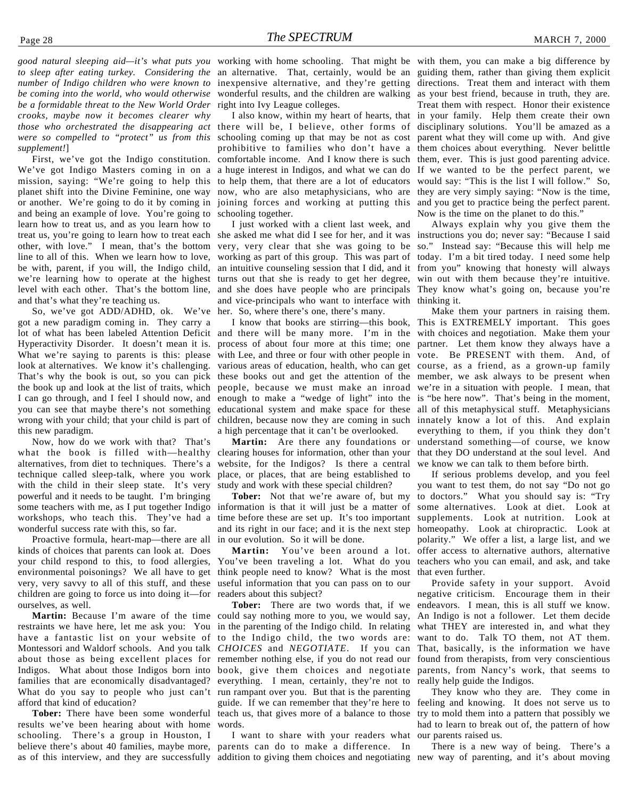*number of Indigo children who were known to be coming into the world, who would otherwise be a formidable threat to the New World Order crooks, maybe now it becomes clearer why were so compelled to "protect" us from this supplement!*]

First, we've got the Indigo constitution. We've got Indigo Masters coming in on a mission, saying: "We're going to help this planet shift into the Divine Feminine, one way or another. We're going to do it by coming in and being an example of love. You're going to learn how to treat us, and as you learn how to treat us, you're going to learn how to treat each she asked me what did I see for her, and it was instructions you do; never say: "Because I said other, with love." I mean, that's the bottom very, very clear that she was going to be so." Instead say: "Because this will help me line to all of this. When we learn how to love, working as part of this group. This was part of today. I'm a bit tired today. I need some help be with, parent, if you will, the Indigo child, an intuitive counseling session that I did, and it from you" knowing that honesty will always we're learning how to operate at the highest turns out that she is ready to get her degree, win out with them because they're intuitive. level with each other. That's the bottom line, and that's what they're teaching us.

So, we've got ADD/ADHD, ok. We've got a new paradigm coming in. They carry a lot of what has been labeled Attention Deficit and there will be many more. I'm in the with choices and negotiation. Make them your Hyperactivity Disorder. It doesn't mean it is. process of about four more at this time; one partner. Let them know they always have a What we're saying to parents is this: please look at alternatives. We know it's challenging. That's why the book is out, so you can pick the book up and look at the list of traits, which I can go through, and I feel I should now, and you can see that maybe there's not something educational system and make space for these all of this metaphysical stuff. Metaphysicians wrong with your child; that your child is part of this new paradigm.

Now, how do we work with that? That's what the book is filled with—healthy alternatives, from diet to techniques. There's a technique called sleep-talk, where you work with the child in their sleep state. It's very powerful and it needs to be taught. I'm bringing some teachers with me, as I put together Indigo workshops, who teach this. They've had a wonderful success rate with this, so far.

Proactive formula, heart-map—there are all kinds of choices that parents can look at. Does your child respond to this, to food allergies, environmental poisonings? We all have to get very, very savvy to all of this stuff, and these children are going to force us into doing it—for ourselves, as well.

restraints we have here, let me ask you: You in the parenting of the Indigo child. In relating have a fantastic list on your website of to the Indigo child, the two words are: Montessori and Waldorf schools. And you talk *CHOICES* and *NEGOTIATE*. If you can about those as being excellent places for remember nothing else, if you do not read our Indigos. What about those Indigos born into book, give them choices and negotiate families that are economically disadvantaged? everything. I mean, certainly, they're not to What do you say to people who just can't run rampant over you. But that is the parenting afford that kind of education?

**Tober:** There have been some wonderful results we've been hearing about with home schooling. There's a group in Houston, I believe there's about 40 families, maybe more, parents can do to make a difference. In as of this interview, and they are successfully addition to giving them choices and negotiating new way of parenting, and it's about moving

*good natural sleeping aid—it's what puts you* working with home schooling. That might be with them, you can make a big difference by to sleep after eating turkey. Considering the an alternative. That, certainly, would be an guiding them, rather than giving them explicit inexpensive alternative, and they're getting directions. Treat them and interact with them wonderful results, and the children are walking as your best friend, because in truth, they are. right into Ivy League colleges.

those who orchestrated the disappearing act there will be, I believe, other forms of disciplinary solutions. You'll be amazed as a schooling coming up that may be not as cost parent what they will come up with. And give prohibitive to families who don't have a them choices about everything. Never belittle comfortable income. And I know there is such them, ever. This is just good parenting advice. a huge interest in Indigos, and what we can do If we wanted to be the perfect parent, we to help them, that there are a lot of educators would say: "This is the list I will follow." So, now, who are also metaphysicians, who are they are very simply saying: "Now is the time, joining forces and working at putting this and you get to practice being the perfect parent. schooling together.

> I just worked with a client last week, and and she does have people who are principals They know what's going on, because you're and vice-principals who want to interface with thinking it. her. So, where there's one, there's many.

> with Lee, and three or four with other people in vote. Be PRESENT with them. And, of various areas of education, health, who can get course, as a friend, as a grown-up family these books out and get the attention of the member, we ask always to be present when people, because we must make an inroad we're in a situation with people. I mean, that enough to make a "wedge of light" into the is "be here now". That's being in the moment, children, because now they are coming in such innately know a lot of this. And explain a high percentage that it can't be overlooked.

clearing houses for information, other than your website, for the Indigos? Is there a central place, or places, that are being established to study and work with these special children?

**Tober:** Not that we're aware of, but my information is that it will just be a matter of time before these are set up. It's too important and its right in our face; and it is the next step homeopathy. Look at chiropractic. Look at in our evolution. So it will be done.

**Martin:** You've been around a lot. You've been traveling a lot. What do you teachers who you can email, and ask, and take think people need to know? What is the most useful information that you can pass on to our readers about this subject?

**Martin:** Because I'm aware of the time could say nothing more to you, we would say, **Tober:** There are two words that, if we guide. If we can remember that they're here to teach us, that gives more of a balance to those words.

I want to share with your readers what

I also know, within my heart of hearts, that in your family. Help them create their own Treat them with respect. Honor their existence Now is the time on the planet to do this."

Always explain why you give them the

I know that books are stirring—this book, This is EXTREMELY important. This goes **Martin:** Are there any foundations or understand something—of course, we know Make them your partners in raising them. everything to them, if you think they don't that they DO understand at the soul level. And we know we can talk to them before birth.

> If serious problems develop, and you feel you want to test them, do not say "Do not go to doctors." What you should say is: "Try some alternatives. Look at diet. Look at supplements. Look at nutrition. Look at polarity." We offer a list, a large list, and we offer access to alternative authors, alternative that even further.

> Provide safety in your support. Avoid negative criticism. Encourage them in their endeavors. I mean, this is all stuff we know. An Indigo is not a follower. Let them decide what THEY are interested in, and what they want to do. Talk TO them, not AT them. That, basically, is the information we have found from therapists, from very conscientious parents, from Nancy's work, that seems to really help guide the Indigos.

> They know who they are. They come in feeling and knowing. It does not serve us to try to mold them into a pattern that possibly we had to learn to break out of, the pattern of how our parents raised us.

> There is a new way of being. There's a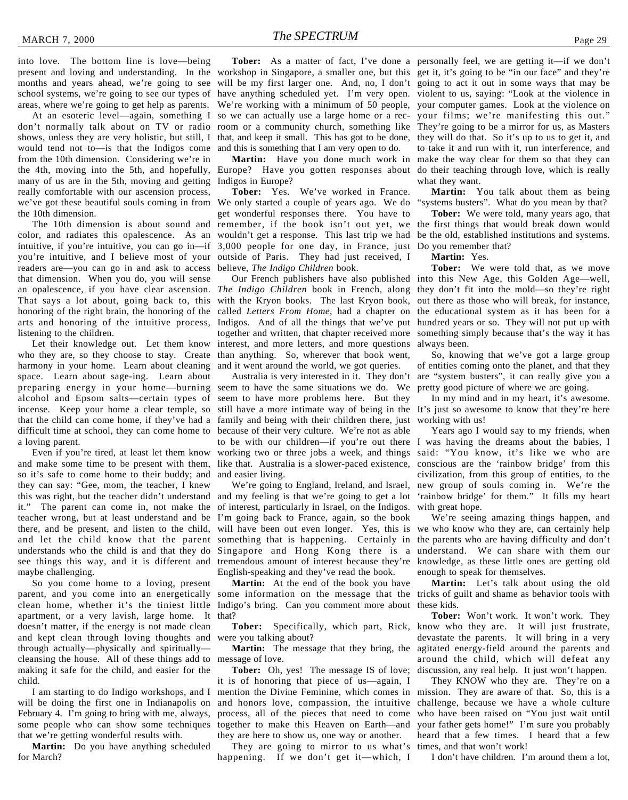into love. The bottom line is love—being present and loving and understanding. In the workshop in Singapore, a smaller one, but this get it, it's going to be "in our face" and they're months and years ahead, we're going to see school systems, we're going to see our types of areas, where we're going to get help as parents.

don't normally talk about on TV or radio room or a community church, something like They're going to be a mirror for us, as Masters shows, unless they are very holistic, but still, I that, and keep it small. This has got to be done, they will do that. So it's up to us to get it, and would tend not to—is that the Indigos come from the 10th dimension. Considering we're in the 4th, moving into the 5th, and hopefully, many of us are in the 5th, moving and getting really comfortable with our ascension process, we've got these beautiful souls coming in from the 10th dimension.

The 10th dimension is about sound and you're intuitive, and I believe most of your outside of Paris. They had just received, I readers are—you can go in and ask to access that dimension. When you do, you will sense an opalescence, if you have clear ascension. *The Indigo Children* book in French, along they don't fit into the mold—so they're right That says a lot about, going back to, this with the Kryon books. The last Kryon book, honoring of the right brain, the honoring of the arts and honoring of the intuitive process, listening to the children.

Let their knowledge out. Let them know who they are, so they choose to stay. Create harmony in your home. Learn about cleaning space. Learn about sage-ing. Learn about preparing energy in your home—burning seem to have the same situations we do. We alcohol and Epsom salts—certain types of seem to have more problems here. But they incense. Keep your home a clear temple, so still have a more intimate way of being in the It's just so awesome to know that they're here that the child can come home, if they've had a family and being with their children there, just difficult time at school, they can come home to a loving parent.

Even if you're tired, at least let them know and make some time to be present with them, so it's safe to come home to their buddy; and they can say: "Gee, mom, the teacher, I knew this was right, but the teacher didn't understand it." The parent can come in, not make the teacher wrong, but at least understand and be there, and be present, and listen to the child, and let the child know that the parent understands who the child is and that they do see things this way, and it is different and tremendous amount of interest because they're knowledge, as these little ones are getting old maybe challenging.

So you come home to a loving, present parent, and you come into an energetically clean home, whether it's the tiniest little Indigo's bring. Can you comment more about these kids. apartment, or a very lavish, large home. It doesn't matter, if the energy is not made clean and kept clean through loving thoughts and through actually—physically and spiritually cleansing the house. All of these things add to message of love. making it safe for the child, and easier for the child.

I am starting to do Indigo workshops, and I will be doing the first one in Indianapolis on February 4. I'm going to bring with me, always, some people who can show some techniques that we're getting wonderful results with.

**Martin:** Do you have anything scheduled for March?

and this is something that I am very open to do.

Europe? Have you gotten responses about Indigos in Europe?

color, and radiates this opalescence. As an wouldn't get a response. This last trip we had be the old, established institutions and systems. intuitive, if you're intuitive, you can go in—if 3,000 people for one day, in France, just Do you remember that? **Tober:** Yes. We've worked in France. We only started a couple of years ago. We do get wonderful responses there. You have to remember, if the book isn't out yet, we the first things that would break down would believe, *The Indigo Children* book.

> called *Letters From Home*, had a chapter on the educational system as it has been for a Indigos. And of all the things that we've put hundred years or so. They will not put up with together and written, that chapter received more interest, and more letters, and more questions than anything. So, wherever that book went, and it went around the world, we got queries.

> because of their very culture. We're not as able to be with our children—if you're out there I was having the dreams about the babies, I working two or three jobs a week, and things said: "You know, it's like we who are like that. Australia is a slower-paced existence, conscious are the 'rainbow bridge' from this and easier living.

We're going to England, Ireland, and Israel, and my feeling is that we're going to get a lot of interest, particularly in Israel, on the Indigos. I'm going back to France, again, so the book will have been out even longer. Yes, this is something that is happening. Certainly in Singapore and Hong Kong there is a English-speaking and they've read the book.

**Martin:** At the end of the book you have that?

were you talking about?

**Martin:** The message that they bring, the

**Tober:** Oh, yes! The message IS of love; it is of honoring that piece of us—again, I mention the Divine Feminine, which comes in and honors love, compassion, the intuitive process, all of the pieces that need to come together to make this Heaven on Earth—and they are here to show us, one way or another.

They are going to mirror to us what's happening. If we don't get it—which, I

At an esoteric level—again, something I so we can actually use a large home or a rec-your films; we're manifesting this out." **Tober:** As a matter of fact, I've done a personally feel, we are getting it—if we don't will be my first larger one. And, no, I don't going to act it out in some ways that may be have anything scheduled yet. I'm very open. violent to us, saying: "Look at the violence in We're working with a minimum of 50 people, your computer games. Look at the violence on **Martin:** Have you done much work in make the way clear for them so that they can to take it and run with it, run interference, and do their teaching through love, which is really what they want.

> **Martin:** You talk about them as being "systems busters". What do you mean by that?

> **Tober:** We were told, many years ago, that

#### **Martin:** Yes.

Our French publishers have also published into this New Age, this Golden Age—well, **Tober:** We were told that, as we move out there as those who will break, for instance, something simply because that's the way it has always been.

Australia is very interested in it. They don't are "system busters", it can really give you a So, knowing that we've got a large group of entities coming onto the planet, and that they pretty good picture of where we are going.

> In my mind and in my heart, it's awesome. working with us!

> Years ago I would say to my friends, when civilization, from this group of entities, to the new group of souls coming in. We're the 'rainbow bridge' for them." It fills my heart with great hope.

> We're seeing amazing things happen, and we who know who they are, can certainly help the parents who are having difficulty and don't understand. We can share with them our enough to speak for themselves.

some information on the message that the tricks of guilt and shame as behavior tools with **Martin:** Let's talk about using the old

**Tober:** Specifically, which part, Rick, know who they are. It will just frustrate, **Tober:** Won't work. It won't work. They devastate the parents. It will bring in a very agitated energy-field around the parents and around the child, which will defeat any discussion, any real help. It just won't happen.

> They KNOW who they are. They're on a mission. They are aware of that. So, this is a challenge, because we have a whole culture who have been raised on "You just wait until your father gets home!" I'm sure you probably heard that a few times. I heard that a few times, and that won't work!

I don't have children. I'm around them a lot,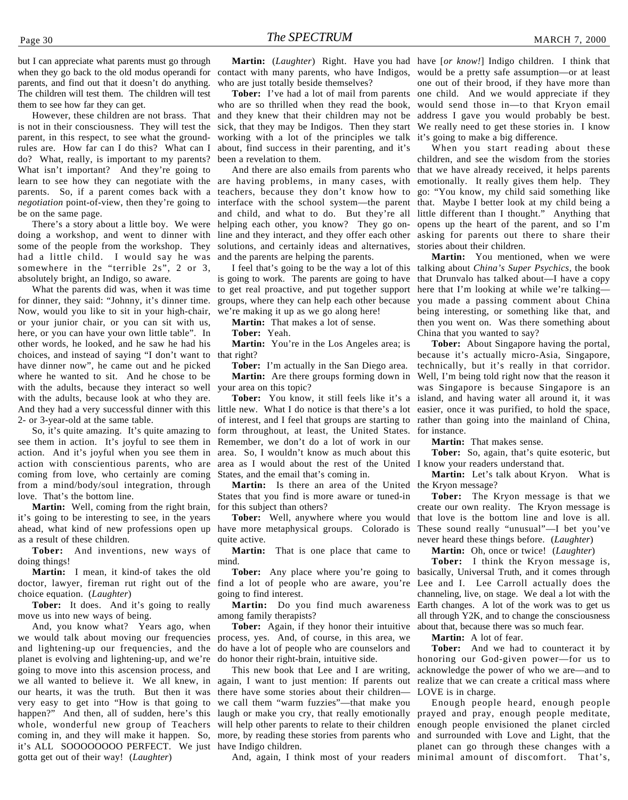but I can appreciate what parents must go through when they go back to the old modus operandi for parents, and find out that it doesn't do anything. The children will test them. The children will test them to see how far they can get.

However, these children are not brass. That is not in their consciousness. They will test the parent, in this respect, to see what the groundrules are. How far can I do this? What can I do? What, really, is important to my parents? What isn't important? And they're going to learn to see how they can negotiate with the parents. So, if a parent comes back with a *negotiation* point-of-view, then they're going to be on the same page.

There's a story about a little boy. We were doing a workshop, and went to dinner with some of the people from the workshop. They had a little child. I would say he was somewhere in the "terrible 2s", 2 or 3, absolutely bright, an Indigo, so aware.

What the parents did was, when it was time for dinner, they said: "Johnny, it's dinner time. Now, would you like to sit in your high-chair, or your junior chair, or you can sit with us, here, or you can have your own little table". In other words, he looked, and he saw he had his choices, and instead of saying "I don't want to that right? have dinner now", he came out and he picked where he wanted to sit. And he chose to be with the adults, because they interact so well with the adults, because look at who they are. And they had a very successful dinner with this little new. What I do notice is that there's a lot easier, once it was purified, to hold the space, 2- or 3-year-old at the same table.

So, it's quite amazing. It's quite amazing to see them in action. It's joyful to see them in action. And it's joyful when you see them in action with conscientious parents, who are coming from love, who certainly are coming from a mind/body/soul integration, through love. That's the bottom line.

**Martin:** Well, coming from the right brain, it's going to be interesting to see, in the years ahead, what kind of new professions open up have more metaphysical groups. Colorado is as a result of these children.

**Tober:** And inventions, new ways of doing things!

**Martin:** I mean, it kind-of takes the old doctor, lawyer, fireman rut right out of the find a lot of people who are aware, you're choice equation. (*Laughter*)

**Tober:** It does. And it's going to really move us into new ways of being.

And, you know what? Years ago, when we would talk about moving our frequencies and lightening-up our frequencies, and the planet is evolving and lightening-up, and we're going to move into this ascension process, and we all wanted to believe it. We all knew, in our hearts, it was the truth. But then it was very easy to get into "How is that going to happen?" And then, all of sudden, here's this whole, wonderful new group of Teachers coming in, and they will make it happen. So, more, by reading these stories from parents who it's ALL SOOOOOOOO PERFECT. We just have Indigo children. gotta get out of their way! (*Laughter*)

contact with many parents, who have Indigos, would be a pretty safe assumption—or at least who are just totally beside themselves?

**Tober:** I've had a lot of mail from parents who are so thrilled when they read the book, and they knew that their children may not be sick, that they may be Indigos. Then they start working with a lot of the principles we talk about, find success in their parenting, and it's been a revelation to them.

And there are also emails from parents who are having problems, in many cases, with teachers, because they don't know how to interface with the school system—the parent and child, and what to do. But they're all helping each other, you know? They go online and they interact, and they offer each other asking for parents out there to share their solutions, and certainly ideas and alternatives, stories about their children. and the parents are helping the parents.

is going to work. The parents are going to have that Drunvalo has talked about—I have a copy to get real proactive, and put together support groups, where they can help each other because we're making it up as we go along here!

**Martin:** That makes a lot of sense.

**Tober:** Yeah.

**Martin:** You're in the Los Angeles area; is

**Tober:** I'm actually in the San Diego area. **Martin:** Are there groups forming down in your area on this topic?

of interest, and I feel that groups are starting to rather than going into the mainland of China, form throughout, at least, the United States. Remember, we don't do a lot of work in our area. So, I wouldn't know as much about this area as I would about the rest of the United I know your readers understand that. States, and the email that's coming in.

Martin: Is there an area of the United the Kryon message? States that you find is more aware or tuned-in for this subject than others?

**Tober:** Well, anywhere where you would quite active.

**Martin:** That is one place that came to mind.

going to find interest.

**Martin:** Do you find much awareness among family therapists?

**Tober:** Again, if they honor their intuitive process, yes. And, of course, in this area, we do have a lot of people who are counselors and do honor their right-brain, intuitive side.

This new book that Lee and I are writing, again, I want to just mention: If parents out there have some stories about their children we call them "warm fuzzies"—that make you laugh or make you cry, that really emotionally will help other parents to relate to their children enough people envisioned the planet circled

**Martin:** (*Laughter*) Right. Have you had have [*or know!*] Indigo children. I think that one out of their brood, if they have more than one child. And we would appreciate if they would send those in—to that Kryon email address I gave you would probably be best. We really need to get these stories in. I know it's going to make a big difference.

> When you start reading about these children, and see the wisdom from the stories that we have already received, it helps parents emotionally. It really gives them help. They go: "You know, my child said something like that. Maybe I better look at my child being a little different than I thought." Anything that opens up the heart of the parent, and so I'm

I feel that's going to be the way a lot of this talking about *China's Super Psychics*, the book **Martin:** You mentioned, when we were here that I'm looking at while we're talking you made a passing comment about China being interesting, or something like that, and then you went on. Was there something about China that you wanted to say?

**Tober:** You know, it still feels like it's a island, and having water all around it, it was **Tober:** About Singapore having the portal, because it's actually micro-Asia, Singapore, technically, but it's really in that corridor. Well, I'm being told right now that the reason it was Singapore is because Singapore is an for instance.

**Martin:** That makes sense.

**Tober:** So, again, that's quite esoteric, but

**Martin:** Let's talk about Kryon. What is

**Tober:** The Kryon message is that we create our own reality. The Kryon message is that love is the bottom line and love is all. These sound really "unusual"—I bet you've never heard these things before. (*Laughter*)

**Martin:** Oh, once or twice! (*Laughter*)

**Tober:** Any place where you're going to basically, Universal Truth, and it comes through **Tober:** I think the Kryon message is, Lee and I. Lee Carroll actually does the channeling, live, on stage. We deal a lot with the Earth changes. A lot of the work was to get us all through Y2K, and to change the consciousness about that, because there was so much fear.

**Martin:** A lot of fear.

**Tober:** And we had to counteract it by honoring our God-given power—for us to acknowledge the power of who we are—and to realize that we can create a critical mass where LOVE is in charge.

And, again, I think most of your readers minimal amount of discomfort. That's,Enough people heard, enough people prayed and pray, enough people meditate, and surrounded with Love and Light, that the planet can go through these changes with a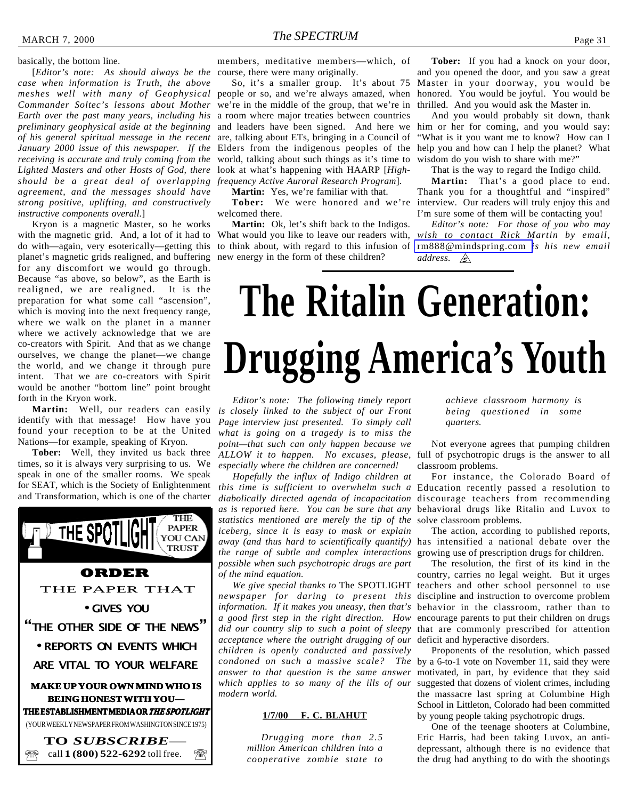#### <span id="page-30-0"></span>basically, the bottom line.

[*Editor's note: As should always be the* course, there were many originally. *case when information is Truth, the above meshes well with many of Geophysical Commander Soltec's lessons about Mother* we're in the middle of the group, that we're in *Earth over the past many years, including his* a room where major treaties between countries *preliminary geophysical aside at the beginning of his general spiritual message in the recent January 2000 issue of this newspaper. If the* Elders from the indigenous peoples of the *receiving is accurate and truly coming from the Lighted Masters and other Hosts of God, there should be a great deal of overlapping frequency Active Auroral Research Program*]. *agreement, and the messages should have strong positive, uplifting, and constructively instructive components overall.*]

Kryon is a magnetic Master, so he works planet's magnetic grids realigned, and buffering new energy in the form of these children? for any discomfort we would go through. Because "as above, so below", as the Earth is realigned, we are realigned. It is the preparation for what some call "ascension", which is moving into the next frequency range, where we walk on the planet in a manner where we actively acknowledge that we are co-creators with Spirit. And that as we change ourselves, we change the planet—we change the world, and we change it through pure intent. That we are co-creators with Spirit would be another "bottom line" point brought forth in the Kryon work.

identify with that message! How have you found your reception to be at the United Nations—for example, speaking of Kryon.

**Tober:** Well, they invited us back three times, so it is always very surprising to us. We speak in one of the smaller rooms. We speak for SEAT, which is the Society of Enlightenment and Transformation, which is one of the charter



members, meditative members—which, of

So, it's a smaller group. It's about 75 people or so, and we're always amazed, when and leaders have been signed. And here we are, talking about ETs, bringing in a Council of world, talking about such things as it's time to look at what's happening with HAARP [*High-*

**Martin:** Yes, we're familiar with that.

welcomed there.

**Martin:** Ok, let's shift back to the Indigos.

**Tober:** If you had a knock on your door, and you opened the door, and you saw a great Master in your doorway, you would be honored. You would be joyful. You would be thrilled. And you would ask the Master in.

And you would probably sit down, thank him or her for coming, and you would say: "What is it you want me to know? How can I help you and how can I help the planet? What wisdom do you wish to share with me?"

That is the way to regard the Indigo child.

**Tober:** We were honored and we're interview. Our readers will truly enjoy this and **Martin:** That's a good place to end. Thank you for a thoughtful and "inspired" I'm sure some of them will be contacting you!

with the magnetic grid. And, a lot of it had to What would you like to leave our readers with, *wish to contact Rick Martin by email,* do with—again, very esoterically—getting this to think about, with regard to this infusion of [rm888@mindspring.com](mailto:rm888@mindspring.com) *is his new email Editor's note: For those of you who may address.* 

# **The Ritalin Generation: Drugging America's Youth**

**Martin:** Well, our readers can easily *is closely linked to the subject of our Front Editor's note: The following timely report Page interview just presented. To simply call what is going on a tragedy is to miss the point—that such can only happen because we ALLOW it to happen. No excuses, please,* full of psychotropic drugs is the answer to all *especially where the children are concerned!*

> *Hopefully the influx of Indigo children at statistics mentioned are merely the tip of the* solve classroom problems. *iceberg, since it is easy to mask or explain away (and thus hard to scientifically quantify)* has intensified a national debate over the *the range of subtle and complex interactions possible when such psychotropic drugs are part of the mind equation.*

*acceptance where the outright drugging of our children is openly conducted and passively answer to that question is the same answer which applies to so many of the ills of our modern world.*

#### **1/7/00 F. C. BLAHUT**

*Drugging more than 2.5 million American children into a cooperative zombie state to* *achieve classroom harmony is being questioned in some quarters.*

Not everyone agrees that pumping children classroom problems.

*this time is sufficient to overwhelm such a* Education recently passed a resolution to *diabolically directed agenda of incapacitation* discourage teachers from recommending *as is reported here. You can be sure that any* behavioral drugs like Ritalin and Luvox to For instance, the Colorado Board of

> The action, according to published reports, growing use of prescription drugs for children.

*We give special thanks to* The SPOTLIGHT teachers and other school personnel to use *newspaper for daring to present this* discipline and instruction to overcome problem *information. If it makes you uneasy, then that's* behavior in the classroom, rather than to *a good first step in the right direction. How* encourage parents to put their children on drugs *did our country slip to such a point of sleepy* that are commonly prescribed for attention The resolution, the first of its kind in the country, carries no legal weight. But it urges deficit and hyperactive disorders.

*condoned on such a massive scale? The* by a 6-to-1 vote on November 11, said they were Proponents of the resolution, which passed motivated, in part, by evidence that they said suggested that dozens of violent crimes, including the massacre last spring at Columbine High School in Littleton, Colorado had been committed by young people taking psychotropic drugs.

> One of the teenage shooters at Columbine, Eric Harris, had been taking Luvox, an antidepressant, although there is no evidence that the drug had anything to do with the shootings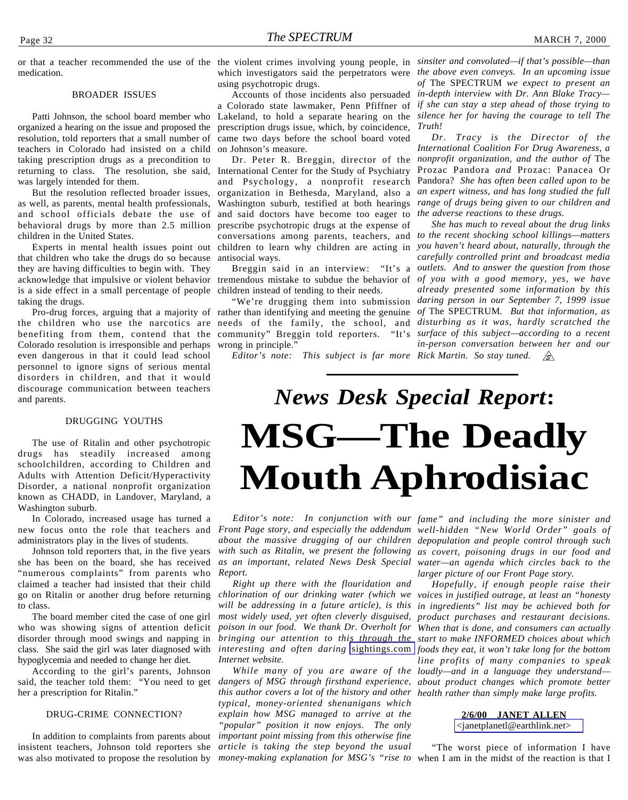#### BROADER ISSUES

Patti Johnson, the school board member who organized a hearing on the issue and proposed the resolution, told reporters that a small number of teachers in Colorado had insisted on a child taking prescription drugs as a precondition to returning to class. The resolution, she said, was largely intended for them.

But the resolution reflected broader issues, as well, as parents, mental health professionals, and school officials debate the use of and said doctors have become too eager to *the adverse reactions to these drugs*. behavioral drugs by more than 2.5 million prescribe psychotropic drugs at the expense of children in the United States.

that children who take the drugs do so because antisocial ways. they are having difficulties to begin with. They acknowledge that impulsive or violent behavior tremendous mistake to subdue the behavior of *of you with a good memory, yes, we have* is a side effect in a small percentage of people children instead of tending to their needs. taking the drugs.

the children who use the narcotics are needs of the family, the school, and *disturbing as it was, hardly scratched the* benefiting from them, contend that the community" Breggin told reporters. "It's *surface of this subject—according to a recent* Colorado resolution is irresponsible and perhaps even dangerous in that it could lead school personnel to ignore signs of serious mental disorders in children, and that it would discourage communication between teachers and parents.

#### DRUGGING YOUTHS

The use of Ritalin and other psychotropic drugs has steadily increased among schoolchildren, according to Children and Adults with Attention Deficit/Hyperactivity Disorder, a national nonprofit organization known as CHADD, in Landover, Maryland, a Washington suburb.

In Colorado, increased usage has turned a administrators play in the lives of students.

Johnson told reporters that, in the five years she has been on the board, she has received "numerous complaints" from parents who claimed a teacher had insisted that their child go on Ritalin or another drug before returning to class.

The board member cited the case of one girl who was showing signs of attention deficit disorder through mood swings and napping in class. She said the girl was later diagnosed with hypoglycemia and needed to change her diet.

According to the girl's parents, Johnson said, the teacher told them: "You need to get her a prescription for Ritalin."

#### DRUG-CRIME CONNECTION?

In addition to complaints from parents about insistent teachers, Johnson told reporters she was also motivated to propose the resolution by *money-making explanation for MSG's "rise to* when I am in the midst of the reaction is that I

using psychotropic drugs.

a Colorado state lawmaker, Penn Pfiffner of Lakeland, to hold a separate hearing on the prescription drugs issue, which, by coincidence, came two days before the school board voted on Johnson's measure.

Experts in mental health issues point out children to learn why children are acting in you haven't heard about, naturally, through the Dr. Peter R. Breggin, director of the International Center for the Study of Psychiatry and Psychology, a nonprofit research organization in Bethesda, Maryland, also a *an expert witness, and has long studied the full* Washington suburb, testified at both hearings *range of drugs being given to our children and* conversations among parents, teachers, and *to the recent shocking school killings—matters*

Pro-drug forces, arguing that a majority of rather than identifying and meeting the genuine of The SPECTRUM. But that information, as "We're drugging them into submission wrong in principle."

*Editor's note: This subject is far more Rick Martin. So stay tuned.* 

<span id="page-31-0"></span>or that a teacher recommended the use of the the violent crimes involving young people, in *sinsiter and convoluted—if that's possible—than* which investigators said the perpetrators were *the above even conveys. In an upcoming issue* Accounts of those incidents also persuaded *in-depth interview with Dr. Ann Blake Tracy of* The SPECTRUM *we expect to present an if she can stay a step ahead of those trying to silence her for having the courage to tell The Truth!*

> *Dr. Tracy is the Director of the International Coalition For Drug Awareness, a nonprofit organization, and the author of* The Prozac Pandora *and* Prozac: Panacea Or Pandora? *She has often been called upon to be*

Breggin said in an interview: "It's a *outlets. And to answer the question from those She has much to reveal about the drug links carefully controlled print and broadcast media already presented some information by this daring person in our September 7, 1999 issue in-person conversation between her and our*

# **MSG—The Deadly Mouth Aphrodisiac** *News Desk Special Report***:**

new focus onto the role that teachers and *Front Page story, and especially the addendum well-hidden "New World Order" goals of about the massive drugging of our children depopulation and people control through such* with such as Ritalin, we present the following as covert, poisoning drugs in our food and *as an important, related News Desk Special water—an agenda which circles back to the Report.*

> *Right up there with the flouridation and most widely used, yet often cleverly disguised, Internet website.*

*this author covers a lot of the history and other health rather than simply make large profits. typical, money-oriented shenanigans which explain how MSG managed to arrive at the "popular" position it now enjoys. The only important point missing from this otherwise fine article is taking the step beyond the usual*

*Editor's note: In conjunction with our fame" and including the more sinister and larger picture of our Front Page story.*

*chlorination of our drinking water (which we voices in justified outrage, at least an "honesty will be addressing in a future article), is this in ingredients" list may be achieved both for poison in our food. We thank Dr. Overholt for When that is done, and consumers can actually bringing our attention to this through the start to make INFORMED choices about which interesting and often daring* [sightings.com](http://www.sightings.com) *foods they eat, it won't take long for the bottom* While many of you are aware of the loudly—and in a language they understand *dangers of MSG through firsthand experience, about product changes which promote better Hopefully, if enough people raise their product purchases and restaurant decisions. line profits of many companies to speak*

#### **2/6/00 JANET ALLEN**

[<janetplanetl@earthlink.net>](mailto:janetplanetl@earthlink.net)

"The worst piece of information I have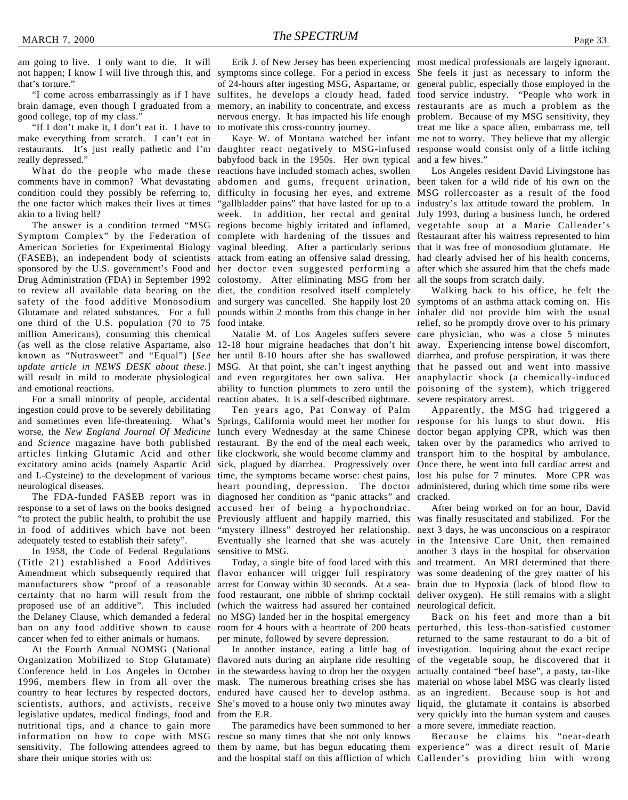am going to live. I only want to die. It will not happen; I know I will live through this, and that's torture."

"I come across embarrassingly as if I have brain damage, even though I graduated from a good college, top of my class."

"If I don't make it, I don't eat it. I have to make everything from scratch. I can't eat in restaurants. It's just really pathetic and I'm really depressed."

What do the people who made these comments have in common? What devastating condition could they possibly be referring to, the one factor which makes their lives at times akin to a living hell?

Symptom Complex" by the Federation of complete with hardening of the tissues and Restaurant after his waitress represented to him American Societies for Experimental Biology vaginal bleeding. After a particularly serious that it was free of monosodium glutamate. He (FASEB), an independent body of scientists attack from eating an offensive salad dressing, had clearly advised her of his health concerns, sponsored by the U.S. government's Food and her doctor even suggested performing a after which she assured him that the chefs made Drug Administration (FDA) in September 1992 colostomy. After eliminating MSG from her all the soups from scratch daily. to review all available data bearing on the diet, the condition resolved itself completely safety of the food additive Monosodium and surgery was cancelled. She happily lost 20 symptoms of an asthma attack coming on. His (as well as the close relative Aspartame, also 12-18 hour migraine headaches that don't hit away. Experiencing intense bowel discomfort, known as "Nutrasweet" and "Equal") [See her until 8-10 hours after she has swallowed diarrhea, and profuse perspiration, it was there will result in mild to moderate physiological and even regurgitates her own saliva. Her anaphylactic shock (a chemically-induced Glutamate and related substances. For a full one third of the U.S. population (70 to 75 million Americans), consuming this chemical *update article in NEWS DESK about these.*] and emotional reactions.

For a small minority of people, accidental ingestion could prove to be severely debilitating and sometimes even life-threatening. What's worse, the *New England Journal Of Medicine* and *Science* magazine have both published articles linking Glutamic Acid and other excitatory amino acids (namely Aspartic Acid and L-Cysteine) to the development of various neurological diseases.

response to a set of laws on the books designed in food of additives which have not been adequately tested to establish their safety".

In 1958, the Code of Federal Regulations (Title 21) established a Food Additives Amendment which subsequently required that manufacturers show "proof of a reasonable certainty that no harm will result from the proposed use of an additive". This included the Delaney Clause, which demanded a federal ban on any food additive shown to cause cancer when fed to either animals or humans.

At the Fourth Annual NOMSG (National Organization Mobilized to Stop Glutamate) Conference held in Los Angeles in October 1996, members flew in from all over the country to hear lectures by respected doctors, scientists, authors, and activists, receive legislative updates, medical findings, food and nutritional tips, and a chance to gain more information on how to cope with MSG sensitivity. The following attendees agreed to share their unique stories with us:

Erik J. of New Jersey has been experiencing most medical professionals are largely ignorant. symptoms since college. For a period in excess She feels it just as necessary to inform the of 24-hours after ingesting MSG, Aspartame, or general public, especially those employed in the sulfites, he develops a cloudy head, faded food service industry. "People who work in memory, an inability to concentrate, and excess restaurants are as much a problem as the nervous energy. It has impacted his life enough problem. Because of my MSG sensitivity, they to motivate this cross-country journey.

daughter react negatively to MSG-infused response would consist only of a little itching babyfood back in the 1950s. Her own typical reactions have included stomach aches, swollen abdomen and gums, frequent urination, been taken for a wild ride of his own on the difficulty in focusing her eyes, and extreme MSG rollercoaster as a result of the food "gallbladder pains" that have lasted for up to a industry's lax attitude toward the problem. In week. In addition, her rectal and genital July 1993, during a business lunch, he ordered The answer is a condition termed "MSG regions become highly irritated and inflamed, vegetable soup at a Marie Callender's pounds within 2 months from this change in her inhaler did not provide him with the usual food intake.

> MSG. At that point, she can't ingest anything that he passed out and went into massive ability to function plummets to zero until the poisoning of the system), which triggered reaction abates. It is a self-described nightmare. severe respiratory arrest.

Ten years ago, Pat Conway of Palm Springs, California would meet her mother for response for his lungs to shut down. His lunch every Wednesday at the same Chinese restaurant. By the end of the meal each week, like clockwork, she would become clammy and sick, plagued by diarrhea. Progressively over Once there, he went into full cardiac arrest and time, the symptoms became worse: chest pains, lost his pulse for 7 minutes. More CPR was heart pounding, depression. The doctor administered, during which time some ribs were The FDA-funded FASEB report was in diagnosed her condition as "panic attacks" and cracked. accused her of being a hypochondriac. "to protect the public health, to prohibit the use Previously affluent and happily married, this was finally resuscitated and stabilized. For the "mystery illness" destroyed her relationship. next 3 days, he was unconscious on a respirator Eventually she learned that she was acutely in the Intensive Care Unit, then remained sensitive to MSG.

> Today, a single bite of food laced with this flavor enhancer will trigger full respiratory arrest for Conway within 30 seconds. At a seafood restaurant, one nibble of shrimp cocktail (which the waitress had assured her contained no MSG) landed her in the hospital emergency room for 4 hours with a heartrate of 200 beats per minute, followed by severe depression.

In another instance, eating a little bag of flavored nuts during an airplane ride resulting of the vegetable soup, he discovered that it in the stewardess having to drop her the oxygen mask. The numerous breathing crises she has material on whose label MSG was clearly listed endured have caused her to develop asthma. She's moved to a house only two minutes away from the E.R.

The paramedics have been summoned to her rescue so many times that she not only knows them by name, but has begun educating them experience" was a direct result of Marie

Kaye W. of Montana watched her infant me not to worry. They believe that my allergic treat me like a space alien, embarrass me, tell and a few hives."

Los Angeles resident David Livingstone has

Natalie M. of Los Angeles suffers severe care physician, who was a close 5 minutes Walking back to his office, he felt the relief, so he promptly drove over to his primary

> Apparently, the MSG had triggered a doctor began applying CPR, which was then taken over by the paramedics who arrived to transport him to the hospital by ambulance.

> After being worked on for an hour, David another 3 days in the hospital for observation and treatment. An MRI determined that there was some deadening of the grey matter of his brain due to Hypoxia (lack of blood flow to deliver oxygen). He still remains with a slight neurological deficit.

> Back on his feet and more than a bit perturbed, this less-than-satisfied customer returned to the same restaurant to do a bit of investigation. Inquiring about the exact recipe actually contained "beef base", a pasty, tar-like as an ingredient. Because soup is hot and liquid, the glutamate it contains is absorbed very quickly into the human system and causes a more severe, immediate reaction.

and the hospital staff on this affliction of which Callender's providing him with wrong Because he claims his "near-death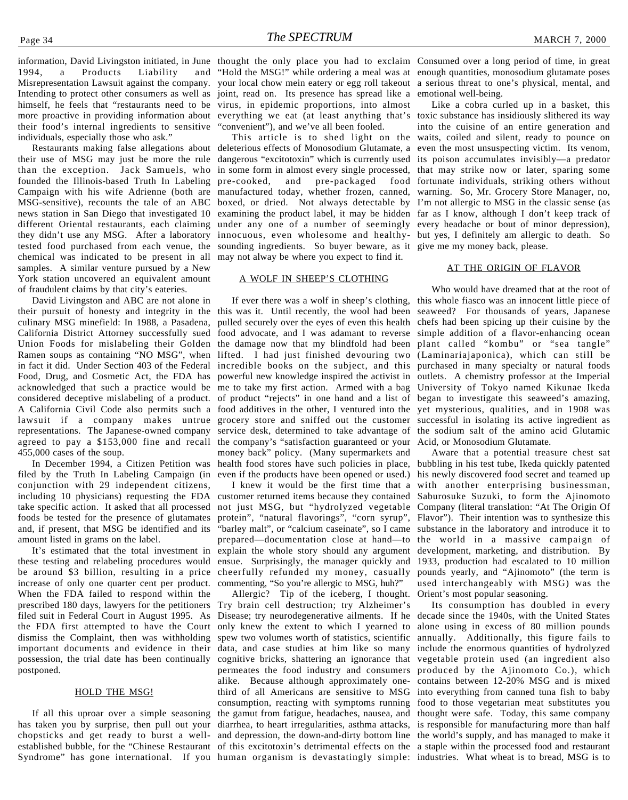1994, a Products Liability and Misrepresentation Lawsuit against the company. your local chow mein eatery or egg roll takeout a serious threat to one's physical, mental, and Intending to protect other consumers as well as joint, read on. Its presence has spread like a emotional well-being. himself, he feels that "restaurants need to be virus, in epidemic proportions, into almost more proactive in providing information about everything we eat (at least anything that's toxic substance has insidiously slithered its way their food's internal ingredients to sensitive individuals, especially those who ask."

their use of MSG may just be more the rule dangerous "excitotoxin" which is currently used its poison accumulates invisibly—a predator than the exception. Jack Samuels, who in some form in almost every single processed, that may strike now or later, sparing some founded the Illinois-based Truth In Labeling pre-cooked, and pre-packaged food fortunate individuals, striking others without Campaign with his wife Adrienne (both are manufactured today, whether frozen, canned, warning. So, Mr. Grocery Store Manager, no, MSG-sensitive), recounts the tale of an ABC boxed, or dried. Not always detectable by I'm not allergic to MSG in the classic sense (as news station in San Diego that investigated 10 different Oriental restaurants, each claiming under any one of a number of seemingly every headache or bout of minor depression), they didn't use any MSG. After a laboratory innocuous, even wholesome and healthy-but yes, I definitely am allergic to death. So tested food purchased from each venue, the sounding ingredients. So buyer beware, as it give me my money back, please. chemical was indicated to be present in all may not alway be where you expect to find it. samples. A similar venture pursued by a New York station uncovered an equivalent amount of fraudulent claims by that city's eateries.

David Livingston and ABC are not alone in their pursuit of honesty and integrity in the this was it. Until recently, the wool had been seaweed? For thousands of years, Japanese culinary MSG minefield: In 1988, a Pasadena, California District Attorney successfully sued food advocate, and I was adamant to reverse simple addition of a flavor-enhancing ocean Union Foods for mislabeling their Golden the damage now that my blindfold had been plant called "kombu" or "sea tangle" Ramen soups as containing "NO MSG", when lifted. I had just finished devouring two (Laminariajaponica), which can still be in fact it did. Under Section 403 of the Federal incredible books on the subject, and this purchased in many specialty or natural foods Food, Drug, and Cosmetic Act, the FDA has powerful new knowledge inspired the activist in outlets. A chemistry professor at the Imperial acknowledged that such a practice would be me to take my first action. Armed with a bag University of Tokyo named Kikunae Ikeda considered deceptive mislabeling of a product. of product "rejects" in one hand and a list of began to investigate this seaweed's amazing, A California Civil Code also permits such a food additives in the other, I ventured into the yet mysterious, qualities, and in 1908 was lawsuit if a company makes untrue grocery store and sniffed out the customer successful in isolating its active ingredient as representations. The Japanese-owned company service desk, determined to take advantage of the sodium salt of the amino acid Glutamic agreed to pay a \$153,000 fine and recall the company's "satisfaction guaranteed or your Acid, or Monosodium Glutamate. 455,000 cases of the soup.

In December 1994, a Citizen Petition was filed by the Truth In Labeling Campaign (in conjunction with 29 independent citizens, including 10 physicians) requesting the FDA take specific action. It asked that all processed foods be tested for the presence of glutamates and, if present, that MSG be identified and its amount listed in grams on the label.

It's estimated that the total investment in these testing and relabeling procedures would be around \$3 billion, resulting in a price cheerfully refunded my money, casually increase of only one quarter cent per product. When the FDA failed to respond within the prescribed 180 days, lawyers for the petitioners filed suit in Federal Court in August 1995. As the FDA first attempted to have the Court dismiss the Complaint, then was withholding important documents and evidence in their data, and case studies at him like so many include the enormous quantities of hydrolyzed possession, the trial date has been continually postponed.

#### HOLD THE MSG!

Syndrome" has gone international. If you human organism is devastatingly simple: industries. What wheat is to bread, MSG is to

"convenient"), and we've all been fooled.

Restaurants making false allegations about deleterious effects of Monosodium Glutamate, a even the most unsuspecting victim. Its venom, examining the product label, it may be hidden far as I know, although I don't keep track of

#### A WOLF IN SHEEP'S CLOTHING

pulled securely over the eyes of even this health chefs had been spicing up their cuisine by the money back" policy. (Many supermarkets and health food stores have such policies in place, bubbling in his test tube, Ikeda quickly patented even if the products have been opened or used.)

I knew it would be the first time that a customer returned items because they contained not just MSG, but "hydrolyzed vegetable Company (literal translation: "At The Origin Of protein", "natural flavorings", "corn syrup", "barley malt", or "calcium caseinate", so I came substance in the laboratory and introduce it to prepared—documentation close at hand—to the world in a massive campaign of explain the whole story should any argument ensue. Surprisingly, the manager quickly and commenting, "So you're allergic to MSG, huh?"

If all this uproar over a simple seasoning the gamut from fatigue, headaches, nausea, and thought were safe. Today, this same company has taken you by surprise, then pull out your diarrhea, to heart irregularities, asthma attacks, is responsible for manufacturing more than half chopsticks and get ready to burst a well-and depression, the down-and-dirty bottom line the world's supply, and has managed to make it established bubble, for the "Chinese Restaurant of this excitotoxin's detrimental effects on the a staple within the processed food and restaurant Allergic? Tip of the iceberg, I thought. Try brain cell destruction; try Alzheimer's Disease; try neurodegenerative ailments. If he decade since the 1940s, with the United States only knew the extent to which I yearned to alone using in excess of 80 million pounds spew two volumes worth of statistics, scientific annually. Additionally, this figure fails to cognitive bricks, shattering an ignorance that vegetable protein used (an ingredient also permeates the food industry and consumers produced by the Ajinomoto Co.), which alike. Because although approximately one-contains between 12-20% MSG and is mixed third of all Americans are sensitive to MSG into everything from canned tuna fish to baby consumption, reacting with symptoms running food to those vegetarian meat substitutes you

information, David Livingston initiated, in June thought the only place you had to exclaim Consumed over a long period of time, in great "Hold the MSG!" while ordering a meal was at enough quantities, monosodium glutamate poses

> This article is to shed light on the waits, coiled and silent, ready to pounce on Like a cobra curled up in a basket, this into the cuisine of an entire generation and

#### AT THE ORIGIN OF FLAVOR

If ever there was a wolf in sheep's clothing, this whole fiasco was an innocent little piece of Who would have dreamed that at the root of

> Aware that a potential treasure chest sat his newly discovered food secret and teamed up with another enterprising businessman, Saburosuke Suzuki, to form the Ajinomoto Flavor"). Their intention was to synthesize this development, marketing, and distribution. By 1933, production had escalated to 10 million pounds yearly, and "Ajinomoto" (the term is used interchangeably with MSG) was the Orient's most popular seasoning.

Its consumption has doubled in every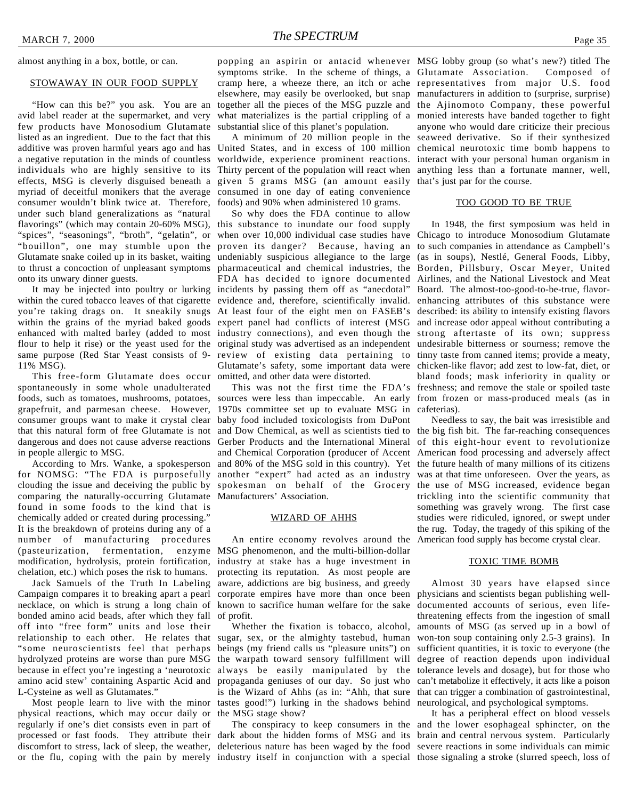almost anything in a box, bottle, or can.

#### STOWAWAY IN OUR FOOD SUPPLY

"How can this be?" you ask. You are an avid label reader at the supermarket, and very few products have Monosodium Glutamate listed as an ingredient. Due to the fact that this additive was proven harmful years ago and has United States, and in excess of 100 million chemical neurotoxic time bomb happens to a negative reputation in the minds of countless individuals who are highly sensitive to its effects, MSG is cleverly disguised beneath a myriad of deceitful monikers that the average consumed in one day of eating convenience consumer wouldn't blink twice at. Therefore, under such bland generalizations as "natural flavorings" (which may contain 20-60% MSG), this substance to inundate our food supply "spices", "seasonings", "broth", "gelatin", or when over 10,000 individual case studies have Chicago to introduce Monosodium Glutamate "bouillon", one may stumble upon the proven its danger? Because, having an to such companies in attendance as Campbell's Glutamate snake coiled up in its basket, waiting undeniably suspicious allegiance to the large (as in soups), Nestlé, General Foods, Libby, to thrust a concoction of unpleasant symptoms pharmaceutical and chemical industries, the Borden, Pillsbury, Oscar Meyer, United onto its unwary dinner guests.

within the cured tobacco leaves of that cigarette evidence and, therefore, scientifically invalid. enhancing attributes of this substance were you're taking drags on. It sneakily snugs At least four of the eight men on FASEB's described: its ability to intensify existing flavors within the grains of the myriad baked goods expert panel had conflicts of interest (MSG and increase odor appeal without contributing a enhanced with malted barley (added to most industry connections), and even though the strong aftertaste of its own; suppress flour to help it rise) or the yeast used for the original study was advertised as an independent undesirable bitterness or sourness; remove the same purpose (Red Star Yeast consists of 9- review of existing data pertaining to tinny taste from canned items; provide a meaty, 11% MSG).

This free-form Glutamate does occur omitted, and other data were distorted. spontaneously in some whole unadulterated foods, such as tomatoes, mushrooms, potatoes, sources were less than impeccable. An early from frozen or mass-produced meals (as in grapefruit, and parmesan cheese. However, 1970s committee set up to evaluate MSG in cafeterias). consumer groups want to make it crystal clear baby food included toxicologists from DuPont that this natural form of free Glutamate is not and Dow Chemical, as well as scientists tied to the big fish bit. The far-reaching consequences dangerous and does not cause adverse reactions Gerber Products and the International Mineral of this eight-hour event to revolutionize in people allergic to MSG.

for NOMSG: "The FDA is purposefully clouding the issue and deceiving the public by comparing the naturally-occurring Glutamate Manufacturers' Association. found in some foods to the kind that is chemically added or created during processing." It is the breakdown of proteins during any of a number of manufacturing procedures (pasteurization, fermentation, enzyme MSG phenomenon, and the multi-billion-dollar modification, hydrolysis, protein fortification, industry at stake has a huge investment in chelation, etc.) which poses the risk to humans.

Jack Samuels of the Truth In Labeling Campaign compares it to breaking apart a pearl necklace, on which is strung a long chain of bonded amino acid beads, after which they fall off into "free form" units and lose their relationship to each other. He relates that sugar, sex, or the almighty tastebud, human "some neuroscientists feel that perhaps beings (my friend calls us "pleasure units") on hydrolyzed proteins are worse than pure MSG the warpath toward sensory fulfillment will because in effect you're ingesting a 'neurotoxic always be easily manipulated by the tolerance levels and dosage), but for those who amino acid stew' containing Aspartic Acid and L-Cysteine as well as Glutamates."

physical reactions, which may occur daily or the MSG stage show? regularly if one's diet consists even in part of processed or fast foods. They attribute their dark about the hidden forms of MSG and its brain and central nervous system. Particularly discomfort to stress, lack of sleep, the weather, deleterious nature has been waged by the food severe reactions in some individuals can mimic or the flu, coping with the pain by merely industry itself in conjunction with a special those signaling a stroke (slurred speech, loss of

popping an aspirin or antacid whenever MSG lobby group (so what's new?) titled The symptoms strike. In the scheme of things, a Glutamate Association. Composed of cramp here, a wheeze there, an itch or ache representatives from major U.S. food elsewhere, may easily be overlooked, but snap manufacturers in addition to (surprise, surprise) together all the pieces of the MSG puzzle and the Ajinomoto Company, these powerful what materializes is the partial crippling of a monied interests have banded together to fight substantial slice of this planet's population.

worldwide, experience prominent reactions. interact with your personal human organism in Thirty percent of the population will react when anything less than a fortunate manner, well, given 5 grams MSG (an amount easily that's just par for the course. foods) and 90% when administered 10 grams.

It may be injected into poultry or lurking incidents by passing them off as "anecdotal" So why does the FDA continue to allow FDA has decided to ignore documented Airlines, and the National Livestock and Meat Glutamate's safety, some important data were chicken-like flavor; add zest to low-fat, diet, or

According to Mrs. Wanke, a spokesperson and 80% of the MSG sold in this country). Yet the future health of many millions of its citizens and Chemical Corporation (producer of Accent American food processing and adversely affect another "expert" had acted as an industry was at that time unforeseen. Over the years, as spokesman on behalf of the Grocery the use of MSG increased, evidence began

#### WIZARD OF AHHS

An entire economy revolves around the American food supply has become crystal clear. protecting its reputation. As most people are aware, addictions are big business, and greedy of profit.

Most people learn to live with the minor tastes good!") lurking in the shadows behind neurological, and psychological symptoms. Whether the fixation is tobacco, alcohol, propaganda geniuses of our day. So just who can't metabolize it effectively, it acts like a poison is the Wizard of Ahhs (as in: "Ahh, that sure that can trigger a combination of gastrointestinal,

A minimum of 20 million people in the seaweed derivative. So if their synthesized anyone who would dare criticize their precious

#### TOO GOOD TO BE TRUE

This was not the first time the FDA's freshness; and remove the stale or spoiled taste In 1948, the first symposium was held in Board. The almost-too-good-to-be-true, flavorbland foods; mask inferiority in quality or

> Needless to say, the bait was irresistible and trickling into the scientific community that something was gravely wrong. The first case studies were ridiculed, ignored, or swept under the rug. Today, the tragedy of this spiking of the

#### TOXIC TIME BOMB

corporate empires have more than once been physicians and scientists began publishing wellknown to sacrifice human welfare for the sake documented accounts of serious, even life-Almost 30 years have elapsed since threatening effects from the ingestion of small amounts of MSG (as served up in a bowl of won-ton soup containing only 2.5-3 grains). In sufficient quantities, it is toxic to everyone (the degree of reaction depends upon individual

The conspiracy to keep consumers in the and the lower esophageal sphincter, on the It has a peripheral effect on blood vessels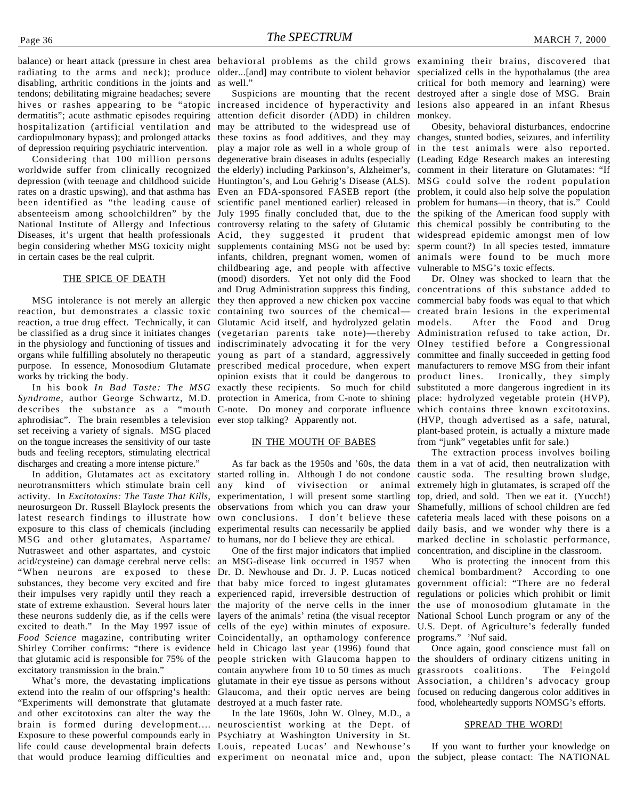balance) or heart attack (pressure in chest area behavioral problems as the child grows examining their brains, discovered that radiating to the arms and neck); produce older...[and] may contribute to violent behavior specialized cells in the hypothalamus (the area disabling, arthritic conditions in the joints and tendons; debilitating migraine headaches; severe hives or rashes appearing to be "atopic increased incidence of hyperactivity and lesions also appeared in an infant Rhesus dermatitis"; acute asthmatic episodes requiring hospitalization (artificial ventilation and cardiopulmonary bypass); and prolonged attacks of depression requiring psychiatric intervention.

Considering that 100 million persons worldwide suffer from clinically recognized depression (with teenage and childhood suicide rates on a drastic upswing), and that asthma has been identified as "the leading cause of absenteeism among schoolchildren" by the July 1995 finally concluded that, due to the the spiking of the American food supply with National Institute of Allergy and Infectious Diseases, it's urgent that health professionals begin considering whether MSG toxicity might in certain cases be the real culprit.

#### THE SPICE OF DEATH

MSG intolerance is not merely an allergic reaction, but demonstrates a classic toxic reaction, a true drug effect. Technically, it can be classified as a drug since it initiates changes in the physiology and functioning of tissues and indiscriminately advocating it for the very Olney testified before a Congressional organs while fulfilling absolutely no therapeutic young as part of a standard, aggressively committee and finally succeeded in getting food purpose. In essence, Monosodium Glutamate prescribed medical procedure, when expert manufacturers to remove MSG from their infant works by tricking the body.

aphrodisiac". The brain resembles a television ever stop talking? Apparently not. set receiving a variety of signals. MSG placed on the tongue increases the sensitivity of our taste buds and feeling receptors, stimulating electrical discharges and creating a more intense picture."

In addition, Glutamates act as excitatory neurotransmitters which stimulate brain cell activity. In *Excitotoxins: The Taste That Kills*, neurosurgeon Dr. Russell Blaylock presents the latest research findings to illustrate how exposure to this class of chemicals (including MSG and other glutamates, Aspartame/ Nutrasweet and other aspartates, and cystoic acid/cysteine) can damage cerebral nerve cells: "When neurons are exposed to these substances, they become very excited and fire their impulses very rapidly until they reach a state of extreme exhaustion. Several hours later these neurons suddenly die, as if the cells were excited to death." In the May 1997 issue of *Food Science* magazine, contributing writer Shirley Corriher confirms: "there is evidence that glutamic acid is responsible for 75% of the excitatory transmission in the brain."

What's more, the devastating implications extend into the realm of our offspring's health: "Experiments will demonstrate that glutamate and other excitotoxins can alter the way the brain is formed during development.... neuroscientist working at the Dept. of Exposure to these powerful compounds early in Psychiatry at Washington University in St. life could cause developmental brain defects Louis, repeated Lucas' and Newhouse's that would produce learning difficulties and experiment on neonatal mice and, upon the subject, please contact: The NATIONAL

as well."

In his book In Bad Taste: The MSG exactly these recipients. So much for child substituted a more dangerous ingredient in its Syndrome, author George Schwartz, M.D. protection in America, from C-note to shining place: hydrolyzed vegetable protein (HVP), describes the substance as a "mouth C-note. Do money and corporate influence which contains three known excitotoxins. attention deficit disorder (ADD) in children monkey. may be attributed to the widespread use of these toxins as food additives, and they may changes, stunted bodies, seizures, and infertility play a major role as well in a whole group of in the test animals were also reported. degenerative brain diseases in adults (especially (Leading Edge Research makes an interesting the elderly) including Parkinson's, Alzheimer's, comment in their literature on Glutamates: "If Huntington's, and Lou Gehrig's Disease (ALS). MSG could solve the rodent population Even an FDA-sponsored FASEB report (the problem, it could also help solve the population scientific panel mentioned earlier) released in problem for humans—in theory, that is." Could controversy relating to the safety of Glutamic this chemical possibly be contributing to the Acid, they suggested it prudent that widespread epidemic amongst men of low supplements containing MSG not be used by: sperm count?) In all species tested, immature infants, children, pregnant women, women of animals were found to be much more childbearing age, and people with affective vulnerable to MSG's toxic effects. (mood) disorders. Yet not only did the Food and Drug Administration suppress this finding, concentrations of this substance added to they then approved a new chicken pox vaccine commercial baby foods was equal to that which containing two sources of the chemical— created brain lesions in the experimental Glutamic Acid itself, and hydrolyzed gelatin models. (vegetarian parents take note)—thereby Administration refused to take action, Dr. opinion exists that it could be dangerous to product lines. Ironically, they simply

#### IN THE MOUTH OF BABES

As far back as the 1950s and '60s, the data started rolling in. Although I do not condone any kind of vivisection or animal experimentation, I will present some startling observations from which you can draw your own conclusions. I don't believe these experimental results can necessarily be applied to humans, nor do I believe they are ethical.

One of the first major indicators that implied an MSG-disease link occurred in 1957 when Dr. D. Newhouse and Dr. J. P. Lucas noticed that baby mice forced to ingest glutamates experienced rapid, irreversible destruction of the majority of the nerve cells in the inner layers of the animals' retina (the visual receptor cells of the eye) within minutes of exposure. Coincidentally, an opthamology conference held in Chicago last year (1996) found that people stricken with Glaucoma happen to contain anywhere from 10 to 50 times as much glutamate in their eye tissue as persons without Association, a children's advocacy group Glaucoma, and their optic nerves are being focused on reducing dangerous color additives in destroyed at a much faster rate.

In the late 1960s, John W. Olney, M.D., a

Suspicions are mounting that the recent destroyed after a single dose of MSG. Brain critical for both memory and learning) were

Obesity, behavioral disturbances, endocrine

Dr. Olney was shocked to learn that the After the Food and Drug (HVP, though advertised as a safe, natural, plant-based protein, is actually a mixture made from "junk" vegetables unfit for sale.)

The extraction process involves boiling them in a vat of acid, then neutralization with caustic soda. The resulting brown sludge, extremely high in glutamates, is scraped off the top, dried, and sold. Then we eat it. (Yucch!) Shamefully, millions of school children are fed cafeteria meals laced with these poisons on a daily basis, and we wonder why there is a marked decline in scholastic performance, concentration, and discipline in the classroom.

Who is protecting the innocent from this chemical bombardment? According to one government official: "There are no federal regulations or policies which prohibit or limit the use of monosodium glutamate in the National School Lunch program or any of the U.S. Dept. of Agriculture's federally funded programs." 'Nuf said.

Once again, good conscience must fall on the shoulders of ordinary citizens uniting in grassroots coalitions. The Feingold food, wholeheartedly supports NOMSG's efforts.

#### SPREAD THE WORD!

If you want to further your knowledge on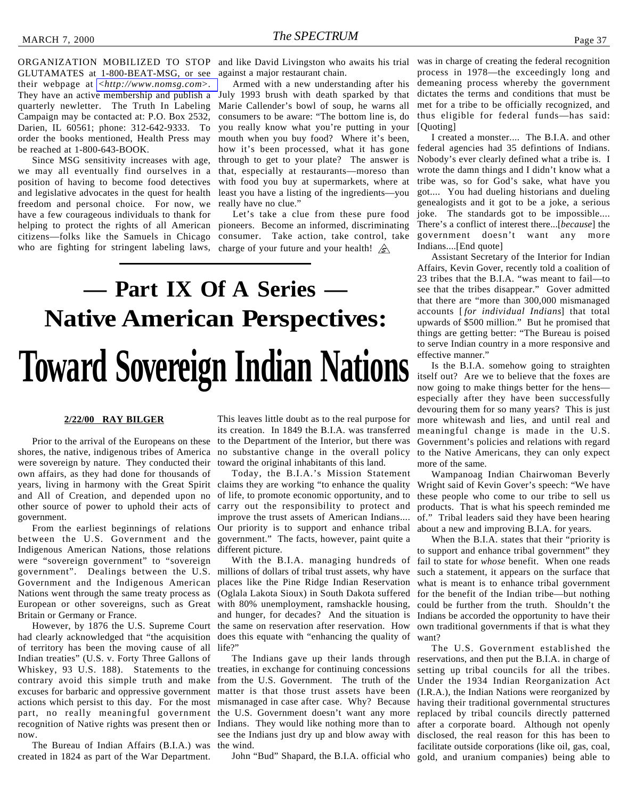GLUTAMATES at 1-800-BEAT-MSG, or see their webpage at <*<http://www.nomsg.com>*>. They have an active membership and publish a quarterly newletter. The Truth In Labeling Campaign may be contacted at: P.O. Box 2532, Darien, IL 60561; phone: 312-642-9333. To order the books mentioned, Health Press may be reached at 1-800-643-BOOK.

Since MSG sensitivity increases with age, we may all eventually find ourselves in a position of having to become food detectives and legislative advocates in the quest for health freedom and personal choice. For now, we really have no clue." have a few courageous individuals to thank for helping to protect the rights of all American pioneers. Become an informed, discriminating citizens—folks like the Samuels in Chicago consumer. Take action, take control, take who are fighting for stringent labeling laws, charge of your future and your health!

against a major restaurant chain.

Armed with a new understanding after his July 1993 brush with death sparked by that Marie Callender's bowl of soup, he warns all consumers to be aware: "The bottom line is, do you really know what you're putting in your mouth when you buy food? Where it's been, how it's been processed, what it has gone through to get to your plate? The answer is that, especially at restaurants—moreso than with food you buy at supermarkets, where at least you have a listing of the ingredients—you

Let's take a clue from these pure food

# **Toward Sovereign Indian Nations — Part IX Of A Series — Native American Perspectives:**

#### **2/22/00 RAY BILGER**

years, living in harmony with the Great Spirit claims they are working "to enhance the quality Prior to the arrival of the Europeans on these shores, the native, indigenous tribes of America were sovereign by nature. They conducted their own affairs, as they had done for thousands of and All of Creation, and depended upon no other source of power to uphold their acts of government.

From the earliest beginnings of relations between the U.S. Government and the Indigenous American Nations, those relations were "sovereign government" to "sovereign government". Dealings between the U.S. Government and the Indigenous American Nations went through the same treaty process as European or other sovereigns, such as Great Britain or Germany or France.

However, by 1876 the U.S. Supreme Court had clearly acknowledged that "the acquisition of territory has been the moving cause of all Indian treaties" (U.S. v. Forty Three Gallons of Whiskey, 93 U.S. 188). Statements to the contrary avoid this simple truth and make excuses for barbaric and oppressive government actions which persist to this day. For the most part, no really meaningful government recognition of Native rights was present then or now.

The Bureau of Indian Affairs (B.I.A.) was created in 1824 as part of the War Department.

This leaves little doubt as to the real purpose for its creation. In 1849 the B.I.A. was transferred to the Department of the Interior, but there was no substantive change in the overall policy toward the original inhabitants of this land.

Today, the B.I.A.'s Mission Statement of life, to promote economic opportunity, and to carry out the responsibility to protect and improve the trust assets of American Indians.... Our priority is to support and enhance tribal government." The facts, however, paint quite a different picture.

With the B.I.A. managing hundreds of millions of dollars of tribal trust assets, why have places like the Pine Ridge Indian Reservation (Oglala Lakota Sioux) in South Dakota suffered with 80% unemployment, ramshackle housing, and hunger, for decades? And the situation is the same on reservation after reservation. How does this equate with "enhancing the quality of life?"

treaties, in exchange for continuing concessions from the U.S. Government. The truth of the matter is that those trust assets have been mismanaged in case after case. Why? Because the U.S. Government doesn't want any more replaced by tribal councils directly patterned Indians. They would like nothing more than to see the Indians just dry up and blow away with the wind.

John "Bud" Shapard, the B.I.A. official who gold, and uranium companies) being able to

<span id="page-36-0"></span>ORGANIZATION MOBILIZED TO STOP and like David Livingston who awaits his trial was in charge of creating the federal recognition process in 1978—the exceedingly long and demeaning process whereby the government dictates the terms and conditions that must be met for a tribe to be officially recognized, and thus eligible for federal funds—has said: [Quoting]

> I created a monster.... The B.I.A. and other federal agencies had 35 defintions of Indians. Nobody's ever clearly defined what a tribe is. I wrote the damn things and I didn't know what a tribe was, so for God's sake, what have you got.... You had dueling historians and dueling genealogists and it got to be a joke, a serious joke. The standards got to be impossible.... There's a conflict of interest there...[*because*] the government doesn't want any more Indians....[End quote]

> Assistant Secretary of the Interior for Indian Affairs, Kevin Gover, recently told a coalition of 23 tribes that the B.I.A. "was meant to fail—to see that the tribes disappear." Gover admitted that there are "more than 300,000 mismanaged accounts [ *for individual Indians*] that total upwards of \$500 million." But he promised that things are getting better: "The Bureau is poised to serve Indian country in a more responsive and effective manner."

> Is the B.I.A. somehow going to straighten itself out? Are we to believe that the foxes are now going to make things better for the hens especially after they have been successfully devouring them for so many years? This is just more whitewash and lies, and until real and meaningful change is made in the U.S. Government's policies and relations with regard to the Native Americans, they can only expect more of the same.

> Wampanoag Indian Chairwoman Beverly Wright said of Kevin Gover's speech: "We have these people who come to our tribe to sell us products. That is what his speech reminded me of." Tribal leaders said they have been hearing about a new and improving B.I.A. for years.

> When the B.I.A. states that their "priority is to support and enhance tribal government" they fail to state for *whose* benefit. When one reads such a statement, it appears on the surface that what is meant is to enhance tribal government for the benefit of the Indian tribe—but nothing could be further from the truth. Shouldn't the Indians be accorded the opportunity to have their own traditional governments if that is what they want?

The Indians gave up their lands through reservations, and then put the B.I.A. in charge of The U.S. Government established the setting up tribal councils for all the tribes. Under the 1934 Indian Reorganization Act (I.R.A.), the Indian Nations were reorganized by having their traditional governmental structures after a corporate board. Although not openly disclosed, the real reason for this has been to facilitate outside corporations (like oil, gas, coal,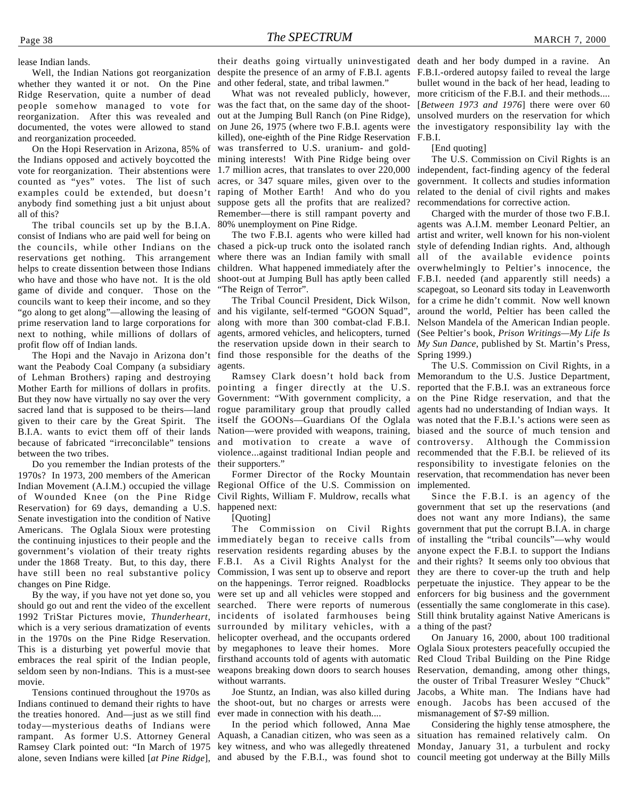lease Indian lands.

Well, the Indian Nations got reorganization whether they wanted it or not. On the Pine Ridge Reservation, quite a number of dead people somehow managed to vote for reorganization. After this was revealed and documented, the votes were allowed to stand and reorganization proceeded.

On the Hopi Reservation in Arizona, 85% of the Indians opposed and actively boycotted the vote for reorganization. Their abstentions were counted as "yes" votes. The list of such acres, or 347 square miles, given over to the examples could be extended, but doesn't raping of Mother Earth! And who do you anybody find something just a bit unjust about suppose gets all the profits that are realized? all of this?

The tribal councils set up by the B.I.A. consist of Indians who are paid well for being on the councils, while other Indians on the chased a pick-up truck onto the isolated ranch reservations get nothing. This arrangement helps to create dissention between those Indians who have and those who have not. It is the old game of divide and conquer. Those on the councils want to keep their income, and so they "go along to get along"—allowing the leasing of prime reservation land to large corporations for next to nothing, while millions of dollars of profit flow off of Indian lands.

want the Peabody Coal Company (a subsidiary of Lehman Brothers) raping and destroying Mother Earth for millions of dollars in profits. But they now have virtually no say over the very sacred land that is supposed to be theirs—land given to their care by the Great Spirit. The B.I.A. wants to evict them off of their lands because of fabricated "irreconcilable" tensions between the two tribes.

Do you remember the Indian protests of the 1970s? In 1973, 200 members of the American Indian Movement (A.I.M.) occupied the village Regional Office of the U.S. Commission on of Wounded Knee (on the Pine Ridge Reservation) for 69 days, demanding a U.S. Senate investigation into the condition of Native Americans. The Oglala Sioux were protesting the continuing injustices to their people and the immediately began to receive calls from government's violation of their treaty rights under the 1868 Treaty. But, to this day, there have still been no real substantive policy changes on Pine Ridge.

By the way, if you have not yet done so, you should go out and rent the video of the excellent 1992 TriStar Pictures movie, *Thunderheart*, which is a very serious dramatization of events in the 1970s on the Pine Ridge Reservation. This is a disturbing yet powerful movie that embraces the real spirit of the Indian people, seldom seen by non-Indians. This is a must-see movie.

Tensions continued throughout the 1970s as Indians continued to demand their rights to have the treaties honored. And—just as we still find today—mysterious deaths of Indians were rampant. As former U.S. Attorney General Ramsey Clark pointed out: "In March of 1975 key witness, and who was allegedly threatened Monday, January 31, a turbulent and rocky alone, seven Indians were killed [at Pine Ridge], and abused by the F.B.I., was found shot to council meeting got underway at the Billy Mills

despite the presence of an army of F.B.I. agents F.B.I.-ordered autopsy failed to reveal the large and other federal, state, and tribal lawmen."

on June 26, 1975 (where two F.B.I. agents were the investigatory responsibility lay with the What was not revealed publicly, however, was the fact that, on the same day of the shootout at the Jumping Bull Ranch (on Pine Ridge), killed), one-eighth of the Pine Ridge Reservation was transferred to U.S. uranium- and goldmining interests! With Pine Ridge being over 1.7 million acres, that translates to over 220,000 Remember—there is still rampant poverty and 80% unemployment on Pine Ridge.

children. What happened immediately after the overwhelmingly to Peltier's innocence, the shoot-out at Jumping Bull has aptly been called F.B.I. needed (and apparently still needs) a The two F.B.I. agents who were killed had where there was an Indian family with small "The Reign of Terror".

The Hopi and the Navajo in Arizona don't find those responsible for the deaths of the Spring 1999.) the reservation upside down in their search to *My Sun Dance*, published by St. Martin's Press, The Tribal Council President, Dick Wilson, and his vigilante, self-termed "GOON Squad", along with more than 300 combat-clad F.B.I. agents, armored vehicles, and helicopters, turned agents.

> pointing a finger directly at the U.S. reported that the F.B.I. was an extraneous force rogue paramilitary group that proudly called agents had no understanding of Indian ways. It itself the GOONs—Guardians Of the Oglala was noted that the F.B.I.'s actions were seen as and motivation to create a wave of controversy. Although the Commission violence...against traditional Indian people and their supporters."

Former Director of the Rocky Mountain Civil Rights, William F. Muldrow, recalls what happened next:

[Ouoting]

by megaphones to leave their homes. More Oglala Sioux protesters peacefully occupied the The Commission on Civil Rights reservation residents regarding abuses by the F.B.I. As a Civil Rights Analyst for the Commission, I was sent up to observe and report on the happenings. Terror reigned. Roadblocks were set up and all vehicles were stopped and searched. There were reports of numerous incidents of isolated farmhouses being surrounded by military vehicles, with a helicopter overhead, and the occupants ordered firsthand accounts told of agents with automatic weapons breaking down doors to search houses without warrants.

Joe Stuntz, an Indian, was also killed during the shoot-out, but no charges or arrests were ever made in connection with his death....

In the period which followed, Anna Mae Aquash, a Canadian citizen, who was seen as a

their deaths going virtually uninvestigated death and her body dumped in a ravine. An bullet wound in the back of her head, leading to more criticism of the F.B.I. and their methods.... [*Between 1973 and 1976*] there were over 60 unsolved murders on the reservation for which F.B.I.

[End quoting]

The U.S. Commission on Civil Rights is an independent, fact-finding agency of the federal government. It collects and studies information related to the denial of civil rights and makes recommendations for corrective action.

Charged with the murder of those two F.B.I. agents was A.I.M. member Leonard Peltier, an artist and writer, well known for his non-violent style of defending Indian rights. And, although all of the available evidence points scapegoat, so Leonard sits today in Leavenworth for a crime he didn't commit. Now well known around the world, Peltier has been called the Nelson Mandela of the American Indian people. (See Peltier's book, *Prison Writings—My Life Is*

The U.S. Commission on Civil Rights, in a Ramsey Clark doesn't hold back from Memorandum to the U.S. Justice Department, Government: "With government complicity, a on the Pine Ridge reservation, and that the Nation—were provided with weapons, training, biased and the source of much tension and recommended that the F.B.I. be relieved of its responsibility to investigate felonies on the reservation, that recommendation has never been implemented.

> Since the F.B.I. is an agency of the government that set up the reservations (and does not want any more Indians), the same government that put the corrupt B.I.A. in charge of installing the "tribal councils"—why would anyone expect the F.B.I. to support the Indians and their rights? It seems only too obvious that they are there to cover-up the truth and help perpetuate the injustice. They appear to be the enforcers for big business and the government (essentially the same conglomerate in this case). Still think brutality against Native Americans is a thing of the past?

> On January 16, 2000, about 100 traditional Red Cloud Tribal Building on the Pine Ridge Reservation, demanding, among other things, the ouster of Tribal Treasurer Wesley "Chuck" Jacobs, a White man. The Indians have had enough. Jacobs has been accused of the mismanagement of \$7-\$9 million.

> Considering the highly tense atmosphere, the situation has remained relatively calm. On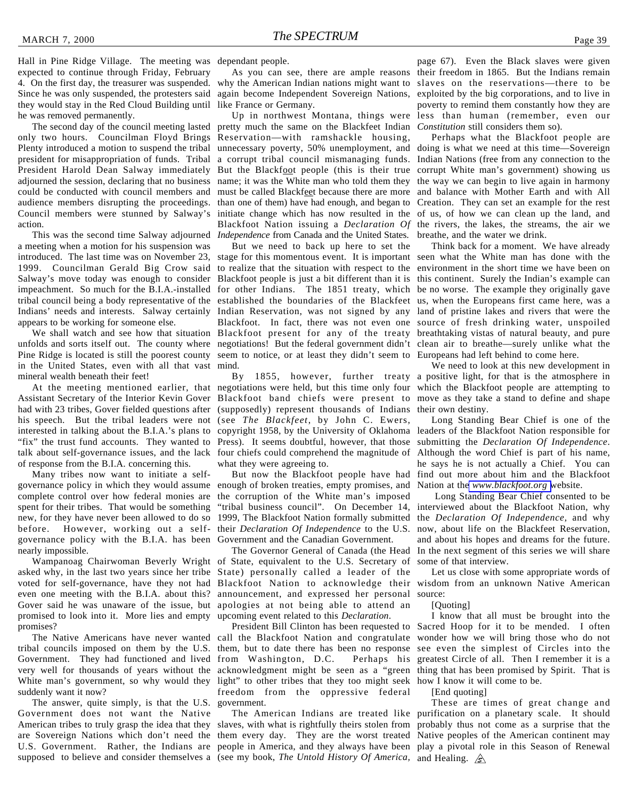Hall in Pine Ridge Village. The meeting was dependant people. expected to continue through Friday, February 4. On the first day, the treasurer was suspended. Since he was only suspended, the protesters said they would stay in the Red Cloud Building until he was removed permanently.

The second day of the council meeting lasted only two hours. Councilman Floyd Brings Plenty introduced a motion to suspend the tribal unnecessary poverty, 50% unemployment, and president for misappropriation of funds. Tribal a corrupt tribal council mismanaging funds. President Harold Dean Salway immediately But the Blackfoot people (this is their true corrupt White man's government) showing us adjourned the session, declaring that no business name; it was the White man who told them they the way we can begin to live again in harmony could be conducted with council members and must be called Blackfeet because there are more and balance with Mother Earth and with All audience members disrupting the proceedings. Council members were stunned by Salway's action.

This was the second time Salway adjourned a meeting when a motion for his suspension was introduced. The last time was on November 23, 1999. Councilman Gerald Big Crow said to realize that the situation with respect to the environment in the short time we have been on Salway's move today was enough to consider Blackfoot people is just a bit different than it is this continent. Surely the Indian's example can impeachment. So much for the B.I.A.-installed for other Indians. The 1851 treaty, which be no worse. The example they originally gave tribal council being a body representative of the established the boundaries of the Blackfeet us, when the Europeans first came here, was a Indians' needs and interests. Salway certainly Indian Reservation, was not signed by any land of pristine lakes and rivers that were the appears to be working for someone else.

unfolds and sorts itself out. The county where negotiations! But the federal government didn't clean air to breathe—surely unlike what the Pine Ridge is located is still the poorest county in the United States, even with all that vast mineral wealth beneath their feet!

Assistant Secretary of the Interior Kevin Gover Blackfoot band chiefs were present to move as they take a stand to define and shape had with 23 tribes, Gover fielded questions after (supposedly) represent thousands of Indians their own destiny. his speech. But the tribal leaders were not (see *The Blackfeet*, by John C. Ewers, interested in talking about the B.I.A.'s plans to copyright 1958, by the University of Oklahoma leaders of the Blackfoot Nation responsible for "fix" the trust fund accounts. They wanted to Press). It seems doubtful, however, that those talk about self-governance issues, and the lack four chiefs could comprehend the magnitude of of response from the B.I.A. concerning this.

Many tribes now want to initiate a selfgovernance policy in which they would assume complete control over how federal monies are spent for their tribes. That would be something new, for they have never been allowed to do so before. However, working out a self-their *Declaration Of Independence* to the U.S. governance policy with the B.I.A. has been Government and the Canadian Government. nearly impossible.

asked why, in the last two years since her tribe voted for self-governance, have they not had even one meeting with the B.I.A. about this? Gover said he was unaware of the issue, but promised to look into it. More lies and empty promises?

tribal councils imposed on them by the U.S. them, but to date there has been no response Government. They had functioned and lived from Washington, D.C. Perhaps his very well for thousands of years without the acknowledgment might be seen as a "green thing that has been promised by Spirit. That is White man's government, so why would they light" to other tribes that they too might seek how I know it will come to be. suddenly want it now?

The answer, quite simply, is that the U.S. Government does not want the Native American tribes to truly grasp the idea that they slaves, with what is rightfully theirs stolen from probably thus not come as a surprise that the are Sovereign Nations which don't need the them every day. They are the worst treated Native peoples of the American continent may U.S. Government. Rather, the Indians are people in America, and they always have been play a pivotal role in this Season of Renewal

why the American Indian nations might want to slaves on the reservations—there to be again become Independent Sovereign Nations, like France or Germany.

pretty much the same on the Blackfeet Indian Reservation—with ramshackle housing, than one of them) have had enough, and began to Creation. They can set an example for the rest initiate change which has now resulted in the of us, of how we can clean up the land, and Blackfoot Nation issuing a *Declaration Of* the rivers, the lakes, the streams, the air we *Independence* from Canada and the United States.

We shall watch and see how that situation Blackfoot present for any of the treaty breathtaking vistas of natural beauty, and pure But we need to back up here to set the stage for this momentous event. It is important seen what the White man has done with the Blackfoot. In fact, there was not even one source of fresh drinking water, unspoiled seem to notice, or at least they didn't seem to Europeans had left behind to come here. mind.

At the meeting mentioned earlier, that negotiations were held, but this time only four which the Blackfoot people are attempting to what they were agreeing to.

> But now the Blackfoot people have had enough of broken treaties, empty promises, and the corruption of the White man's imposed "tribal business council". On December 14, 1999, The Blackfoot Nation formally submitted

Wampanoag Chairwoman Beverly Wright of State, equivalent to the U.S. Secretary of The Governor General of Canada (the Head State) personally called a leader of the Blackfoot Nation to acknowledge their announcement, and expressed her personal apologies at not being able to attend an upcoming event related to this *Declaration*.

The Native Americans have never wanted call the Blackfoot Nation and congratulate President Bill Clinton has been requested to freedom from the oppressive federal government.

supposed to believe and consider themselves a (see my book, *The Untold History Of America,* and Healing.

As you can see, there are ample reasons their freedom in 1865. But the Indians remain Up in northwest Montana, things were less than human (remember, even our page 67). Even the Black slaves were given exploited by the big corporations, and to live in poverty to remind them constantly how they are *Constitution* still considers them so).

> Perhaps what the Blackfoot people are doing is what we need at this time—Sovereign Indian Nations (free from any connection to the breathe, and the water we drink.

> Think back for a moment. We have already

By 1855, however, further treaty a positive light, for that is the atmosphere in We need to look at this new development in

> Long Standing Bear Chief is one of the submitting the *Declaration Of Independence*. Although the word Chief is part of his name, he says he is not actually a Chief. You can find out more about him and the Blackfoot Nation at the *[www.blackfoot.org](http://www.blackfoot.org)* website.

> Long Standing Bear Chief consented to be interviewed about the Blackfoot Nation, why the *Declaration Of Independence,* and why now, about life on the Blackfeet Reservation, and about his hopes and dreams for the future. In the next segment of this series we will share some of that interview.

> Let us close with some appropriate words of wisdom from an unknown Native American source:

#### [Quoting]

I know that all must be brought into the Sacred Hoop for it to be mended. I often wonder how we will bring those who do not see even the simplest of Circles into the greatest Circle of all. Then I remember it is a

[End quoting]

The American Indians are treated like purification on a planetary scale. It should These are times of great change and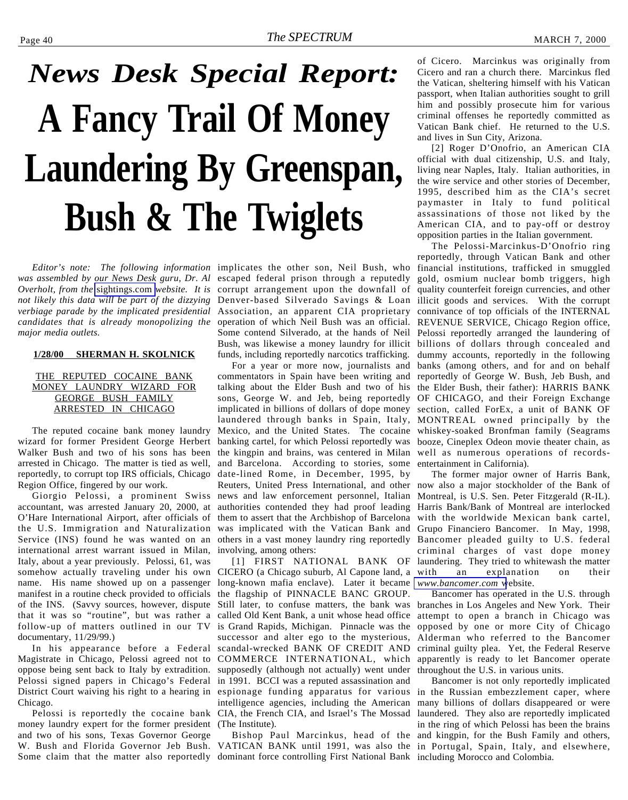# <span id="page-39-0"></span>*News Desk Special Report:* **A Fancy Trail Of Money Laundering By Greenspan, Bush & The Twiglets**

*Editor's note: The following information* implicates the other son, Neil Bush, who *was assembled by our News Desk guru, Dr. Al* escaped federal prison through a reputedly *Overholt, from the* [sightings.com](http://www.sightings.com) *website. It is* corrupt arrangement upon the downfall of *verbiage parade by the implicated presidential candidates that is already monopolizing the major media outlets.*

#### **1/28/00 SHERMAN H. SKOLNICK**

#### THE REPUTED COCAINE BANK MONEY LAUNDRY WIZARD FOR GEORGE BUSH FAMILY ARRESTED IN CHICAGO

The reputed cocaine bank money laundry wizard for former President George Herbert Walker Bush and two of his sons has been arrested in Chicago. The matter is tied as well, reportedly, to corrupt top IRS officials, Chicago Region Office, fingered by our work.

Giorgio Pelossi, a prominent Swiss accountant, was arrested January 20, 2000, at O'Hare International Airport, after officials of the U.S. Immigration and Naturalization Service (INS) found he was wanted on an international arrest warrant issued in Milan, Italy, about a year previously. Pelossi, 61, was somehow actually traveling under his own name. His name showed up on a passenger manifest in a routine check provided to officials of the INS. (Savvy sources, however, dispute that it was so "routine", but was rather a follow-up of matters outlined in our TV documentary, 11/29/99.)

In his appearance before a Federal Magistrate in Chicago, Pelossi agreed not to oppose being sent back to Italy by extradition. Pelossi signed papers in Chicago's Federal District Court waiving his right to a hearing in Chicago.

Pelossi is reportedly the cocaine bank money laundry expert for the former president and two of his sons, Texas Governor George W. Bush and Florida Governor Jeb Bush. VATICAN BANK until 1991, was also the in Portugal, Spain, Italy, and elsewhere, Some claim that the matter also reportedly dominant force controlling First National Bank including Morocco and Colombia.

*not likely this data will be part of the dizzying* Denver-based Silverado Savings & Loan illicit goods and services. With the corrupt Association, an apparent CIA proprietary operation of which Neil Bush was an official. REVENUE SERVICE, Chicago Region office, Some contend Silverado, at the hands of Neil Pelossi reportedly arranged the laundering of Bush, was likewise a money laundry for illicit billions of dollars through concealed and funds, including reportedly narcotics trafficking.

> commentators in Spain have been writing and reportedly of George W. Bush, Jeb Bush, and talking about the Elder Bush and two of his the Elder Bush, their father): HARRIS BANK sons, George W. and Jeb, being reportedly OF CHICAGO, and their Foreign Exchange implicated in billions of dollars of dope money section, called ForEx, a unit of BANK OF laundered through banks in Spain, Italy, MONTREAL owned principally by the Mexico, and the United States. The cocaine whiskey-soaked Bronfman family (Seagrams banking cartel, for which Pelossi reportedly was booze, Cineplex Odeon movie theater chain, as the kingpin and brains, was centered in Milan well as numerous operations of recordsand Barcelona. According to stories, some date-lined Rome, in December, 1995, by Reuters, United Press International, and other news and law enforcement personnel, Italian authorities contended they had proof leading them to assert that the Archbishop of Barcelona was implicated with the Vatican Bank and others in a vast money laundry ring reportedly involving, among others:

[1] FIRST NATIONAL BANK OF CICERO (a Chicago suburb, Al Capone land, a long-known mafia enclave). Later it became the flagship of PINNACLE BANC GROUP. Still later, to confuse matters, the bank was called Old Kent Bank, a unit whose head office is Grand Rapids, Michigan. Pinnacle was the successor and alter ego to the mysterious, scandal-wrecked BANK OF CREDIT AND COMMERCE INTERNATIONAL, which supposedly (although not actually) went under in 1991. BCCI was a reputed assassination and espionage funding apparatus for various intelligence agencies, including the American CIA, the French CIA, and Israel's The Mossad (The Institute).

Bishop Paul Marcinkus, head of the

of Cicero. Marcinkus was originally from Cicero and ran a church there. Marcinkus fled the Vatican, sheltering himself with his Vatican passport, when Italian authorities sought to grill him and possibly prosecute him for various criminal offenses he reportedly committed as Vatican Bank chief. He returned to the U.S. and lives in Sun City, Arizona.

[2] Roger D'Onofrio, an American CIA official with dual citizenship, U.S. and Italy, living near Naples, Italy. Italian authorities, in the wire service and other stories of December, 1995, described him as the CIA's secret paymaster in Italy to fund political assassinations of those not liked by the American CIA, and to pay-off or destroy opposition parties in the Italian government.

For a year or more now, journalists and banks (among others, and for and on behalf The Pelossi-Marcinkus-D'Onofrio ring reportedly, through Vatican Bank and other financial institutions, trafficked in smuggled gold, osmium nuclear bomb triggers, high quality counterfeit foreign currencies, and other connivance of top officials of the INTERNAL dummy accounts, reportedly in the following entertainment in California).

> The former major owner of Harris Bank, now also a major stockholder of the Bank of Montreal, is U.S. Sen. Peter Fitzgerald (R-IL). Harris Bank/Bank of Montreal are interlocked with the worldwide Mexican bank cartel, Grupo Financiero Bancomer. In May, 1998, Bancomer pleaded guilty to U.S. federal criminal charges of vast dope money laundering. They tried to whitewash the matter with an explanation on their *[www.bancomer.com](http://www.bancomer.com)* website.

> Bancomer has operated in the U.S. through branches in Los Angeles and New York. Their attempt to open a branch in Chicago was opposed by one or more City of Chicago Alderman who referred to the Bancomer criminal guilty plea. Yet, the Federal Reserve apparently is ready to let Bancomer operate throughout the U.S. in various units.

Bancomer is not only reportedly implicated in the Russian embezzlement caper, where many billions of dollars disappeared or were laundered. They also are reportedly implicated in the ring of which Pelossi has been the brains and kingpin, for the Bush Family and others,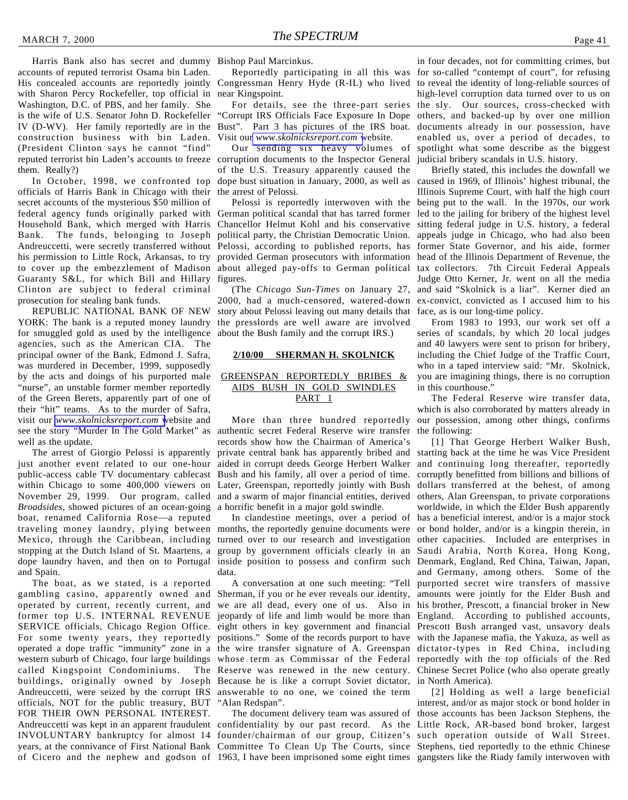Harris Bank also has secret and dummy Bishop Paul Marcinkus. accounts of reputed terrorist Osama bin Laden. His concealed accounts are reportedly jointly with Sharon Percy Rockefeller, top official in Washington, D.C. of PBS, and her family. She is the wife of U.S. Senator John D. Rockefeller IV (D-WV). Her family reportedly are in the Bust". Part 3 has pictures of the IRS boat. construction business with bin Laden. (President Clinton says he cannot "find" reputed terrorist bin Laden's accounts to freeze corruption documents to the Inspector General them. Really?)

In October, 1998, we confronted top officials of Harris Bank in Chicago with their secret accounts of the mysterious \$50 million of federal agency funds originally parked with German political scandal that has tarred former Household Bank, which merged with Harris Chancellor Helmut Kohl and his conservative Bank. The funds, belonging to Joseph Andreuccetti, were secretly transferred without Pelossi, according to published reports, has former State Governor, and his aide, former his permission to Little Rock, Arkansas, to try provided German prosecutors with information head of the Illinois Department of Revenue, the to cover up the embezzlement of Madison about alleged pay-offs to German political tax collectors. 7th Circuit Federal Appeals Guaranty S&L, for which Bill and Hillary figures. Clinton are subject to federal criminal prosecution for stealing bank funds.

REPUBLIC NATIONAL BANK OF NEW YORK: The bank is a reputed money laundry for smuggled gold as used by the intelligence agencies, such as the American CIA. The principal owner of the Bank, Edmond J. Safra, was murdered in December, 1999, supposedly by the acts and doings of his purported male "nurse", an unstable former member reportedly of the Green Berets, apparently part of one of their "hit" teams. As to the murder of Safra, visit our *[www.skolnicksreport.com](http://www.skolnicksreport.com)* website and see the story "Murder In The Gold Market" as authentic secret Federal Reserve wire transfer well as the update.

The arrest of Giorgio Pelossi is apparently just another event related to our one-hour public-access cable TV documentary cablecast within Chicago to some 400,000 viewers on November 29, 1999. Our program, called *Broadsides*, showed pictures of an ocean-going boat, renamed California Rose—a reputed traveling money laundry, plying between months, the reportedly genuine documents were Mexico, through the Caribbean, including stopping at the Dutch Island of St. Maartens, a dope laundry haven, and then on to Portugal inside position to possess and confirm such Denmark, England, Red China, Taiwan, Japan, and Spain.

The boat, as we stated, is a reported gambling casino, apparently owned and operated by current, recently current, and former top U.S. INTERNAL REVENUE jeopardy of life and limb would be more than England. According to published accounts, SERVICE officials, Chicago Region Office. eight others in key government and financial Prescott Bush arranged vast, unsavory deals For some twenty years, they reportedly positions." Some of the records purport to have with the Japanese mafia, the Yakuza, as well as operated a dope traffic "immunity" zone in a the wire transfer signature of A. Greenspan dictator-types in Red China, including western suburb of Chicago, four large buildings whose term as Commissar of the Federal reportedly with the top officials of the Red called Kingspoint Condominiums. The Reserve was renewed in the new century. Chinese Secret Police (who also operate greatly buildings, originally owned by Joseph Because he is like a corrupt Soviet dictator, in North America). Andreuccetti, were seized by the corrupt IRS answerable to no one, we coined the term officials, NOT for the public treasury, BUT FOR THEIR OWN PERSONAL INTEREST. Andreuccetti was kept in an apparent fraudulent confidentiality by our past record. As the Little Rock, AR-based bond broker, largest INVOLUNTARY bankruptcy for almost 14 founder/chairman of our group, Citizen's such operation outside of Wall Street. years, at the connivance of First National Bank Committee To Clean Up The Courts, since Stephens, tied reportedly to the ethnic Chinese of Cicero and the nephew and godson of 1963, I have been imprisoned some eight times gangsters like the Riady family interwoven with

Congressman Henry Hyde (R-IL) who lived to reveal the identity of long-reliable sources of near Kingspoint.

"Corrupt IRS Officials Face Exposure In Dope others, and backed-up by over one million Visit our *[www.skolnicksreport.com](http://www.skolnicksreport.com)* website.

Our sending six heavy volumes of of the U.S. Treasury apparently caused the dope bust situation in January, 2000, as well as the arrest of Pelossi.

Pelossi is reportedly interwoven with the political party, the Christian Democratic Union.

(The *Chicago Sun-Times* on January 27, 2000, had a much-censored, watered-down story about Pelossi leaving out many details that face, as is our long-time policy. the presslords are well aware are involved about the Bush family and the corrupt IRS.)

#### **2/10/00 SHERMAN H. SKOLNICK**

#### GREENSPAN REPORTEDLY BRIBES & AIDS BUSH IN GOLD SWINDLES PART<sub>1</sub>

records show how the Chairman of America's private central bank has apparently bribed and aided in corrupt deeds George Herbert Walker and continuing long thereafter, reportedly Bush and his family, all over a period of time. Later, Greenspan, reportedly jointly with Bush and a swarm of major financial entities, derived a horrific benefit in a major gold swindle.

In clandestine meetings, over a period of turned over to our research and investigation group by government officials clearly in an Saudi Arabia, North Korea, Hong Kong, data.

A conversation at one such meeting: "Tell Sherman, if you or he ever reveals our identity, we are all dead, every one of us. Also in his brother, Prescott, a financial broker in New "Alan Redspan".

Reportedly participating in all this was for so-called "contempt of court", for refusing For details, see the three-part series the sly. Our sources, cross-checked with in four decades, not for committing crimes, but high-level corruption data turned over to us on documents already in our possession, have enabled us, over a period of decades, to spotlight what some describe as the biggest judicial bribery scandals in U.S. history.

> Briefly stated, this includes the downfall we caused in 1969, of Illinois' highest tribunal, the Illinois Supreme Court, with half the high court being put to the wall. In the 1970s, our work led to the jailing for bribery of the highest level sitting federal judge in U.S. history, a federal appeals judge in Chicago, who had also been Judge Otto Kerner, Jr. went on all the media and said "Skolnick is a liar". Kerner died an ex-convict, convicted as I accused him to his

> From 1983 to 1993, our work set off a series of scandals, by which 20 local judges and 40 lawyers were sent to prison for bribery, including the Chief Judge of the Traffic Court, who in a taped interview said: "Mr. Skolnick, you are imagining things, there is no corruption in this courthouse."

More than three hundred reportedly our possession, among other things, confirms The Federal Reserve wire transfer data, which is also corroborated by matters already in the following:

> [1] That George Herbert Walker Bush, starting back at the time he was Vice President corruptly benefitted from billions and billions of dollars transferred at the behest, of among others, Alan Greenspan, to private corporations worldwide, in which the Elder Bush apparently has a beneficial interest, and/or is a major stock or bond holder, and/or is a kingpin therein, in other capacities. Included are enterprises in and Germany, among others. Some of the purported secret wire transfers of massive amounts were jointly for the Elder Bush and

The document delivery team was assured of those accounts has been Jackson Stephens, the [2] Holding as well a large beneficial interest, and/or as major stock or bond holder in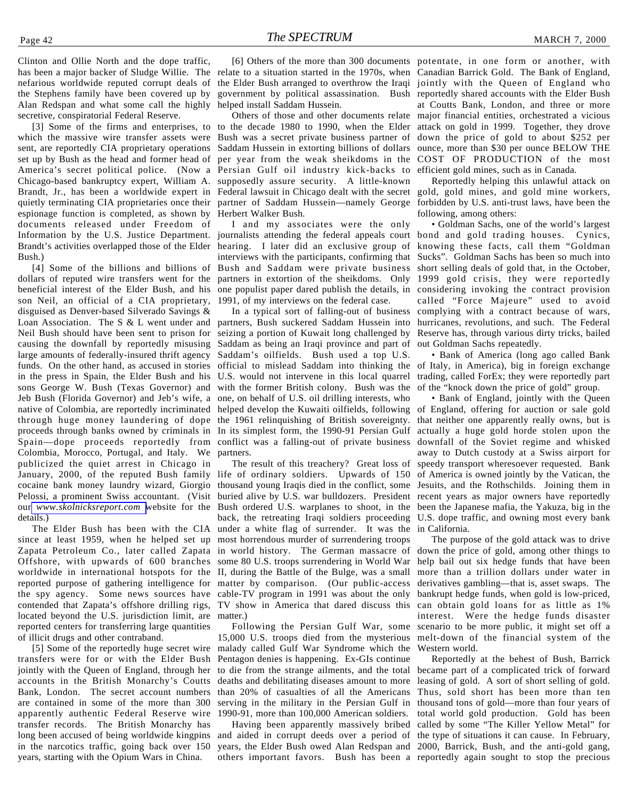Clinton and Ollie North and the dope traffic, has been a major backer of Sludge Willie. The relate to a situation started in the 1970s, when Canadian Barrick Gold. The Bank of England, nefarious worldwide reputed corrupt deals of the Stephens family have been covered up by Alan Redspan and what some call the highly secretive, conspiratorial Federal Reserve.

which the massive wire transfer assets were sent, are reportedly CIA proprietary operations set up by Bush as the head and former head of America's secret political police. (Now a Persian Gulf oil industry kick-backs to Chicago-based bankruptcy expert, William A. Brandt, Jr., has been a worldwide expert in Federal lawsuit in Chicago dealt with the secret quietly terminating CIA proprietaries once their espionage function is completed, as shown by documents released under Freedom of Information by the U.S. Justice Department. journalists attending the federal appeals court bond and gold trading houses. Cynics, Brandt's activities overlapped those of the Elder hearing. I later did an exclusive group of knowing these facts, call them "Goldman Bush.)

dollars of reputed wire transfers went for the partners in extortion of the sheikdoms. Only 1999 gold crisis, they were reportedly beneficial interest of the Elder Bush, and his one populist paper dared publish the details, in considering invoking the contract provision son Neil, an official of a CIA proprietary, disguised as Denver-based Silverado Savings & Loan Association. The S & L went under and partners, Bush suckered Saddam Hussein into Neil Bush should have been sent to prison for causing the downfall by reportedly misusing large amounts of federally-insured thrift agency funds. On the other hand, as accused in stories in the press in Spain, the Elder Bush and his sons George W. Bush (Texas Governor) and with the former British colony. Bush was the Jeb Bush (Florida Governor) and Jeb's wife, a one, on behalf of U.S. oil drilling interests, who native of Colombia, are reportedly incriminated helped develop the Kuwaiti oilfields, following of England, offering for auction or sale gold through huge money laundering of dope the 1961 relinquishing of British sovereignty. proceeds through banks owned by criminals in In its simplest form, the 1990-91 Persian Gulf actually a huge gold horde stolen upon the Spain—dope proceeds reportedly from conflict was a falling-out of private business downfall of the Soviet regime and whisked Colombia, Morocco, Portugal, and Italy. We publicized the quiet arrest in Chicago in January, 2000, of the reputed Bush family life of ordinary soldiers. Upwards of 150 cocaine bank money laundry wizard, Giorgio Pelossi, a prominent Swiss accountant. (Visit our *[www.skolnicksreport.com](http://www.skolnicksreport.com)* website for the details.)

since at least 1959, when he helped set up Zapata Petroleum Co., later called Zapata Offshore, with upwards of 600 branches worldwide in international hotspots for the reported purpose of gathering intelligence for the spy agency. Some news sources have contended that Zapata's offshore drilling rigs, located beyond the U.S. jurisdiction limit, are reported centers for transferring large quantities of illicit drugs and other contraband.

[5] Some of the reportedly huge secret wire transfers were for or with the Elder Bush jointly with the Queen of England, through her accounts in the British Monarchy's Coutts Bank, London. The secret account numbers are contained in some of the more than 300 apparently authentic Federal Reserve wire transfer records. The British Monarchy has long been accused of being worldwide kingpins in the narcotics traffic, going back over 150 years, starting with the Opium Wars in China.

the Elder Bush arranged to overthrow the Iraqi jointly with the Queen of England who government by political assassination. Bush reportedly shared accounts with the Elder Bush helped install Saddam Hussein.

[3] Some of the firms and enterprises, to to the decade 1980 to 1990, when the Elder attack on gold in 1999. Together, they drove Bush was a secret private business partner of down the price of gold to about \$252 per Saddam Hussein in extorting billions of dollars ounce, more than \$30 per ounce BELOW THE per year from the weak sheikdoms in the COST OF PRODUCTION of the most supposedly assure security. A little-known partner of Saddam Hussein—namely George Herbert Walker Bush.

[4] Some of the billions and billions of Bush and Saddam were private business short selling deals of gold that, in the October, I and my associates were the only interviews with the participants, confirming that Sucks". Goldman Sachs has been so much into 1991, of my interviews on the federal case.

seizing a portion of Kuwait long challenged by Saddam as being an Iraqi province and part of Saddam's oilfields. Bush used a top U.S. official to mislead Saddam into thinking the of Italy, in America), big in foreign exchange U.S. would not intervene in this local quarrel partners.

The Elder Bush has been with the CIA under a white flag of surrender. It was the in California. The result of this treachery? Great loss of thousand young Iraqis died in the conflict, some buried alive by U.S. war bulldozers. President Bush ordered U.S. warplanes to shoot, in the back, the retreating Iraqi soldiers proceeding most horrendous murder of surrendering troops in world history. The German massacre of some 80 U.S. troops surrendering in World War II, during the Battle of the Bulge, was a small matter by comparison. (Our public-access cable-TV program in 1991 was about the only TV show in America that dared discuss this can obtain gold loans for as little as 1% matter.)

> Following the Persian Gulf War, some 15,000 U.S. troops died from the mysterious malady called Gulf War Syndrome which the Pentagon denies is happening. Ex-GIs continue to die from the strange ailments, and the total deaths and debilitating diseases amount to more than 20% of casualties of all the Americans 1990-91, more than 100,000 American soldiers.

others important favors. Bush has been a reportedly again sought to stop the precious

[6] Others of the more than 300 documents potentate, in one form or another, with Others of those and other documents relate major financial entities, orchestrated a vicious at Coutts Bank, London, and three or more efficient gold mines, such as in Canada.

Reportedly helping this unlawful attack on gold, gold mines, and gold mine workers, forbidden by U.S. anti-trust laws, have been the following, among others:

In a typical sort of falling-out of business complying with a contract because of wars, • Goldman Sachs, one of the world's largest called "Force Majeure" used to avoid hurricanes, revolutions, and such. The Federal Reserve has, through various dirty tricks, bailed out Goldman Sachs repeatedly.

• Bank of America (long ago called Bank trading, called ForEx; they were reportedly part of the "knock down the price of gold" group.

• Bank of England, jointly with the Queen that neither one apparently really owns, but is away to Dutch custody at a Swiss airport for speedy transport wheresoever requested. Bank of America is owned jointly by the Vatican, the Jesuits, and the Rothschilds. Joining them in recent years as major owners have reportedly been the Japanese mafia, the Yakuza, big in the U.S. dope traffic, and owning most every bank

The purpose of the gold attack was to drive down the price of gold, among other things to help bail out six hedge funds that have been more than a trillion dollars under water in derivatives gambling—that is, asset swaps. The bankrupt hedge funds, when gold is low-priced, interest. Were the hedge funds disaster scenario to be more public, it might set off a melt-down of the financial system of the Western world.

serving in the military in the Persian Gulf in thousand tons of gold—more than four years of Having been apparently massively bribed called by some "The Killer Yellow Metal" for and aided in corrupt deeds over a period of the type of situations it can cause. In February, years, the Elder Bush owed Alan Redspan and 2000, Barrick, Bush, and the anti-gold gang, Reportedly at the behest of Bush, Barrick became part of a complicated trick of forward leasing of gold. A sort of short selling of gold. Thus, sold short has been more than ten total world gold production. Gold has been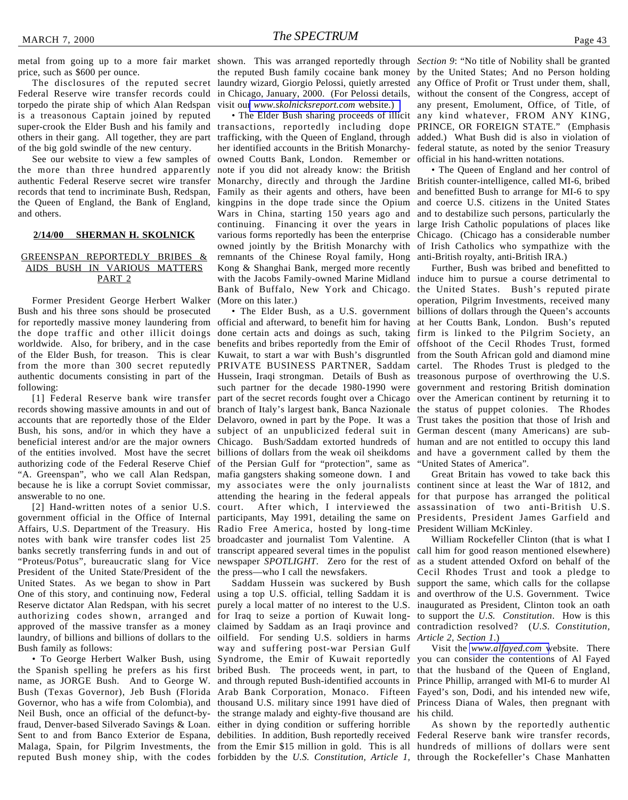price, such as \$600 per ounce.

The disclosures of the reputed secret Federal Reserve wire transfer records could torpedo the pirate ship of which Alan Redspan is a treasonous Captain joined by reputed others in their gang. All together, they are part of the big gold swindle of the new century.

See our website to view a few samples of the more than three hundred apparently authentic Federal Reserve secret wire transfer records that tend to incriminate Bush, Redspan, Family as their agents and others, have been the Queen of England, the Bank of England, kingpins in the dope trade since the Opium and others.

#### **2/14/00 SHERMAN H. SKOLNICK**

#### GREENSPAN REPORTEDLY BRIBES & AIDS BUSH IN VARIOUS MATTERS PART<sub>2</sub>

Former President George Herbert Walker Bush and his three sons should be prosecuted for reportedly massive money laundering from official and afterward, to benefit him for having at her Coutts Bank, London. Bush's reputed the dope traffic and other illicit doings done certain acts and doings as such, taking firm is linked to the Pilgrim Society, an worldwide. Also, for bribery, and in the case of the Elder Bush, for treason. This is clear Kuwait, to start a war with Bush's disgruntled from the South African gold and diamond mine from the more than 300 secret reputedly PRIVATE BUSINESS PARTNER, Saddam cartel. The Rhodes Trust is pledged to the authentic documents consisting in part of the Hussein, Iraqi strongman. Details of Bush as treasonous purpose of overthrowing the U.S. following:

records showing massive amounts in and out of branch of Italy's largest bank, Banca Nazionale the status of puppet colonies. The Rhodes accounts that are reportedly those of the Elder Delavoro, owned in part by the Pope. It was a Trust takes the position that those of Irish and Bush, his sons, and/or in which they have a subject of an unpublicized federal suit in German descent (many Americans) are subbeneficial interest and/or are the major owners Chicago. Bush/Saddam extorted hundreds of human and are not entitled to occupy this land of the entities involved. Most have the secret billions of dollars from the weak oil sheikdoms and have a government called by them the authorizing code of the Federal Reserve Chief of the Persian Gulf for "protection", same as "A. Greenspan", who we call Alan Redspan, mafia gangsters shaking someone down. I and because he is like a corrupt Soviet commissar, my associates were the only journalists continent since at least the War of 1812, and answerable to no one.

[2] Hand-written notes of a senior U.S. government official in the Office of Internal Affairs, U.S. Department of the Treasury. His notes with bank wire transfer codes list 25 banks secretly transferring funds in and out of "Proteus/Potus", bureaucratic slang for Vice President of the United State/President of the United States. As we began to show in Part One of this story, and continuing now, Federal Reserve dictator Alan Redspan, with his secret authorizing codes shown, arranged and approved of the massive transfer as a money laundry, of billions and billions of dollars to the Bush family as follows:

• To George Herbert Walker Bush, using the Spanish spelling he prefers as his first bribed Bush. The proceeds went, in part, to that the husband of the Queen of England, name, as JORGE Bush. And to George W. and through reputed Bush-identified accounts in Prince Phillip, arranged with MI-6 to murder Al Bush (Texas Governor), Jeb Bush (Florida Arab Bank Corporation, Monaco. Fifteen Fayed's son, Dodi, and his intended new wife, Governor, who has a wife from Colombia), and thousand U.S. military since 1991 have died of Princess Diana of Wales, then pregnant with Neil Bush, once an official of the defunct-by- the strange malady and eighty-five thousand are his child. fraud, Denver-based Silverado Savings & Loan. either in dying condition or suffering horrible Sent to and from Banco Exterior de Espana, debilities. In addition, Bush reportedly received Federal Reserve bank wire transfer records, Malaga, Spain, for Pilgrim Investments, the from the Emir \$15 million in gold. This is all hundreds of millions of dollars were sent

the reputed Bush family cocaine bank money by the United States; And no Person holding laundry wizard, Giorgio Pelossi, quietly arrested any Office of Profit or Trust under them, shall, in Chicago, January, 2000. (For Pelossi details, visit our *[www.skolnicksreport.com](http://www.skolnicksreport.com)* website.)

super-crook the Elder Bush and his family and transactions, reportedly including dope PRINCE, OR FOREIGN STATE." (Emphasis trafficking, with the Queen of England, through added.) What Bush did is also in violation of her identified accounts in the British Monarchy-federal statute, as noted by the senior Treasury owned Coutts Bank, London. Remember or official in his hand-written notations. note if you did not already know: the British Monarchy, directly and through the Jardine British counter-intelligence, called MI-6, bribed Wars in China, starting 150 years ago and continuing. Financing it over the years in large Irish Catholic populations of places like various forms reportedly has been the enterprise Chicago. (Chicago has a considerable number owned jointly by the British Monarchy with of Irish Catholics who sympathize with the remnants of the Chinese Royal family, Hong Kong & Shanghai Bank, merged more recently with the Jacobs Family-owned Marine Midland induce him to pursue a course detrimental to Bank of Buffalo, New York and Chicago. the United States. Bush's reputed pirate (More on this later.)

[1] Federal Reserve bank wire transfer part of the secret records fought over a Chicago over the American continent by returning it to benefits and bribes reportedly from the Emir of offshoot of the Cecil Rhodes Trust, formed such partner for the decade 1980-1990 were government and restoring British domination attending the hearing in the federal appeals court. After which, I interviewed the participants, May 1991, detailing the same on Presidents, President James Garfield and Radio Free America, hosted by long-time President William McKinley. broadcaster and journalist Tom Valentine. A transcript appeared several times in the populist call him for good reason mentioned elsewhere) newspaper *SPOTLIGHT*. Zero for the rest of the press—who I call the newsfakers.

reputed Bush money ship, with the codes forbidden by the *U.S. Constitution, Article 1,* through the Rockefeller's Chase Manhattenoilfield. For sending U.S. soldiers in harms *Article 2, Section 1*.) way and suffering post-war Persian Gulf

metal from going up to a more fair market shown. This was arranged reportedly through *Section 9*: "No title of Nobility shall be granted • The Elder Bush sharing proceeds of illicit any kind whatever, FROM ANY KING, without the consent of the Congress, accept of any present, Emolument, Office, of Title, of

> • The Queen of England and her control of and benefitted Bush to arrange for MI-6 to spy and coerce U.S. citizens in the United States and to destabilize such persons, particularly the anti-British royalty, anti-British IRA.)

• The Elder Bush, as a U.S. government billions of dollars through the Queen's accounts Further, Bush was bribed and benefitted to operation, Pilgrim Investments, received many "United States of America".

> Great Britain has vowed to take back this for that purpose has arranged the political assassination of two anti-British U.S.

Saddam Hussein was suckered by Bush support the same, which calls for the collapse using a top U.S. official, telling Saddam it is and overthrow of the U.S. Government. Twice purely a local matter of no interest to the U.S. inaugurated as President, Clinton took an oath for Iraq to seize a portion of Kuwait long-to support the *U.S. Constitution*. How is this claimed by Saddam as an Iraqi province and contradiction resolved? (*U.S. Constitution,* William Rockefeller Clinton (that is what I as a student attended Oxford on behalf of the Cecil Rhodes Trust and took a pledge to

Syndrome, the Emir of Kuwait reportedly you can consider the contentions of Al Fayed Visit the *[www.alfayed.com](http://www.alfayed.com)* website. There

As shown by the reportedly authentic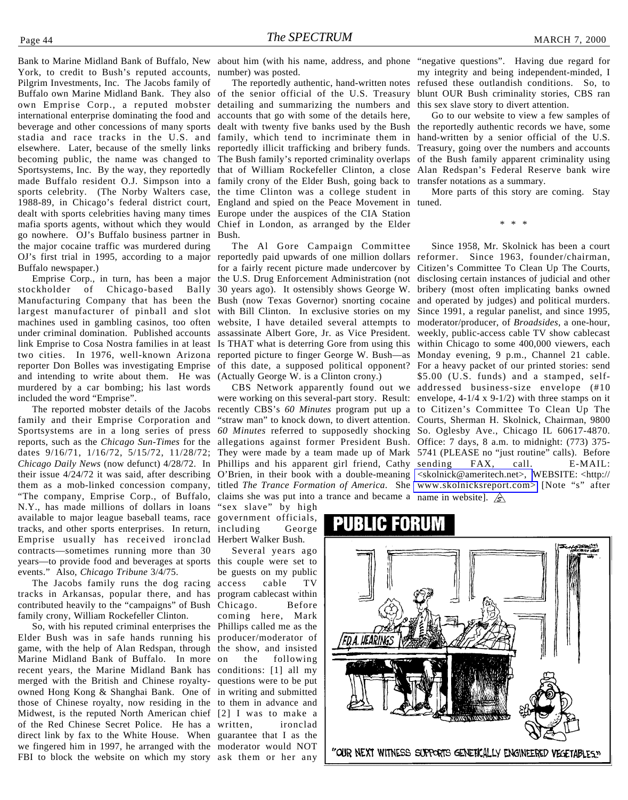York, to credit to Bush's reputed accounts, number) was posted. Pilgrim Investments, Inc. The Jacobs family of Buffalo own Marine Midland Bank. They also of the senior official of the U.S. Treasury own Emprise Corp., a reputed mobster international enterprise dominating the food and beverage and other concessions of many sports stadia and race tracks in the U.S. and elsewhere. Later, because of the smelly links reportedly illicit trafficking and bribery funds. becoming public, the name was changed to The Bush family's reported criminality overlaps of the Bush family apparent criminality using Sportsystems, Inc. By the way, they reportedly that of William Rockefeller Clinton, a close Alan Redspan's Federal Reserve bank wire made Buffalo resident O.J. Simpson into a family crony of the Elder Bush, going back to sports celebrity. (The Norby Walters case, the time Clinton was a college student in 1988-89, in Chicago's federal district court, England and spied on the Peace Movement in dealt with sports celebrities having many times Europe under the auspices of the CIA Station mafia sports agents, without which they would Chief in London, as arranged by the Elder go nowhere. OJ's Buffalo business partner in Bush. the major cocaine traffic was murdered during OJ's first trial in 1995, according to a major reportedly paid upwards of one million dollars reformer. Since 1963, founder/chairman, Buffalo newspaper.)

Emprise Corp., in turn, has been a major stockholder of Chicago-based Bally Manufacturing Company that has been the Bush (now Texas Governor) snorting cocaine largest manufacturer of pinball and slot with Bill Clinton. In exclusive stories on my machines used in gambling casinos, too often website, I have detailed several attempts to under criminal domination. Published accounts assassinate Albert Gore, Jr. as Vice President. link Emprise to Cosa Nostra families in at least Is THAT what is deterring Gore from using this two cities. In 1976, well-known Arizona reported picture to finger George W. Bush—as Monday evening, 9 p.m., Channel 21 cable. reporter Don Bolles was investigating Emprise of this date, a supposed political opponent? For a heavy packet of our printed stories: send and intending to write about them. He was murdered by a car bombing; his last words included the word "Emprise".

The reported mobster details of the Jacobs family and their Emprise Corporation and Sportsystems are in a long series of press reports, such as the *Chicago Sun-Times* for the dates 9/16/71, 1/16/72, 5/15/72, 11/28/72; *Chicago Daily News* (now defunct) 4/28/72. In their issue 4/24/72 it was said, after describing them as a mob-linked concession company, titled *The Trance Formation of America*. She [www.skolnicksreport.com>](http://www.skolnicksreport.com) [Note "s" after "The company, Emprise Corp., of Buffalo, N.Y., has made millions of dollars in loans available to major league baseball teams, race tracks, and other sports enterprises. In return, including George Emprise usually has received ironclad contracts—sometimes running more than 30 years—to provide food and beverages at sports this couple were set to events." Also, *Chicago Tribune* 3/4/75.

The Jacobs family runs the dog racing tracks in Arkansas, popular there, and has program cablecast within contributed heavily to the "campaigns" of Bush Chicago. Before family crony, William Rockefeller Clinton.

So, with his reputed criminal enterprises the Phillips called me as the Elder Bush was in safe hands running his producer/moderator of game, with the help of Alan Redspan, through the show, and insisted Marine Midland Bank of Buffalo. In more recent years, the Marine Midland Bank has conditions: [1] all my merged with the British and Chinese royalty-questions were to be put owned Hong Kong & Shanghai Bank. One of in writing and submitted those of Chinese royalty, now residing in the to them in advance and Midwest, is the reputed North American chief [2] I was to make a of the Red Chinese Secret Police. He has a direct link by fax to the White House. When guarantee that I as the we fingered him in 1997, he arranged with the moderator would NOT FBI to block the website on which my story ask them or her any

The reportedly authentic, hand-written notes detailing and summarizing the numbers and accounts that go with some of the details here, family, which tend to incriminate them in

The Al Gore Campaign Committee for a fairly recent picture made undercover by Citizen's Committee To Clean Up The Courts, the U.S. Drug Enforcement Administration (not disclosing certain instances of judicial and other 30 years ago). It ostensibly shows George W. (Actually George W. is a Clinton crony.)

were working on this several-part story. Result: envelope, 4-1/4 x 9-1/2) with three stamps on it recently CBS's *60 Minutes* program put up a to Citizen's Committee To Clean Up The "straw man" to knock down, to divert attention. Courts, Sherman H. Skolnick, Chairman, 9800 *60 Minutes* referred to supposedly shocking So. Oglesby Ave., Chicago IL 60617-4870. allegations against former President Bush. Office: 7 days, 8 a.m. to midnight: (773) 375- They were made by a team made up of Mark 5741 (PLEASE no "just routine" calls). Before Phillips and his apparent girl friend, Cathy sending FAX, call. E-MAIL: O'Brien, in their book with a double-meaning [<skolnick@ameritech.net>,](mailto:skolnick@ameritech.net) WEBSITE: <http:// claims she was put into a trance and became a name in website].

"sex slave" by high government officials, Herbert Walker Bush.

Several years ago be guests on my public access cable TV coming here, Mark the following ironclad

Bank to Marine Midland Bank of Buffalo, New about him (with his name, address, and phone "negative questions". Having due regard for my integrity and being independent-minded, I refused these outlandish conditions. So, to blunt OUR Bush criminality stories, CBS ran this sex slave story to divert attention.

> dealt with twenty five banks used by the Bush the reportedly authentic records we have, some Go to our website to view a few samples of hand-written by a senior official of the U.S. Treasury, going over the numbers and accounts transfer notations as a summary.

> > More parts of this story are coming. Stay tuned.

> > > \* \* \*

CBS Network apparently found out we addressed business-size envelope (#10 Since 1958, Mr. Skolnick has been a court bribery (most often implicating banks owned and operated by judges) and political murders. Since 1991, a regular panelist, and since 1995, moderator/producer, of *Broadsides*, a one-hour, weekly, public-access cable TV show cablecast within Chicago to some 400,000 viewers, each \$5.00 (U.S. funds) and a stamped, self-

### 2030

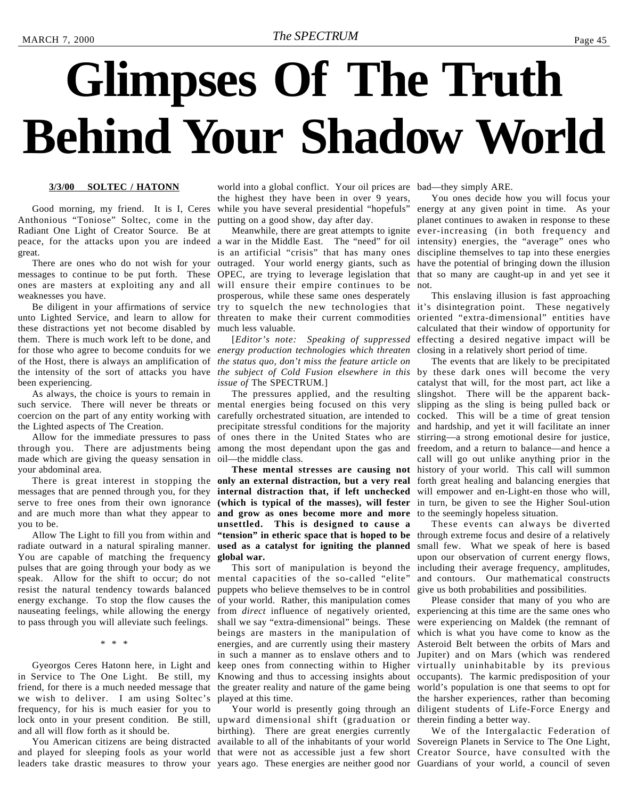# <span id="page-44-0"></span>**Glimpses Of The Truth Behind Your Shadow World**

#### **3/3/00 SOLTEC / HATONN**

Good morning, my friend. It is I, Ceres Anthonious "Toniose" Soltec, come in the Radiant One Light of Creator Source. Be at peace, for the attacks upon you are indeed a war in the Middle East. The "need" for oil great.

weaknesses you have.

unto Lighted Service, and learn to allow for threaten to make their current commodities these distractions yet not become disabled by them. There is much work left to be done, and for those who agree to become conduits for we *energy production technologies which threaten* of the Host, there is always an amplification of *the status quo, don't miss the feature article on* the intensity of the sort of attacks you have *the subject of Cold Fusion elsewhere in this* been experiencing.

As always, the choice is yours to remain in such service. There will never be threats or mental energies being focused on this very coercion on the part of any entity working with the Lighted aspects of The Creation.

Allow for the immediate pressures to pass through you. There are adjustments being among the most dependant upon the gas and made which are giving the queasy sensation in your abdominal area.

you to be.

Allow The Light to fill you from within and You are capable of matching the frequency pulses that are going through your body as we speak. Allow for the shift to occur; do not mental capacities of the so-called "elite" resist the natural tendency towards balanced energy exchange. To stop the flow causes the nauseating feelings, while allowing the energy to pass through you will alleviate such feelings.

\* \* \*

Gyeorgos Ceres Hatonn here, in Light and in Service to The One Light. Be still, my friend, for there is a much needed message that we wish to deliver. I am using Soltec's frequency, for his is much easier for you to lock onto in your present condition. Be still, upward dimensional shift (graduation or therein finding a better way. and all will flow forth as it should be.

leaders take drastic measures to throw your years ago. These energies are neither good nor Guardians of your world, a council of seven

world into a global conflict. Your oil prices are bad—they simply ARE. the highest they have been in over 9 years, while you have several presidential "hopefuls" putting on a good show, day after day.

There are ones who do not wish for your outraged. Your world energy giants, such as messages to continue to be put forth. These OPEC, are trying to leverage legislation that that so many are caught-up in and yet see it ones are masters at exploiting any and all will ensure their empire continues to be not. Be diligent in your affirmations of service try to squelch the new technologies that it's disintegration point. These negatively is an artificial "crisis" that has many ones prosperous, while these same ones desperately much less valuable.

> [*Editor's note: Speaking of suppressed issue of* The SPECTRUM.]

The pressures applied, and the resulting carefully orchestrated situation, are intended to precipitate stressful conditions for the majority of ones there in the United States who are oil—the middle class.

There is great interest in stopping the **only an external distraction, but a very real** forth great healing and balancing energies that messages that are penned through you, for they **internal distraction that, if left unchecked** will empower and en-Light-en those who will, serve to free ones from their own ignorance **(which is typical of the masses), will fester** in turn, be given to see the Higher Soul-ution and are much more than what they appear to **and grow as ones become more and more** to the seemingly hopeless situation. radiate outward in a natural spiraling manner. **used as a catalyst for igniting the planned** small few. What we speak of here is based **unsettled. This is designed to cause a "tension" in etheric space that is hoped to be** through extreme focus and desire of a relatively **global war.**

> This sort of manipulation is beyond the puppets who believe themselves to be in control of your world. Rather, this manipulation comes from *direct* influence of negatively oriented, experiencing at this time are the same ones who shall we say "extra-dimensional" beings. These beings are masters in the manipulation of energies, and are currently using their mastery in such a manner as to enslave others and to Jupiter) and on Mars (which was rendered keep ones from connecting within to Higher virtually uninhabitable by its previous Knowing and thus to accessing insights about occupants). The karmic predisposition of your the greater reality and nature of the game being played at this time.

You American citizens are being distracted available to all of the inhabitants of your world Sovereign Planets in Service to The One Light, and played for sleeping fools as your world that were not as accessible just a few short Creator Source, have consulted with the birthing). There are great energies currently

Meanwhile, there are great attempts to ignite ever-increasing (in both frequency and You ones decide how you will focus your energy at any given point in time. As your planet continues to awaken in response to these intensity) energies, the "average" ones who discipline themselves to tap into these energies have the potential of bringing down the illusion

> This enslaving illusion is fast approaching oriented "extra-dimensional" entities have calculated that their window of opportunity for effecting a desired negative impact will be closing in a relatively short period of time.

**These mental stresses are causing not** history of your world. This call will summon The events that are likely to be precipitated by these dark ones will become the very catalyst that will, for the most part, act like a slingshot. There will be the apparent backslipping as the sling is being pulled back or cocked. This will be a time of great tension and hardship, and yet it will facilitate an inner stirring—a strong emotional desire for justice, freedom, and a return to balance—and hence a call will go out unlike anything prior in the

> These events can always be diverted upon our observation of current energy flows, including their average frequency, amplitudes, and contours. Our mathematical constructs give us both probabilities and possibilities.

Your world is presently going through an diligent students of Life-Force Energy and Please consider that many of you who are were experiencing on Maldek (the remnant of which is what you have come to know as the Asteroid Belt between the orbits of Mars and world's population is one that seems to opt for the harsher experiences, rather than becoming

We of the Intergalactic Federation of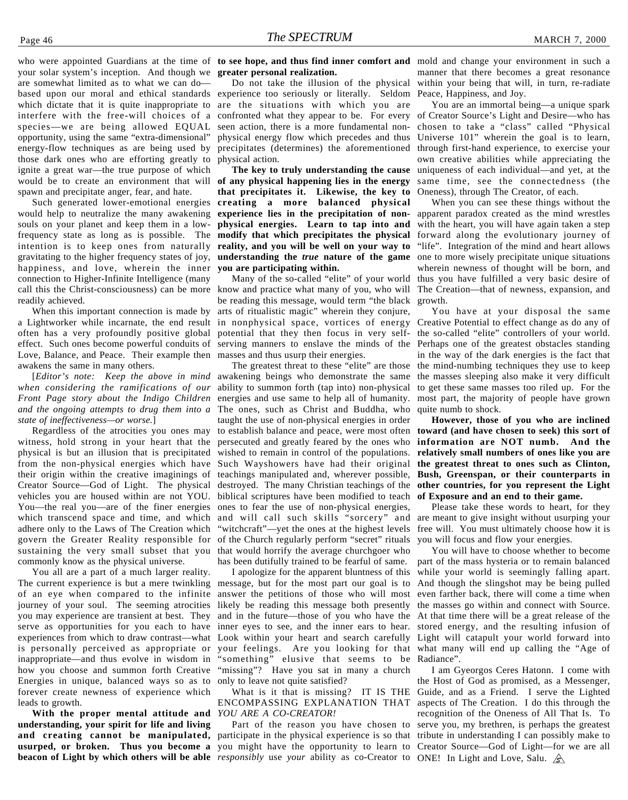your solar system's inception. And though we **greater personal realization.** are somewhat limited as to what we can do based upon our moral and ethical standards experience too seriously or literally. Seldom which dictate that it is quite inappropriate to are the situations with which you are interfere with the free-will choices of a confronted what they appear to be. For every species—we are being allowed EQUAL opportunity, using the same "extra-dimensional" energy-flow techniques as are being used by those dark ones who are efforting greatly to ignite a great war—the true purpose of which would be to create an environment that will spawn and precipitate anger, fear, and hate.

Such generated lower-emotional energies would help to neutralize the many awakening souls on your planet and keep them in a lowfrequency state as long as is possible. The **modify that which precipitates the physical** intention is to keep ones from naturally **reality, and you will be well on your way to** gravitating to the higher frequency states of joy, **understanding the** *true* **nature of the game** happiness, and love, wherein the inner connection to Higher-Infinite Intelligence (many call this the Christ-consciousness) can be more know and practice what many of you, who will readily achieved.

When this important connection is made by a Lightworker while incarnate, the end result in nonphysical space, vortices of energy often has a very profoundly positive global potential that they then focus in very selfeffect. Such ones become powerful conduits of serving manners to enslave the minds of the Love, Balance, and Peace. Their example then masses and thus usurp their energies. awakens the same in many others.

*when considering the ramifications of our Front Page story about the Indigo Children* energies and use same to help all of humanity. *and the ongoing attempts to drug them into a* The ones, such as Christ and Buddha, who *state of ineffectiveness—or worse.*]

Regardless of the atrocities you ones may witness, hold strong in your heart that the physical is but an illusion that is precipitated from the non-physical energies which have their origin within the creative imaginings of Creator Source—God of Light. The physical vehicles you are housed within are not YOU. You—the real you—are of the finer energies which transcend space and time, and which adhere only to the Laws of The Creation which govern the Greater Reality responsible for sustaining the very small subset that you commonly know as the physical universe.

You all are a part of a much larger reality. The current experience is but a mere twinkling of an eye when compared to the infinite journey of your soul. The seeming atrocities you may experience are transient at best. They serve as opportunities for you each to have experiences from which to draw contrast—what is personally perceived as appropriate or inappropriate—and thus evolve in wisdom in how you choose and summon forth Creative Energies in unique, balanced ways so as to forever create newness of experience which leads to growth.

**With the proper mental attitude and understanding, your spirit for life and living** and creating cannot be manipulated, participate in the physical experience is so that tribute in understanding I can possibly make to **usurped, or broken. Thus you become a** you might have the opportunity to learn to Creator Source—God of Light—for we are all

Do not take the illusion of the physical seen action, there is a more fundamental nonphysical energy flow which precedes and thus precipitates (determines) the aforementioned physical action.

**The key to truly understanding the cause of any physical happening lies in the energy that precipitates it. Likewise, the key to creating a more balanced physical experience lies in the precipitation of nonphysical energies. Learn to tap into and you are participating within.**

Many of the so-called "elite" of your world be reading this message, would term "the black arts of ritualistic magic" wherein they conjure,

[*Editor's note: Keep the above in mind* awakening beings who demonstrate the same The greatest threat to these "elite" are those ability to summon forth (tap into) non-physical taught the use of non-physical energies in order to establish balance and peace, were most often persecuted and greatly feared by the ones who wished to remain in control of the populations. Such Wayshowers have had their original teachings manipulated and, wherever possible, destroyed. The many Christian teachings of the biblical scriptures have been modified to teach ones to fear the use of non-physical energies, and will call such skills "sorcery" and "witchcraft"—yet the ones at the highest levels of the Church regularly perform "secret" rituals that would horrify the average churchgoer who has been dutifully trained to be fearful of same.

> I apologize for the apparent bluntness of this message, but for the most part our goal is to answer the petitions of those who will most likely be reading this message both presently and in the future—those of you who have the inner eyes to see, and the inner ears to hear. Look within your heart and search carefully your feelings. Are you looking for that what many will end up calling the "Age of "something" elusive that seems to be "missing"? Have you sat in many a church only to leave not quite satisfied?

What is it that is missing? IT IS THE ENCOMPASSING EXPLANATION THAT *YOU ARE A CO-CREATOR!*

**beacon of Light by which others will be able** *responsibly* use *your* ability as co-Creator to ONE! In Light and Love, Salu. Part of the reason you have chosen to

who were appointed Guardians at the time of **to see hope, and thus find inner comfort and** mold and change your environment in such a manner that there becomes a great resonance within your being that will, in turn, re-radiate Peace, Happiness, and Joy.

> You are an immortal being—a unique spark of Creator Source's Light and Desire—who has chosen to take a "class" called "Physical Universe 101" wherein the goal is to learn, through first-hand experience, to exercise your own creative abilities while appreciating the uniqueness of each individual—and yet, at the same time, see the connectedness (the Oneness), through The Creator, of each.

> When you can see these things without the apparent paradox created as the mind wrestles with the heart, you will have again taken a step forward along the evolutionary journey of "life". Integration of the mind and heart allows one to more wisely precipitate unique situations wherein newness of thought will be born, and thus you have fulfilled a very basic desire of The Creation—that of newness, expansion, and growth.

> You have at your disposal the same Creative Potential to effect change as do any of the so-called "elite" controllers of your world. Perhaps one of the greatest obstacles standing in the way of the dark energies is the fact that the mind-numbing techniques they use to keep the masses sleeping also make it very difficult to get these same masses too riled up. For the most part, the majority of people have grown quite numb to shock.

> **However, those of you who are inclined toward (and have chosen to seek) this sort of information are NOT numb. And the relatively small numbers of ones like you are the greatest threat to ones such as Clinton, Bush, Greenspan, or their counterparts in other countries, for you represent the Light of Exposure and an end to their game.**

> Please take these words to heart, for they are meant to give insight without usurping your free will. You must ultimately choose how it is you will focus and flow your energies.

> You will have to choose whether to become part of the mass hysteria or to remain balanced while your world is seemingly falling apart. And though the slingshot may be being pulled even farther back, there will come a time when the masses go within and connect with Source. At that time there will be a great release of the stored energy, and the resulting infusion of Light will catapult your world forward into Radiance".

> I am Gyeorgos Ceres Hatonn. I come with the Host of God as promised, as a Messenger, Guide, and as a Friend. I serve the Lighted aspects of The Creation. I do this through the recognition of the Oneness of All That Is. To serve you, my brethren, is perhaps the greatest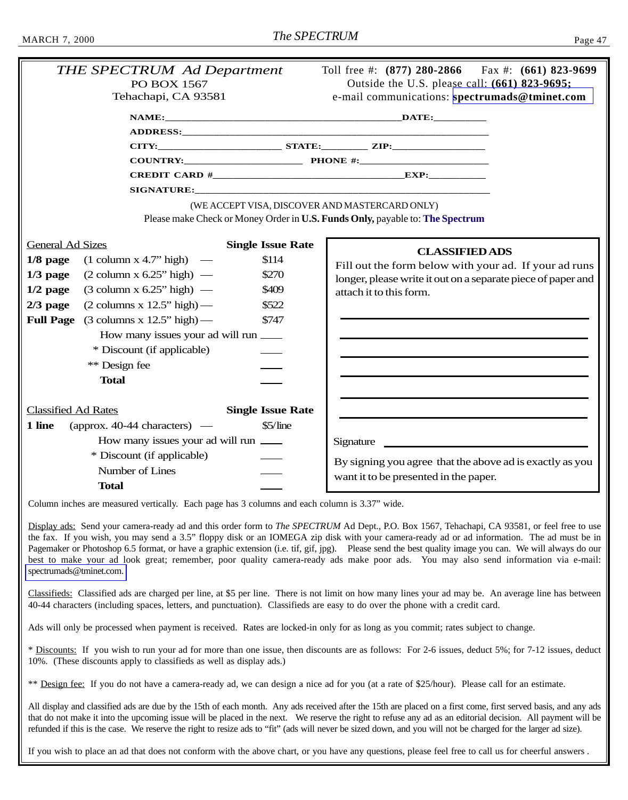<span id="page-46-0"></span>

|                            | <b>PO BOX 1567</b><br>Tehachapi, CA 93581     |                                                                                                                                                                                                                                                                                                                                                                                                                                                                                                                                                                                                                                                                                                                                                                                                                                                |  |  |
|----------------------------|-----------------------------------------------|------------------------------------------------------------------------------------------------------------------------------------------------------------------------------------------------------------------------------------------------------------------------------------------------------------------------------------------------------------------------------------------------------------------------------------------------------------------------------------------------------------------------------------------------------------------------------------------------------------------------------------------------------------------------------------------------------------------------------------------------------------------------------------------------------------------------------------------------|--|--|
|                            |                                               |                                                                                                                                                                                                                                                                                                                                                                                                                                                                                                                                                                                                                                                                                                                                                                                                                                                |  |  |
|                            |                                               |                                                                                                                                                                                                                                                                                                                                                                                                                                                                                                                                                                                                                                                                                                                                                                                                                                                |  |  |
|                            |                                               |                                                                                                                                                                                                                                                                                                                                                                                                                                                                                                                                                                                                                                                                                                                                                                                                                                                |  |  |
|                            |                                               |                                                                                                                                                                                                                                                                                                                                                                                                                                                                                                                                                                                                                                                                                                                                                                                                                                                |  |  |
|                            |                                               | Toll free #: $(877)$ 280-2866 Fax #: $(661)$ 823-9699<br><b>THE SPECTRUM Ad Department</b><br>Outside the U.S. please call: (661) 823-9695;<br>e-mail communications: spectrumads@tminet.com<br>CITY: STATE: ZIP:<br>(WE ACCEPT VISA, DISCOVER AND MASTERCARD ONLY)<br>Please make Check or Money Order in U.S. Funds Only, payable to: The Spectrum<br><b>Single Issue Rate</b><br><b>CLASSIFIED ADS</b><br>\$114<br>Fill out the form below with your ad. If your ad runs<br>\$270<br>longer, please write it out on a separate piece of paper and<br>\$409<br>attach it to this form.<br>\$522<br>\$747<br>How many issues your ad will run<br><b>Single Issue Rate</b><br>$$5/$ line<br>How many issues your ad will run<br>Signature<br>By signing you agree that the above ad is exactly as you<br>want it to be presented in the paper. |  |  |
|                            |                                               |                                                                                                                                                                                                                                                                                                                                                                                                                                                                                                                                                                                                                                                                                                                                                                                                                                                |  |  |
|                            |                                               |                                                                                                                                                                                                                                                                                                                                                                                                                                                                                                                                                                                                                                                                                                                                                                                                                                                |  |  |
| <b>General Ad Sizes</b>    |                                               |                                                                                                                                                                                                                                                                                                                                                                                                                                                                                                                                                                                                                                                                                                                                                                                                                                                |  |  |
| $1/8$ page                 | $(1$ column x 4.7" high $)$ —                 |                                                                                                                                                                                                                                                                                                                                                                                                                                                                                                                                                                                                                                                                                                                                                                                                                                                |  |  |
| $1/3$ page                 | $(2$ column x 6.25" high $)$ —                |                                                                                                                                                                                                                                                                                                                                                                                                                                                                                                                                                                                                                                                                                                                                                                                                                                                |  |  |
| $1/2$ page                 | $(3 \text{ column x } 6.25" \text{ high})$ —  |                                                                                                                                                                                                                                                                                                                                                                                                                                                                                                                                                                                                                                                                                                                                                                                                                                                |  |  |
| $2/3$ page                 | $(2 \text{ columns } x \text{ 12.5" high})$ — |                                                                                                                                                                                                                                                                                                                                                                                                                                                                                                                                                                                                                                                                                                                                                                                                                                                |  |  |
| <b>Full Page</b>           | $(3 \text{ columns } x 12.5" \text{ high})$ — |                                                                                                                                                                                                                                                                                                                                                                                                                                                                                                                                                                                                                                                                                                                                                                                                                                                |  |  |
| * Discount (if applicable) |                                               |                                                                                                                                                                                                                                                                                                                                                                                                                                                                                                                                                                                                                                                                                                                                                                                                                                                |  |  |
|                            |                                               |                                                                                                                                                                                                                                                                                                                                                                                                                                                                                                                                                                                                                                                                                                                                                                                                                                                |  |  |
|                            | ** Design fee                                 |                                                                                                                                                                                                                                                                                                                                                                                                                                                                                                                                                                                                                                                                                                                                                                                                                                                |  |  |
| <b>Total</b>               |                                               |                                                                                                                                                                                                                                                                                                                                                                                                                                                                                                                                                                                                                                                                                                                                                                                                                                                |  |  |
|                            |                                               |                                                                                                                                                                                                                                                                                                                                                                                                                                                                                                                                                                                                                                                                                                                                                                                                                                                |  |  |
| <b>Classified Ad Rates</b> |                                               |                                                                                                                                                                                                                                                                                                                                                                                                                                                                                                                                                                                                                                                                                                                                                                                                                                                |  |  |
| 1 line                     | (approx. 40-44 characters) —                  |                                                                                                                                                                                                                                                                                                                                                                                                                                                                                                                                                                                                                                                                                                                                                                                                                                                |  |  |
|                            |                                               |                                                                                                                                                                                                                                                                                                                                                                                                                                                                                                                                                                                                                                                                                                                                                                                                                                                |  |  |
|                            | * Discount (if applicable)                    |                                                                                                                                                                                                                                                                                                                                                                                                                                                                                                                                                                                                                                                                                                                                                                                                                                                |  |  |
|                            | Number of Lines                               |                                                                                                                                                                                                                                                                                                                                                                                                                                                                                                                                                                                                                                                                                                                                                                                                                                                |  |  |
|                            | <b>Total</b>                                  |                                                                                                                                                                                                                                                                                                                                                                                                                                                                                                                                                                                                                                                                                                                                                                                                                                                |  |  |
|                            |                                               |                                                                                                                                                                                                                                                                                                                                                                                                                                                                                                                                                                                                                                                                                                                                                                                                                                                |  |  |

Column inches are measured vertically. Each page has 3 columns and each column is 3.37" wide.

Display ads: Send your camera-ready ad and this order form to *The SPECTRUM* Ad Dept., P.O. Box 1567, Tehachapi, CA 93581, or feel free to use the fax. If you wish, you may send a 3.5" floppy disk or an IOMEGA zip disk with your camera-ready ad or ad information. The ad must be in Pagemaker or Photoshop 6.5 format, or have a graphic extension (i.e. tif, gif, jpg). Please send the best quality image you can. We will always do our best to make your ad look great; remember, poor quality camera-ready ads make poor ads. You may also send information via e-mail: [spectrumads@tminet.com.](mailto:spectrumads@tminet.com)

Classifieds: Classified ads are charged per line, at \$5 per line. There is not limit on how many lines your ad may be. An average line has between 40-44 characters (including spaces, letters, and punctuation). Classifieds are easy to do over the phone with a credit card.

Ads will only be processed when payment is received. Rates are locked-in only for as long as you commit; rates subject to change.

\* Discounts: If you wish to run your ad for more than one issue, then discounts are as follows: For 2-6 issues, deduct 5%; for 7-12 issues, deduct 10%. (These discounts apply to classifieds as well as display ads.)

\*\* Design fee: If you do not have a camera-ready ad, we can design a nice ad for you (at a rate of \$25/hour). Please call for an estimate.

All display and classified ads are due by the 15th of each month. Any ads received after the 15th are placed on a first come, first served basis, and any ads that do not make it into the upcoming issue will be placed in the next. We reserve the right to refuse any ad as an editorial decision. All payment will be refunded if this is the case. We reserve the right to resize ads to "fit" (ads will never be sized down, and you will not be charged for the larger ad size).

If you wish to place an ad that does not conform with the above chart, or you have any questions, please feel free to call us for cheerful answers .